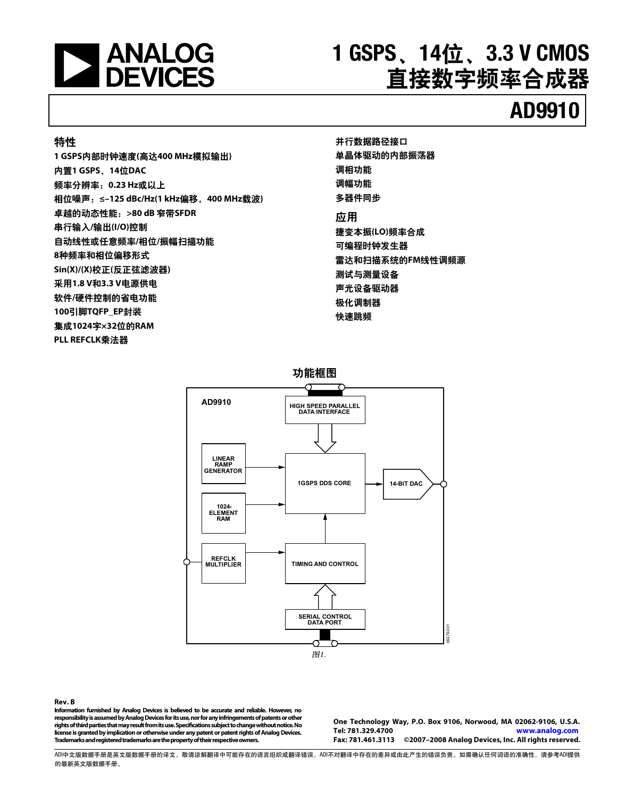

# **1 GSPS、14位、3.3 V CMOS** 直接数字频率合成器

# **AD9910**

### 特性

1 GSPS内部时钟速度(高达400 MHz模拟输出) ాዃ**1 GSPS**Ă**14**࿋**DAC**  频率分辨率: 0.23 Hz或以上 相位噪声: ≤-125 dBc/Hz(1 kHz偏移, 400 MHz载波) ጝሁۯڦༀႠీǖ**>80 dB** ټ**SFDR**  串行输入/输出(I/O)控制 自动线性或任意频率/相位/振幅扫描功能 8种频率和相位偏移形式 **Sin(X)/(X)校正(反正弦滤波器)** 采用1.8 V和3.3 V电源供电 软件/硬件控制的省电功能 100引脚TQFP\_EP封装 णׯ**1024**ጴ**×32**࿋ڦ**RAM PLL REFCLK乘法器** 

并行数据路径接口 单晶体驱动的内部振荡器 调相功能 调幅功能 多器件同步 应用 捷变本振(LO)频率合成 可编程时钟发生器 雷达和扫描系统的FM线性调频源 测试与测量设备 声光设备驱动器 极化调制器 快速跳频



**Rev. B** 

**Information furnished by Analog Devices is believed to be accurate and reliable. However, no responsibility is assumed by Analog Devices for its use, nor for any infringements of patents or other rights of third parties that may result from its use. Specifications subject to change without notice. No license is granted by implication or otherwise under any patent or patent rights of Analog Devices. Trademarks and registered trademarks are the property of their respective owners.** 

**One Technology Way, P.O. Box 9106, Norwood, MA 02062-9106, U.S.A. Tel: 781.329.4700 www.analog.com** ©2007-2008 Analog Devices, Inc. All rights reserved.

ADIዐ࿔Ӳຕ֩ᆈ࿔Ӳຕ֩ڦᅳ࿔Lj൩ଌᅳዐీ٪ሞڦᇕჾፇኯईᅳٱဃLjADIփܔᅳዐ٪ሞڦֶᅴईᆯׂُิٱڦဃሴăසႴඓණඪࢆَᇕڦጚඓႠLj൩֖ADI༵ࠃ 的最新英文版数据手册。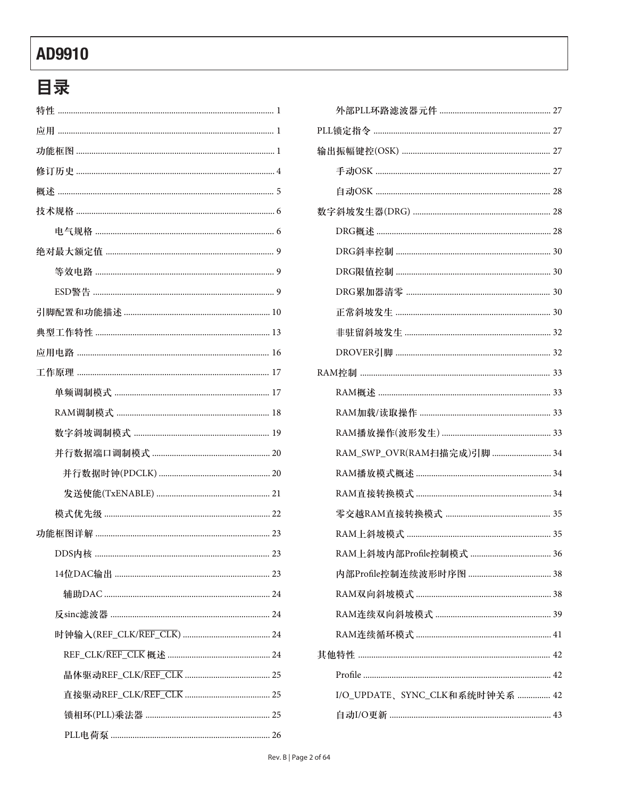# 目录

| RAM_SWP_OVR(RAM扫描完成)引脚  34     |
|--------------------------------|
|                                |
|                                |
|                                |
|                                |
| 36                             |
|                                |
|                                |
|                                |
|                                |
|                                |
|                                |
| I/O_UPDATE、SYNC_CLK和系统时钟关系  42 |
|                                |
|                                |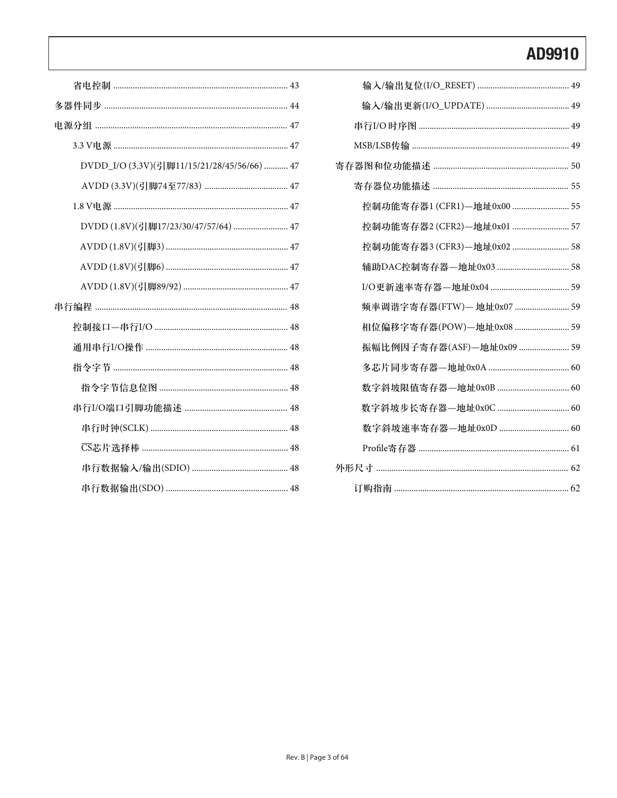| 控制功能寄存器1 (CFR1)-地址0x00  55 |
|----------------------------|
| 控制功能寄存器2 (CFR2)-地址0x01  57 |
| 控制功能寄存器3 (CFR3)—地址0x02  58 |
| 辅助DAC控制寄存器-地址0x03  58      |
|                            |
| 频率调谐字寄存器(FTW) — 地址0x07  59 |
| 相位偏移字寄存器(POW)—地址0x08  59   |
| 振幅比例因子寄存器(ASF)-地址0x09  59  |
|                            |
|                            |
|                            |
| 数字斜坡速率寄存器-地址0x0D  60       |
|                            |
|                            |
|                            |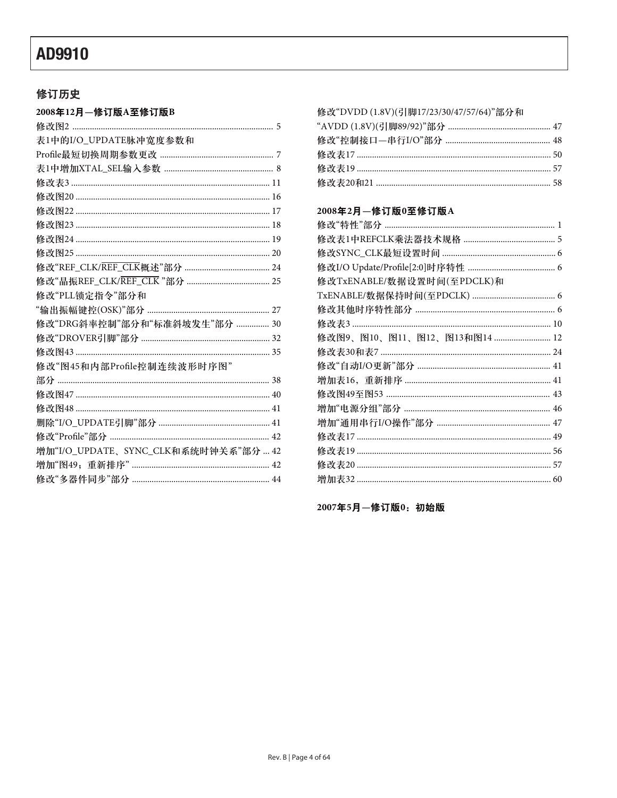### 修订历史

| 2008年12月—修订版A至修订版B                   |
|--------------------------------------|
|                                      |
| 表1中的I/O_UPDATE脉冲宽度参数和                |
|                                      |
|                                      |
|                                      |
|                                      |
|                                      |
|                                      |
|                                      |
|                                      |
|                                      |
|                                      |
| 修改"PLL锁定指令"部分和                       |
|                                      |
| 修改"DRG斜率控制"部分和"标准斜坡发生"部分  30         |
|                                      |
|                                      |
| 修改"图45和内部Profile控制连续波形时序图"           |
|                                      |
|                                      |
|                                      |
|                                      |
|                                      |
| 增加"I/O_UPDATE、SYNC_CLK和系统时钟关系"部分  42 |
|                                      |
|                                      |
|                                      |

### 修改"DVDD (1.8V)(引脚17/23/30/47/57/64)"部分和

### 2008年2月一修订版0至修订版A

| 修改TxENABLE/数据设置时间(至PDCLK)和   |  |
|------------------------------|--|
|                              |  |
|                              |  |
|                              |  |
| 修改图9、图10、图11、图12、图13和图14  12 |  |
|                              |  |
|                              |  |
|                              |  |
|                              |  |
|                              |  |
|                              |  |
|                              |  |
|                              |  |
|                              |  |
|                              |  |
|                              |  |

2007年5月-修订版0: 初始版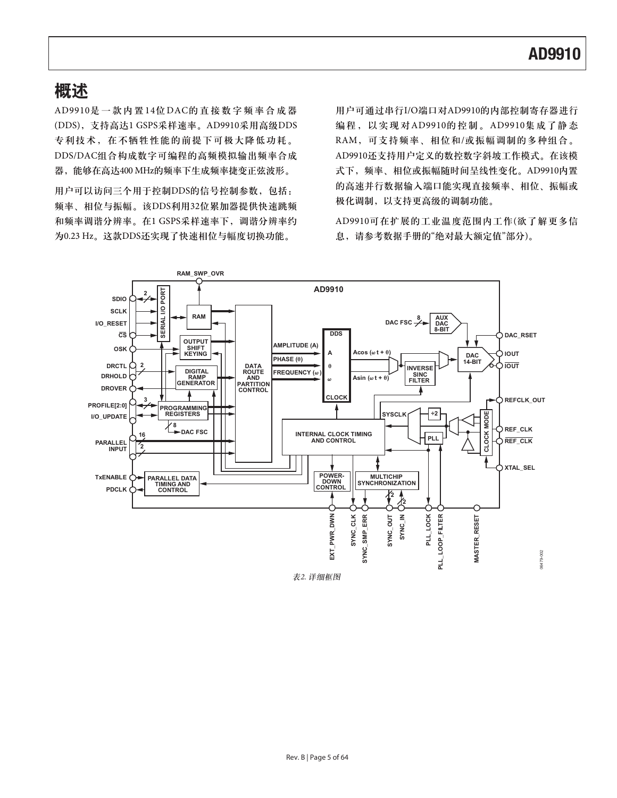### 概述

AD9910是一款内置14位DAC的直接数字频率合成器 (DDS), 支持高达1 GSPS采样速率。AD9910采用高级DDS 专利技术, 在不牺牲性能的前提下可极大降低功耗。 DDS/DAC组合构成数字可编程的高频模拟输出频率合成 器,能够在高达400 MHz的频率下生成频率捷变正弦波形。

用户可以访问三个用于控制DDS的信号控制参数,包括: 频率、相位与振幅。该DDS利用32位累加器提供快速跳频 和频率调谐分辨率。在1 GSPS采样速率下, 调谐分辨率约 为0.23 Hz。这款DDS还实现了快速相位与幅度切换功能。

用户可通过串行I/O端口对AD9910的内部控制寄存器进行 编程, 以实现对AD9910的控制。AD9910集成了静态 RAM, 可支持频率、相位和/或振幅调制的多种组合。 AD9910还支持用户定义的数控数字斜坡工作模式。在该模 式下, 频率、相位或振幅随时间呈线性变化。AD9910内置 的高速并行数据输入端口能实现直接频率、相位、振幅或 极化调制,以支持更高级的调制功能。

AD9910可在扩展的工业温度范围内工作(欲了解更多信 息,请参考数据手册的"绝对最大额定值"部分)。



表2. 详细框图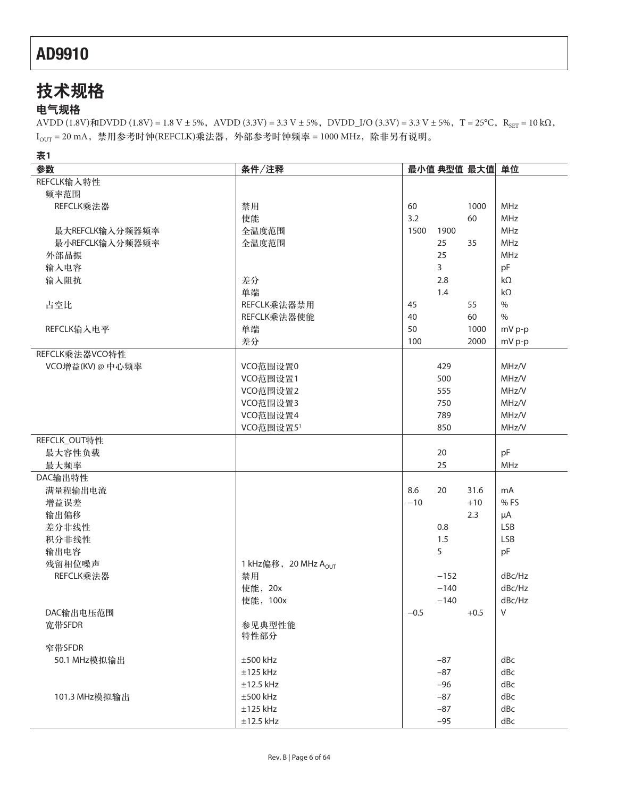# 技术规格

### 电气规格

AVDD (1.8V) $\frac{f}{f}N$ DVDD (1.8V) = 1.8 V ± 5%, AVDD (3.3V) = 3.3 V ± 5%, DVDD\_I/O (3.3V) = 3.3 V ± 5%, T = 25°C, R<sub>SET</sub> = 10 k $\Omega$ ,  $I_{\text{OUT}} = 20 \text{ mA}$ , 禁用参考时钟(REFCLK)乘法器, 外部参考时钟频率 = 1000 MHz, 除非另有说明。

**1**

| w.<br>参数        | 条件/注释                            |        |        | 最小值 典型值 最大值 单位 |               |
|-----------------|----------------------------------|--------|--------|----------------|---------------|
| REFCLK输入特性      |                                  |        |        |                |               |
| 频率范围            |                                  |        |        |                |               |
| REFCLK乘法器       | 禁用                               | 60     |        | 1000           | MHz           |
|                 | 使能                               | 3.2    |        | 60             | MHz           |
| 最大REFCLK输入分频器频率 | 全温度范围                            | 1500   | 1900   |                | MHz           |
| 最小REFCLK输入分频器频率 | 全温度范围                            |        | 25     | 35             | <b>MHz</b>    |
| 外部晶振            |                                  |        | 25     |                | MHz           |
| 输入电容            |                                  |        | 3      |                | pF            |
| 输入阻抗            | 差分                               |        | 2.8    |                | $k\Omega$     |
|                 | 单端                               |        | 1.4    |                | $k\Omega$     |
| 占空比             | REFCLK乘法器禁用                      | 45     |        | 55             | $\%$          |
|                 | REFCLK乘法器使能                      | 40     |        | 60             | $\frac{0}{0}$ |
| REFCLK输入电平      | 单端                               | 50     |        | 1000           | mV p-p        |
|                 | 差分                               | 100    |        | 2000           | mV p-p        |
| REFCLK乘法器VCO特性  |                                  |        |        |                |               |
| VCO增益(KV)@中心频率  | VCO范围设置0                         |        | 429    |                | MHz/V         |
|                 | VCO范围设置1                         |        | 500    |                | MHz/V         |
|                 | VCO范围设置2                         |        | 555    |                | MHz/V         |
|                 | VCO范围设置3                         |        | 750    |                | MHz/V         |
|                 | VCO范围设置4                         |        | 789    |                | MHz/V         |
|                 | VCO范围设置5 <sup>1</sup>            |        | 850    |                | MHz/V         |
| REFCLK_OUT特性    |                                  |        |        |                |               |
| 最大容性负载          |                                  |        | 20     |                | pF            |
| 最大频率            |                                  |        | 25     |                | MHz           |
| DAC输出特性         |                                  |        |        |                |               |
| 满量程输出电流         |                                  | 8.6    | 20     | 31.6           | mA            |
| 增益误差            |                                  | $-10$  |        | $+10$          | %FS           |
| 输出偏移            |                                  |        |        | 2.3            | $\mu A$       |
| 差分非线性           |                                  |        | 0.8    |                | LSB           |
| 积分非线性           |                                  |        | 1.5    |                | <b>LSB</b>    |
| 输出电容            |                                  |        | 5      |                | pF            |
| 残留相位噪声          | 1 kHz偏移, 20 MHz A <sub>OUT</sub> |        |        |                |               |
| REFCLK乘法器       | 禁用                               |        | $-152$ |                | dBc/Hz        |
|                 | 使能, 20x                          |        | $-140$ |                | dBc/Hz        |
|                 | 使能, 100x                         |        | $-140$ |                | dBc/Hz        |
| DAC输出电压范围       |                                  | $-0.5$ |        | $+0.5$         | V             |
| 宽带SFDR          | 参见典型性能                           |        |        |                |               |
|                 | 特性部分                             |        |        |                |               |
| 窄带SFDR          |                                  |        |        |                |               |
| 50.1 MHz模拟输出    | $\pm 500$ kHz                    |        | $-87$  |                | dBc           |
|                 | $±125$ kHz                       |        | $-87$  |                | dBc           |
|                 | $±12.5$ kHz                      |        | $-96$  |                | dBc           |
| 101.3 MHz模拟输出   | $\pm 500$ kHz                    |        | $-87$  |                | dBc           |
|                 | $±125$ kHz                       |        | $-87$  |                | dBc           |
|                 | $±12.5$ kHz                      |        | $-95$  |                | dBc           |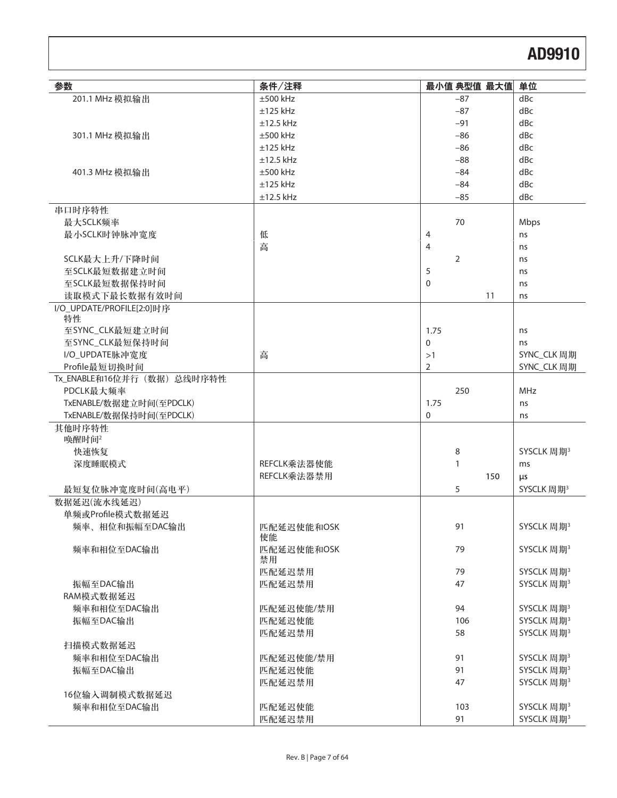| 参数                        | 条件/注释            | 最小值 典型值 最大值      |     | 单位                     |
|---------------------------|------------------|------------------|-----|------------------------|
| 201.1 MHz 模拟输出            | $\pm 500$ kHz    | $-87$            |     | dBc                    |
|                           | $±125$ kHz       | $-87$            |     | dBc                    |
|                           | $±12.5$ kHz      | $-91$            |     | dBc                    |
| 301.1 MHz 模拟输出            | $\pm 500$ kHz    | $-86$            |     | dBc                    |
|                           | $±125$ kHz       | $-86$            |     | dBc                    |
|                           | $±12.5$ kHz      | $-88$            |     | dBc                    |
| 401.3 MHz 模拟输出            | $\pm 500$ kHz    | $-84$            |     | dBc                    |
|                           | $±125$ kHz       | $-84$            |     | dBc                    |
|                           | $±12.5$ kHz      | $-85$            |     | dBc                    |
| 串口时序特性                    |                  |                  |     |                        |
| 最大SCLK频率                  |                  | 70               |     | Mbps                   |
| 最小SCLK时钟脉冲宽度              | 低                | 4                |     | ns                     |
|                           | 高                | $\overline{4}$   |     | ns                     |
| SCLK最大上升/下降时间             |                  | 2                |     | ns                     |
| 至SCLK最短数据建立时间             |                  | 5                |     | ns                     |
| 至SCLK最短数据保持时间             |                  | $\mathbf 0$      |     | ns                     |
| 读取模式下最长数据有效时间             |                  |                  | 11  | ns                     |
| I/O_UPDATE/PROFILE[2:0]时序 |                  |                  |     |                        |
| 特性<br>至SYNC_CLK最短建立时间     |                  | 1.75             |     | ns                     |
| 至SYNC_CLK最短保持时间           |                  | $\mathbf 0$      |     | ns                     |
| I/O_UPDATE脉冲宽度            | 高                | >1               |     | SYNC_CLK 周期            |
| Profile最短切换时间             |                  | 2                |     | SYNC_CLK 周期            |
| Tx_ENABLE和16位并行(数据)总线时序特性 |                  |                  |     |                        |
| PDCLK最大频率                 |                  | 250              |     | MHz                    |
| TxENABLE/数据建立时间(至PDCLK)   |                  | 1.75             |     | ns                     |
| TxENABLE/数据保持时间(至PDCLK)   |                  | $\boldsymbol{0}$ |     | ns                     |
| 其他时序特性                    |                  |                  |     |                        |
| 唤醒时间2                     |                  |                  |     |                        |
| 快速恢复                      |                  | 8                |     | SYSCLK 周期 <sup>3</sup> |
| 深度睡眠模式                    | REFCLK乘法器使能      | 1                |     | ms                     |
|                           | REFCLK乘法器禁用      |                  | 150 | μs                     |
| 最短复位脉冲宽度时间(高电平)           |                  | 5                |     | SYSCLK 周期 <sup>3</sup> |
| 数据延迟(流水线延迟)               |                  |                  |     |                        |
| 单频或Profile模式数据延迟          |                  |                  |     |                        |
| 频率、相位和振幅至DAC输出            | 匹配延迟使能和OSK       | 91               |     | SYSCLK 周期 <sup>3</sup> |
|                           | 使能               |                  |     |                        |
| 频率和相位至DAC输出               | 匹配延迟使能和OSK<br>禁用 | 79               |     | SYSCLK 周期 <sup>3</sup> |
|                           | 匹配延迟禁用           | 79               |     | SYSCLK 周期 <sup>3</sup> |
| 振幅至DAC输出                  | 匹配延迟禁用           | 47               |     | SYSCLK 周期 <sup>3</sup> |
| RAM模式数据延迟                 |                  |                  |     |                        |
| 频率和相位至DAC输出               | 匹配延迟使能/禁用        | 94               |     | SYSCLK 周期 <sup>3</sup> |
| 振幅至DAC输出                  | 匹配延迟使能           | 106              |     | SYSCLK 周期 <sup>3</sup> |
|                           | 匹配延迟禁用           | 58               |     | SYSCLK 周期 <sup>3</sup> |
| 扫描模式数据延迟                  |                  |                  |     |                        |
| 频率和相位至DAC输出               | 匹配延迟使能/禁用        | 91               |     | SYSCLK 周期 <sup>3</sup> |
| 振幅至DAC输出                  | 匹配延迟使能           | 91               |     | SYSCLK 周期 <sup>3</sup> |
|                           | 匹配延迟禁用           | 47               |     | SYSCLK 周期 <sup>3</sup> |
| 16位输入调制模式数据延迟             |                  |                  |     |                        |
| 频率和相位至DAC输出               | 匹配延迟使能           | 103              |     | SYSCLK 周期 <sup>3</sup> |
|                           | 匹配延迟禁用           | 91               |     | SYSCLK 周期 <sup>3</sup> |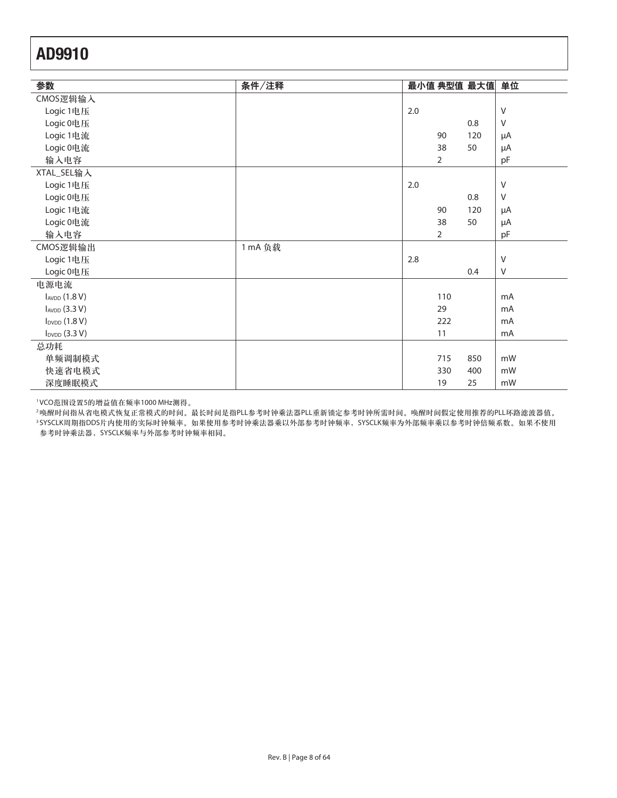| 参数                 | 条件/注释   |     |                | 最小值 典型值 最大值 | 单位             |
|--------------------|---------|-----|----------------|-------------|----------------|
| CMOS逻辑输入           |         |     |                |             |                |
| Logic 1电压          |         | 2.0 |                |             | $\vee$         |
| Logic 0电压          |         |     |                | 0.8         | $\vee$         |
| Logic 1电流          |         |     | 90             | 120         | $\mu A$        |
| Logic 0电流          |         |     | 38             | 50          | μA             |
| 输入电容               |         |     | $\overline{2}$ |             | pF             |
| XTAL_SEL输入         |         |     |                |             |                |
| Logic 1电压          |         | 2.0 |                |             | $\vee$         |
| Logic 0电压          |         |     |                | 0.8         | V              |
| Logic 1电流          |         |     | 90             | 120         | μA             |
| Logic 0电流          |         |     | 38             | 50          | $\mu A$        |
| 输入电容               |         |     | $\overline{2}$ |             | pF             |
| CMOS逻辑输出           | 1 mA 负载 |     |                |             |                |
| Logic 1电压          |         | 2.8 |                |             | $\vee$         |
| Logic 0电压          |         |     |                | 0.4         | V              |
| 电源电流               |         |     |                |             |                |
| $I_{AVDD}$ (1.8 V) |         |     | 110            |             | mA             |
| IAVDD (3.3 V)      |         |     | 29             |             | mA             |
| $I_{DVDD}$ (1.8 V) |         |     | 222            |             | m <sub>A</sub> |
| $I_{DVDD}$ (3.3 V) |         |     | 11             |             | m <sub>A</sub> |
| 总功耗                |         |     |                |             |                |
| 单频调制模式             |         |     | 715            | 850         | mW             |
| 快速省电模式             |         |     | 330            | 400         | mW             |
| 深度睡眠模式             |         |     | 19             | 25          | mW             |

1VCO范围设置5的增益值在频率1000 MHz测得。

<sup>2</sup>唤醒时间指从省电模式恢复正常模式的时间。最长时间是指PLL参考时钟乘法器PLL重新锁定参考时钟所需时间。唤醒时间假定使用推荐的PLL环路滤波器值。 3SYSCLK周期指DDS片内使用的实际时钟频率。如果使用参考时钟乘法器乘以外部参考时钟频率,SYSCLK频率为外部频率乘以参考时钟倍频系数。如果不使用 参考时钟乘法器, SYSCLK频率与外部参考时钟频率相同。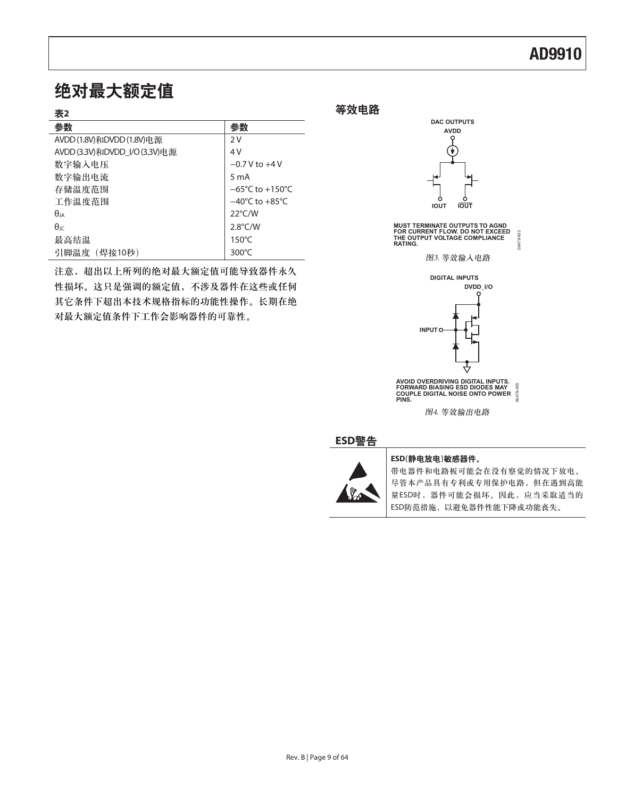### 绝对最大额定值

| ۰.<br>۰.<br>٠ |
|---------------|
|---------------|

| 13 C                          |                                     |
|-------------------------------|-------------------------------------|
| 参数                            | 参数                                  |
| AVDD(1.8V)和DVDD(1.8V)电源       | 2V                                  |
| AVDD (3.3V)和DVDD I/O (3.3V)电源 | 4V                                  |
| 数字输入电压                        | $-0.7$ V to $+4$ V                  |
| 数字输出电流                        | 5 <sub>m</sub> A                    |
| 存储温度范围                        | $-65^{\circ}$ C to $+150^{\circ}$ C |
| 工作温度范围                        | $-40^{\circ}$ C to $+85^{\circ}$ C  |
| $\theta$ ja                   | $22^{\circ}$ C/W                    |
| $\theta$ IC                   | $2.8^{\circ}$ C/W                   |
| 最高结温                          | $150^{\circ}$ C                     |
| 引脚温度 (焊接10秒)                  | $300^{\circ}$ C                     |

注意, 超出以上所列的绝对最大额定值可能导致器件永久 性损坏。这只是强调的额定值,不涉及器件在这些或任何 其它条件下超出本技术规格指标的功能性操作。长期在绝 对最大额定值条件下工作会影响器件的可靠性。

等效电路



**MUST TERMINATE OUTPUTS TO AGND FOR CURRENT FLOW. DO NOT EXCEED THE OUTPUT VOLTAGE COMPLIANCE** 00-674003 06479-003 **RATING.**

图3. 等效输入电路



**AVOID OVERDRIVING DIGITAL INPUTS. FORWARD BIASING ESD DIODES MAY COUPLE DIGITAL NOISE ONTO POWER PINS.** 06479-055

图4. 等效输出电路

### ߢ**ESD**য়



#### ESD(静电放电)敏感器件。

带电器件和电路板可能会在没有察觉的情况下放电。 尽管本产品具有专利或专用保护电路,但在遇到高能 量ESD时,器件可能会损坏。因此,应当采取适当的 ESD防范措施, 以避免器件性能下降或功能丧失。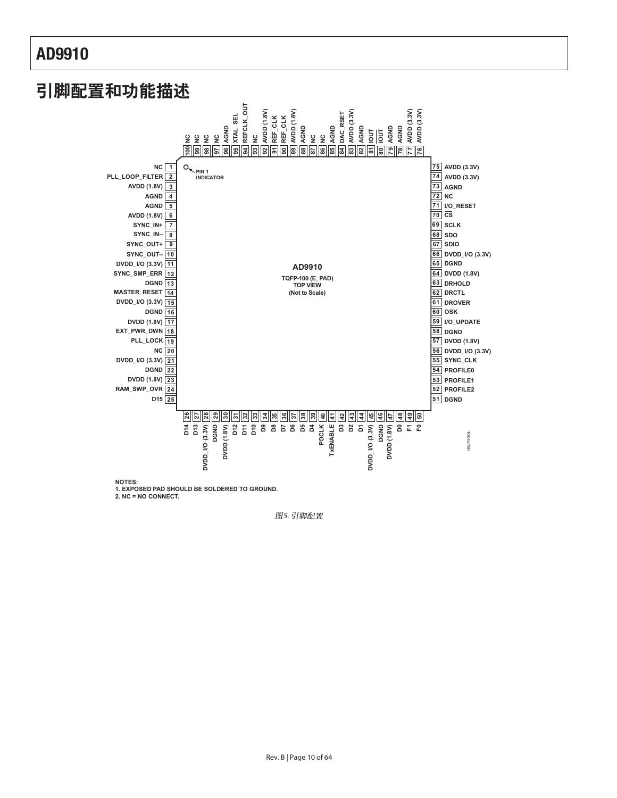

**2. NC = NO CONNECT.**

图5. 引脚配置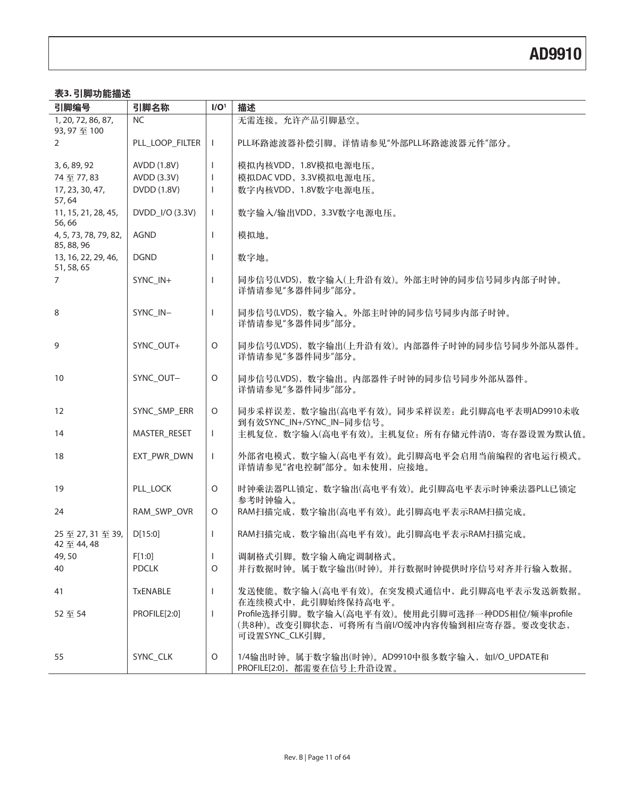### 表3.引脚功能描述

| 引脚编号                                | 引脚名称                | I/O <sup>1</sup>  | 描述                                                                                                               |
|-------------------------------------|---------------------|-------------------|------------------------------------------------------------------------------------------------------------------|
| 1, 20, 72, 86, 87,<br>93,97至100     | <b>NC</b>           |                   | 无需连接。允许产品引脚悬空。                                                                                                   |
| $\overline{2}$                      | PLL_LOOP_FILTER     | $\mathbf{I}$      | PLL环路滤波器补偿引脚。详情请参见"外部PLL环路滤波器元件"部分。                                                                              |
|                                     |                     |                   |                                                                                                                  |
| 3, 6, 89, 92<br>74至77,83            | AVDD (1.8V)         | T<br>$\mathbf{I}$ | 模拟内核VDD, 1.8V模拟电源电压。<br>模拟DAC VDD, 3.3V模拟电源电压。                                                                   |
|                                     | AVDD (3.3V)         |                   |                                                                                                                  |
| 17, 23, 30, 47,<br>57,64            | DVDD (1.8V)         | $\mathbf{I}$      | 数字内核VDD, 1.8V数字电源电压。                                                                                             |
| 11, 15, 21, 28, 45,<br>56,66        | DVDD_I/O (3.3V)     | $\mathbf{I}$      | 数字输入/输出VDD, 3.3V数字电源电压。                                                                                          |
| 4, 5, 73, 78, 79, 82,<br>85, 88, 96 | <b>AGND</b>         |                   | 模拟地。                                                                                                             |
| 13, 16, 22, 29, 46,<br>51, 58, 65   | <b>DGND</b>         | T.                | 数字地。                                                                                                             |
| $\overline{7}$                      | SYNC_IN+            | $\mathbf{I}$      | 同步信号(LVDS), 数字输入(上升沿有效)。外部主时钟的同步信号同步内部子时钟。<br>详情请参见"多器件同步"部分。                                                    |
| 8                                   | SYNC IN-            | T                 | 同步信号(LVDS), 数字输入。外部主时钟的同步信号同步内部子时钟。<br>详情请参见"多器件同步"部分。                                                           |
| 9                                   | SYNC_OUT+           | O                 | 同步信号(LVDS), 数字输出(上升沿有效)。内部器件子时钟的同步信号同步外部从器件。<br>详情请参见"多器件同步"部分。                                                  |
| 10                                  | SYNC_OUT-           | 0                 | 同步信号(LVDS), 数字输出。内部器件子时钟的同步信号同步外部从器件。<br>详情请参见"多器件同步"部分。                                                         |
| 12                                  | SYNC_SMP_ERR        | $\circ$           | 同步采样误差, 数字输出(高电平有效)。同步采样误差: 此引脚高电平表明AD9910未收<br>到有效SYNC_IN+/SYNC_IN-同步信号。                                        |
| 14                                  | <b>MASTER RESET</b> | $\mathbf{L}$      | 主机复位, 数字输入(高电平有效)。主机复位: 所有存储元件清0, 寄存器设置为默认值。                                                                     |
| 18                                  | EXT_PWR_DWN         | $\mathbf{I}$      | 外部省电模式, 数字输入(高电平有效)。此引脚高电平会启用当前编程的省电运行模式。<br>详情请参见"省电控制"部分。如未使用, 应接地。                                            |
| 19                                  | PLL_LOCK            | $\circ$           | 时钟乘法器PLL锁定, 数字输出(高电平有效)。此引脚高电平表示时钟乘法器PLL已锁定<br>参考时钟输入。                                                           |
| 24                                  | RAM_SWP_OVR         | $\circ$           | RAM扫描完成, 数字输出(高电平有效)。此引脚高电平表示RAM扫描完成。                                                                            |
| 25至27,31至39,<br>42 至 44,48          | D[15:0]             | $\mathbf{I}$      | RAM扫描完成, 数字输出(高电平有效)。此引脚高电平表示RAM扫描完成。                                                                            |
| 49,50                               | F[1:0]              | $\mathbf{I}$      | 调制格式引脚。数字输入确定调制格式。                                                                                               |
| 40                                  | <b>PDCLK</b>        | 0                 | 并行数据时钟。属于数字输出(时钟)。并行数据时钟提供时序信号对齐并行输入数据。                                                                          |
| 41                                  | <b>TxENABLE</b>     | T                 | 发送使能。数字输入(高电平有效)。在突发模式通信中, 此引脚高电平表示发送新数据。<br>在连续模式中, 此引脚始终保持高电平。                                                 |
| 52至54                               | PROFILE[2:0]        |                   | Profile选择引脚。数字输入(高电平有效)。使用此引脚可选择一种DDS相位/频率profile<br>(共8种)。改变引脚状态,可将所有当前I/O缓冲内容传输到相应寄存器。要改变状态,<br>可设置SYNC_CLK引脚。 |
| 55                                  | SYNC_CLK            | $\circ$           | 1/4输出时钟。属于数字输出(时钟)。AD9910中很多数字输入,如I/O_UPDATE和<br>PROFILE[2:0], 都需要在信号上升沿设置。                                      |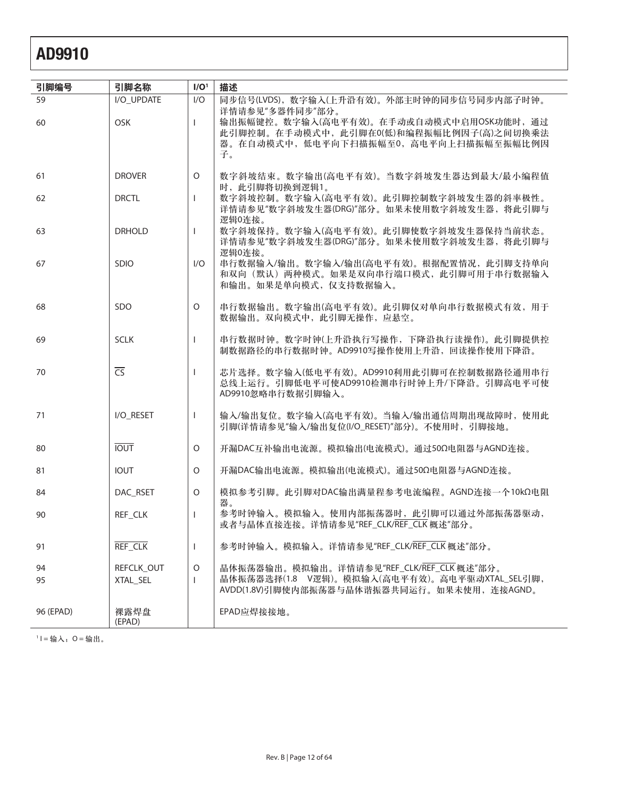| 引脚编号      | 引脚名称                   | I/O <sup>1</sup> | 描述                                                                                                                                        |
|-----------|------------------------|------------------|-------------------------------------------------------------------------------------------------------------------------------------------|
| 59        | I/O_UPDATE             | I/O              | 同步信号(LVDS), 数字输入(上升沿有效)。外部主时钟的同步信号同步内部子时钟。<br>详情请参见"多器件同步"部分。                                                                             |
| 60        | OSK                    | $\mathbf{I}$     | 输出振幅键控。数字输入(高电平有效)。在手动或自动模式中启用OSK功能时, 通过<br>此引脚控制。在手动模式中,此引脚在0(低)和编程振幅比例因子(高)之间切换乘法<br>器。在自动模式中,低电平向下扫描振幅至0,高电平向上扫描振幅至振幅比例因<br>子。         |
| 61        | <b>DROVER</b>          | 0                | 数字斜坡结束。数字输出(高电平有效)。当数字斜坡发生器达到最大/最小编程值<br>时,此引脚将切换到逻辑1。                                                                                    |
| 62        | <b>DRCTL</b>           | $\mathbf{I}$     | 数字斜坡控制。数字输入(高电平有效)。此引脚控制数字斜坡发生器的斜率极性。<br>详情请参见"数字斜坡发生器(DRG)"部分。如果未使用数字斜坡发生器, 将此引脚与<br>逻辑0连接。                                              |
| 63        | <b>DRHOLD</b>          | L                | 数字斜坡保持。数字输入(高电平有效)。此引脚使数字斜坡发生器保持当前状态。<br>详情请参见"数字斜坡发生器(DRG)"部分。如果未使用数字斜坡发生器, 将此引脚与<br>逻辑0连接。                                              |
| 67        | SDIO                   | 1/O              | 串行数据输入/输出。数字输入/输出(高电平有效)。根据配置情况, 此引脚支持单向<br>和双向(默认)两种模式。如果是双向串行端口模式,此引脚可用于串行数据输入<br>和输出。如果是单向模式, 仅支持数据输入。                                 |
| 68        | SDO                    | O                | 串行数据输出。数字输出(高电平有效)。此引脚仅对单向串行数据模式有效,用于<br>数据输出。双向模式中, 此引脚无操作, 应悬空。                                                                         |
| 69        | <b>SCLK</b>            | T                | 串行数据时钟。数字时钟(上升沿执行写操作,下降沿执行读操作)。此引脚提供控<br>制数据路径的串行数据时钟。AD9910写操作使用上升沿,回读操作使用下降沿。                                                           |
| 70        | $\overline{\text{CS}}$ | L                | 芯片选择。数字输入(低电平有效)。AD9910利用此引脚可在控制数据路径通用串行<br>总线上运行。引脚低电平可使AD9910检测串行时钟上升/下降沿。引脚高电平可使<br>AD9910忽略串行数据引脚输入。                                  |
| 71        | I/O_RESET              | T                | 输入/输出复位。数字输入(高电平有效)。当输入/输出通信周期出现故障时, 使用此<br>引脚(详情请参见"输入/输出复位(I/O_RESET)"部分)。不使用时, 引脚接地。                                                   |
| 80        | <b>IOUT</b>            | $\circ$          | 开漏DAC互补输出电流源。模拟输出(电流模式)。通过50Ω电阻器与AGND连接。                                                                                                  |
| 81        | <b>IOUT</b>            | 0                | 开漏DAC输出电流源。模拟输出(电流模式)。通过50Ω电阻器与AGND连接。                                                                                                    |
| 84        | DAC RSET               | O                | 模拟参考引脚。此引脚对DAC输出满量程参考电流编程。AGND连接一个10kΩ电阻                                                                                                  |
| 90        | REF_CLK                |                  | 器。<br>参考时钟输入。模拟输入。使用内部振荡器时, 此引脚可以通过外部振荡器驱动,<br>或者与晶体直接连接。详情请参见"REF_CLK/REF_CLK 概述"部分。                                                     |
| 91        | REF_CLK                |                  | 参考时钟输入。模拟输入。详情请参见"REF_CLK/REF_CLK 概述"部分。                                                                                                  |
| 94<br>95  | REFCLK_OUT<br>XTAL SEL | O<br>Ι.          | 晶体振荡器输出。模拟输出。详情请参见"REF_CLK/REF_CLK 概述"部分。<br>晶体振荡器选择(1.8 V逻辑)。模拟输入(高电平有效)。高电平驱动XTAL_SEL引脚,<br>AVDD(1.8V)引脚使内部振荡器与晶体谐振器共同运行。如果未使用, 连接AGND。 |
| 96 (EPAD) | 裸露焊盘<br>(EPAD)         |                  | EPAD应焊接接地。                                                                                                                                |

 $1 = \frac{1}{10} \lambda$ , O = 输出。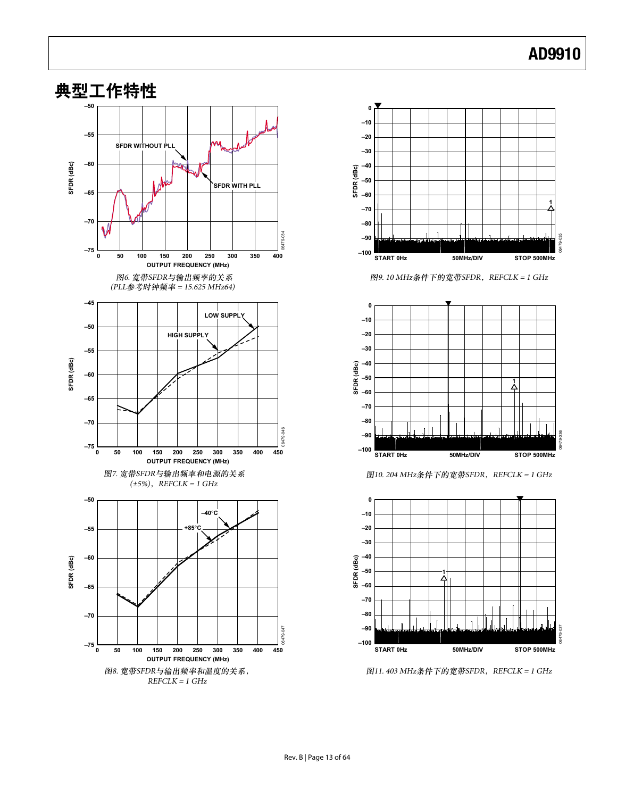



图9. 10 MHz条件下的宽带SFDR, REFCLK = 1 GHz







图11. 403 MHz条件下的宽带SFDR, REFCLK = 1 GHz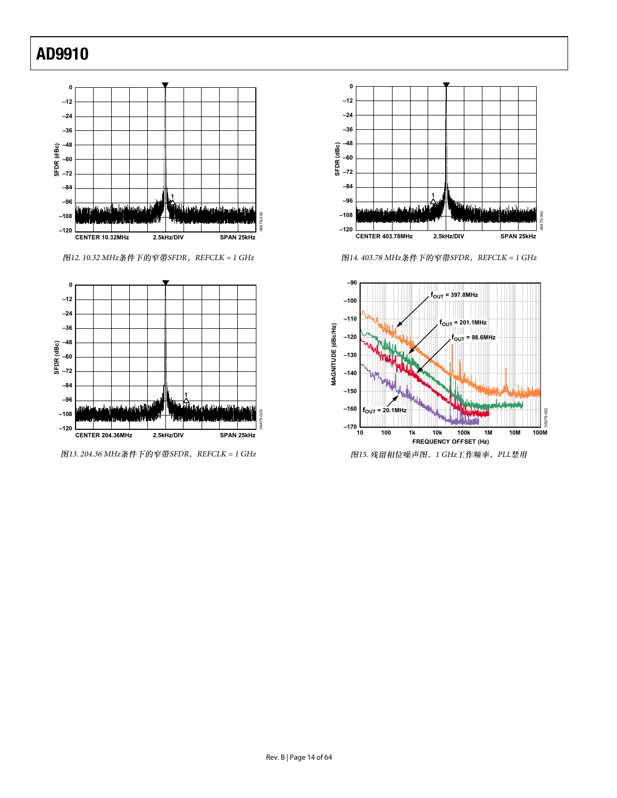

图12. 10.32 MHz条件下的窄带SFDR, REFCLK = 1 GHz 1997 - 14. 403.78 MHz条件下的窄带SFDR, REFCLK = 1 GHz



图13. 204.36 MHz条件下的窄带SFDR, REFCLK = 1 GHz 1 5Hz 15. 0 mm × 2015. 残留相位噪声图, 1 GHz工作频率, PLL禁用



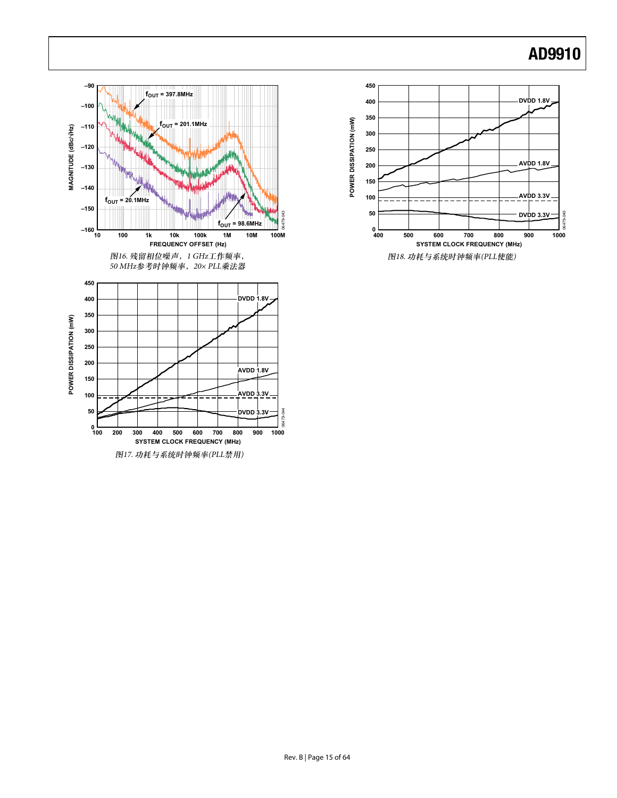

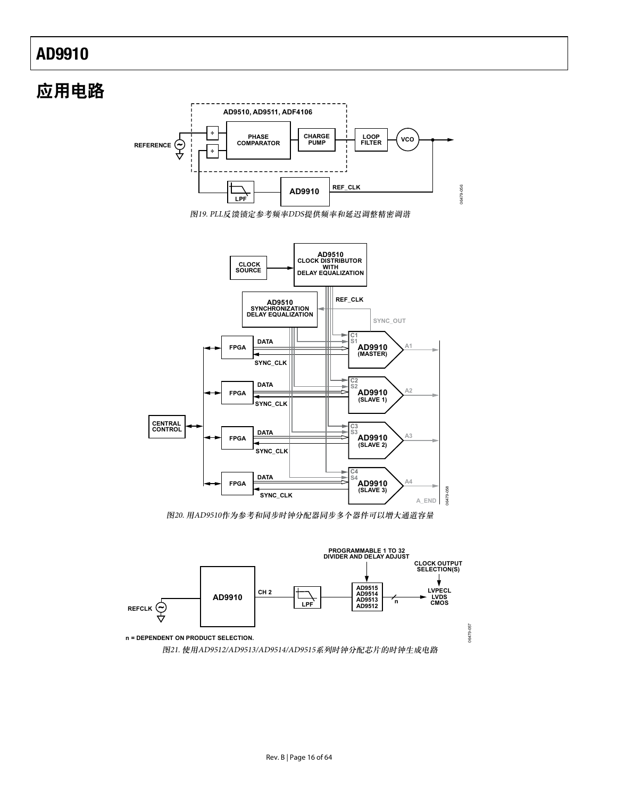### 应用电路 **LOOP FILASE PHASE PHASE PHASE PHASE PUMP PUMP PHASE PHASE PHASE PHASE PHASE PHASE PHASE PHASE PHASE PHASE PHASE PHASE PHASE PHASE PHASE PHASE PHASE PHASE PHASE PHASE PHASE AD9910 REF\_CLK REFERENCE CHARGE PUMP AD9510, AD9511, ADF4106 ÷ ÷ LPF** 图19. PLL反馈锁定参考频率DDS提供频率和延迟调整精密调谐

06479-056

16479-056



图20. 用AD9510作为参考和同步时钟分配器同步多个器件可以增大通道容量

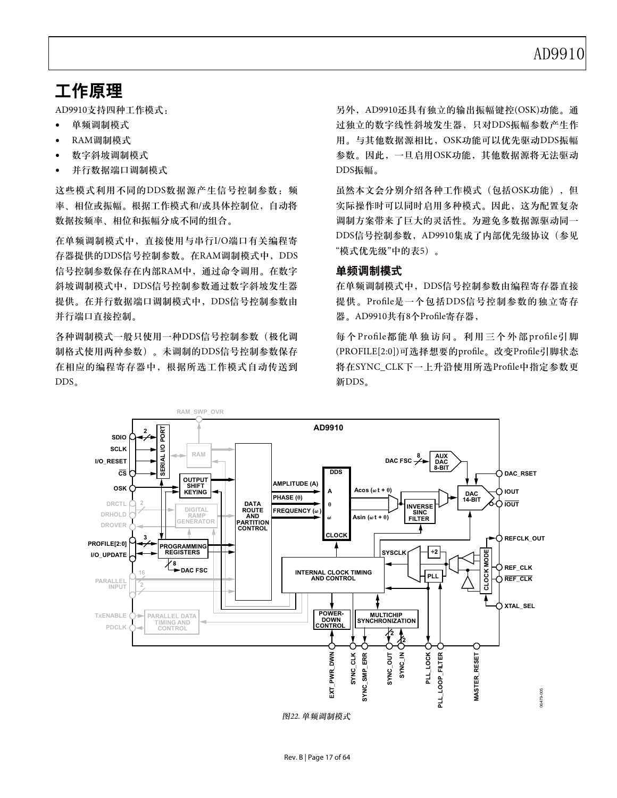### 工作原理

AD9910支持四种工作模式:

- 单频调制模式
- RAM调制模式
- 数字斜坡调制模式
- 并行数据端口调制模式

这些模式利用不同的DDS数据源产生信号控制参数: 频 率、相位或振幅。根据工作模式和/或具体控制位, 自动将 数据按频率、相位和振幅分成不同的组合。

在单频调制模式中, 直接使用与串行I/O端口有关编程寄 存器提供的DDS信号控制参数。在RAM调制模式中, DDS 信号控制参数保存在内部RAM中, 通过命令调用。在数字 斜坡调制模式中,DDS信号控制参数通过数字斜坡发生器 提供。在并行数据端口调制模式中, DDS信号控制参数由 并行端口直接控制。

各种调制模式一般只使用一种DDS信号控制参数(极化调 制格式使用两种参数)。未调制的DDS信号控制参数保存 在相应的编程寄存器中, 根据所选工作模式自动传送到  $DDS<sub>a</sub>$ 

另外, AD9910还具有独立的输出振幅键控(OSK)功能。通 过独立的数字线性斜坡发生器, 只对DDS振幅参数产生作 用。与其他数据源相比, OSK功能可以优先驱动DDS振幅 参数。因此, 一旦启用OSK功能, 其他数据源将无法驱动 DDS振幅。

虽然本文会分别介绍各种工作模式(包括OSK功能), 但 实际操作时可以同时启用多种模式。因此,这为配置复杂 调制方案带来了巨大的灵活性。为避免多数据源驱动同一 DDS信号控制参数, AD9910集成了内部优先级协议(参见 "模式优先级"中的表5)。

### 单频调制模式

在单频调制模式中,DDS信号控制参数由编程寄存器直接 提供。Profile是一个包括DDS信号控制参数的独立寄存 器。AD9910共有8个Profile寄存器,

每个Profile都能单独访问。利用三个外部profile引脚 (PROFILE[2:0])可选择想要的profile。改变Profile引脚状态 将在SYNC\_CLK下一上升沿使用所选Profile中指定参数更 新DDS。



图22. 单频调制模式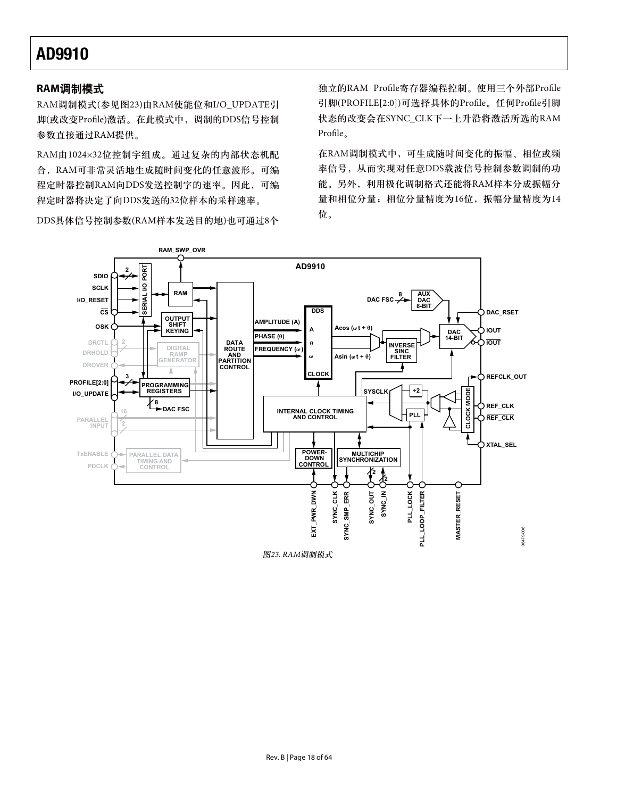### **RAM调制模式**

RAM调制模式(参见图23)由RAM使能位和I/O\_UPDATE引 脚(或改变Profile)激活。在此模式中, 调制的DDS信号控制 参数直接通过RAM提供。

RAM由1024×32位控制字组成。通过复杂的内部状态机配 合, RAM可非常灵活地生成随时间变化的任意波形。可编 程定时器控制RAM向DDS发送控制字的速率。因此,可编 程定时器将决定了向DDS发送的32位样本的采样速率。

DDS具体信号控制参数(RAM样本发送目的地)也可通过8个

独立的RAM Profile寄存器编程控制。使用三个外部Profile 引脚(PROFILE[2:0])可选择具体的Profile。任何Profile引脚 状态的改变会在SYNC\_CLK下一上升沿将激活所选的RAM Profile<sub>o</sub>

在RAM调制模式中,可生成随时间变化的振幅、相位或频 率信号, 从而实现对任意DDS载波信号控制参数调制的功 能。另外, 利用极化调制格式还能将RAM样本分成振幅分 量和相位分量;相位分量精度为16位, 振幅分量精度为14 位。



图23. RAM调制模式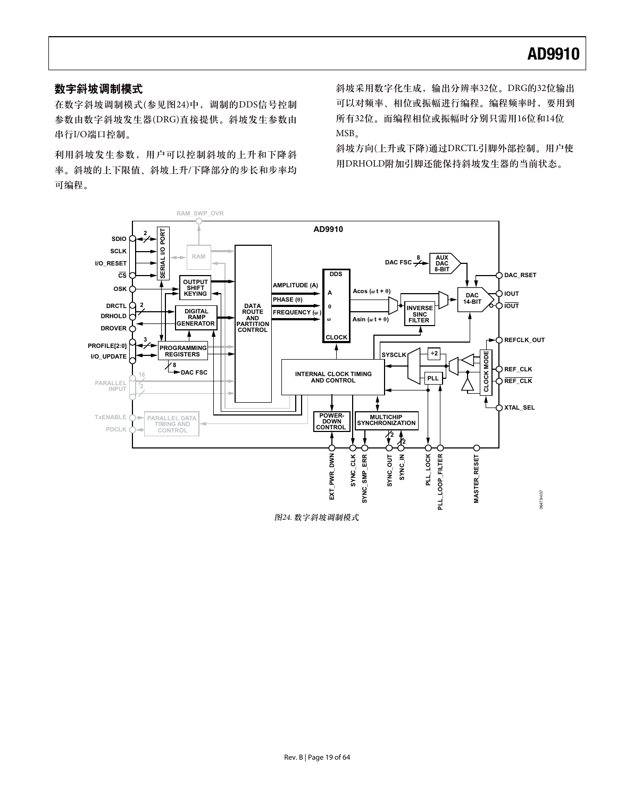### 数字斜坡调制模式

在数字斜坡调制模式(参见图24)中, 调制的DDS信号控制 参数由数字斜坡发生器(DRG)直接提供。斜坡发生参数由 串行I/O端口控制。

利用斜坡发生参数,用户可以控制斜坡的上升和下降斜 率。斜坡的上下限值、斜坡上升/下降部分的步长和步率均 可编程。

斜坡采用数字化生成, 输出分辨率32位。DRG的32位输出 可以对频率、相位或振幅进行编程。编程频率时, 要用到 所有32位。而编程相位或振幅时分别只需用16位和14位 MSB<sub>o</sub>

斜坡方向(上升或下降)通过DRCTL引脚外部控制。用户使 用DRHOLD附加引脚还能保持斜坡发生器的当前状态。

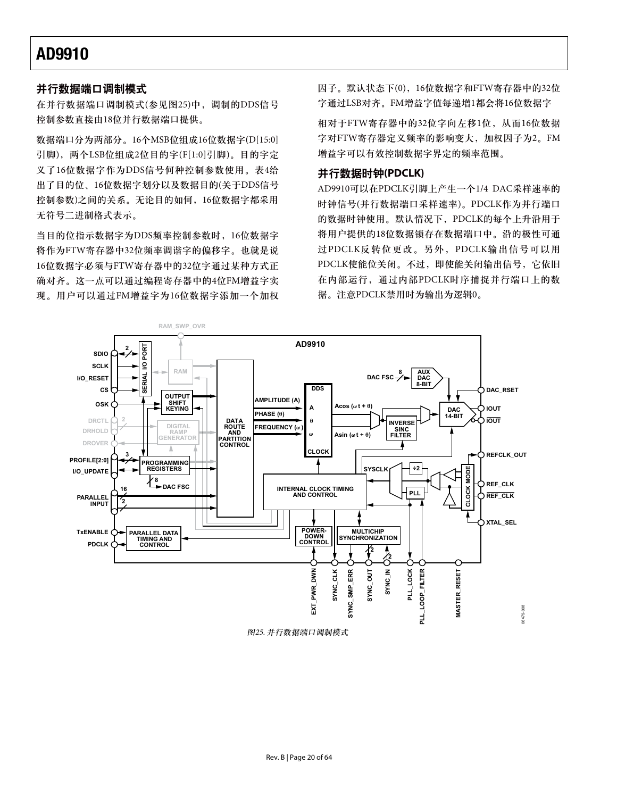### 并行数据端口调制模式

在并行数据端口调制模式(参见图25)中, 调制的DDS信号 控制参数直接由18位并行数据端口提供。

数据端口分为两部分。16个MSB位组成16位数据字(D[15:0] 引脚), 两个LSB位组成2位目的字(F[1:0]引脚)。目的字定 义了16位数据字作为DDS信号何种控制参数使用。表4给 出了目的位、16位数据字划分以及数据目的(关于DDS信号 控制参数)之间的关系。无论目的如何, 16位数据字都采用 无符号二进制格式表示。

当目的位指示数据字为DDS频率控制参数时, 16位数据字 将作为FTW寄存器中32位频率调谐字的偏移字。也就是说 16位数据字必须与FTW寄存器中的32位字通过某种方式正 确对齐。这一点可以通过编程寄存器中的4位FM增益字实 现。用户可以通过FM增益字为16位数据字添加一个加权 因子。默认状态下(0), 16位数据字和FTW寄存器中的32位 字通过LSB对齐。FM增益字值每递增1都会将16位数据字

相对于FTW寄存器中的32位字向左移1位, 从而16位数据 字对FTW寄存器定义频率的影响变大, 加权因子为2。FM 增益字可以有效控制数据字界定的频率范围。

### 并行数据时钟(PDCLK)

AD9910可以在PDCLK引脚上产生一个1/4 DAC采样速率的 时钟信号(并行数据端口采样速率)。PDCLK作为并行端口 的数据时钟使用。默认情况下, PDCLK的每个上升沿用于 将用户提供的18位数据锁存在数据端口中。沿的极性可通 过PDCLK反转位更改。另外, PDCLK输出信号可以用 PDCLK使能位关闭。不过, 即使能关闭输出信号, 它依旧 在内部运行, 通过内部PDCLK时序捕捉并行端口上的数 据。注意PDCLK禁用时为输出为逻辑0。

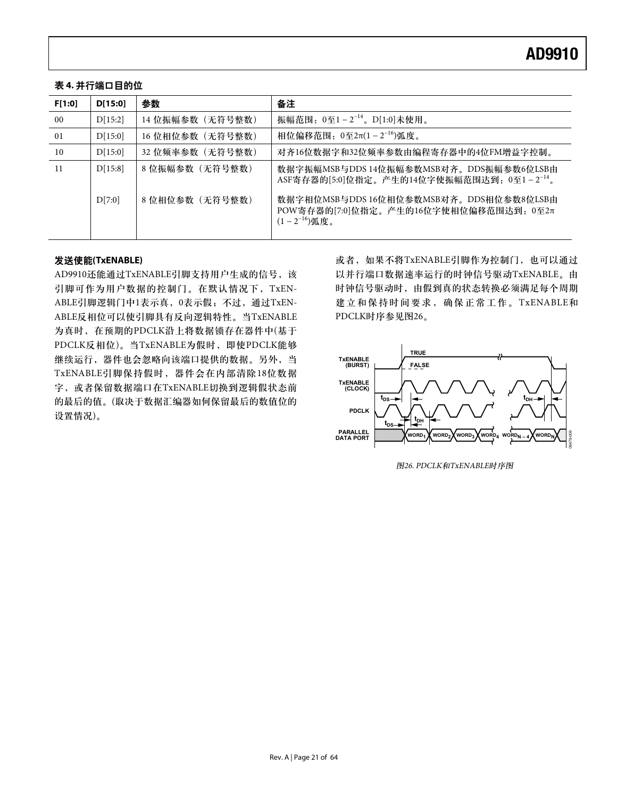### 表 4. 并行端口目的位

| F[1:0] | D[15:0] | 参数              | 备注                                                                                                     |
|--------|---------|-----------------|--------------------------------------------------------------------------------------------------------|
| 00     | D[15:2] | 14 位振幅参数(无符号整数) | 振幅范围: $0 \leq 1 - 2^{-14}$ 。 $D[1:0]$ 未使用。                                                             |
| 01     | D[15:0] | 16 位相位参数(无符号整数) | 相位偏移范围: 0至2π(1-2 <sup>-16</sup> )弧度。                                                                   |
| 10     | D[15:0] | 32 位频率参数(无符号整数) | 对齐16位数据字和32位频率参数由编程寄存器中的4位FM增益字控制。                                                                     |
| -11    | D[15:8] | 8 位振幅参数(无符号整数)  | 数据字振幅MSB与DDS 14位振幅参数MSB对齐。DDS振幅参数6位LSB由<br>ASF寄存器的[5:0]位指定。产生的14位字使振幅范围达到: $0 \leq 1 - 2^{-14}$ 。      |
|        | D[7:0]  | 8 位相位参数(无符号整数)  | 数据字相位MSB与DDS 16位相位参数MSB对齐。DDS相位参数8位LSB由<br>POW寄存器的[7:0]位指定。产生的16位字使相位偏移范围达到: 0至2π<br>$(1-2^{-16})$ 弧度。 |

### ݀ໃ๑ీ**(TxENABLE)**

AD9910还能通过TxENABLE引脚支持用户生成的信号,该 引脚可作为用户数据的控制门。在默认情况下, TxEN-ABLE引脚逻辑门中1表示真, 0表示假; 不过, 通过TxEN-ABLE反相位可以使引脚具有反向逻辑特性。当TxENABLE 为真时, 在预期的PDCLK沿上将数据锁存在器件中(基于 PDCLK反相位)。当TxENABLE为假时, 即使PDCLK能够 继续运行,器件也会忽略向该端口提供的数据。另外,当 TxENABLE引脚保持假时,器件会在内部清除18位数据 字, 或者保留数据端口在TxENABLE切换到逻辑假状态前 的最后的值。(取决于数据汇编器如何保留最后的数值位的 设置情况)。

或者, 如果不将TxENABLE引脚作为控制门, 也可以通过 以并行端口数据速率运行的时钟信号驱动TxENABLE。由 时钟信号驱动时, 由假到真的状态转换必须满足每个周期 建立和保持时间要求,确保正常工作。TxENABLE和 PDCLK时序参见图26。



图26. PDCLK和TxENABLE时序图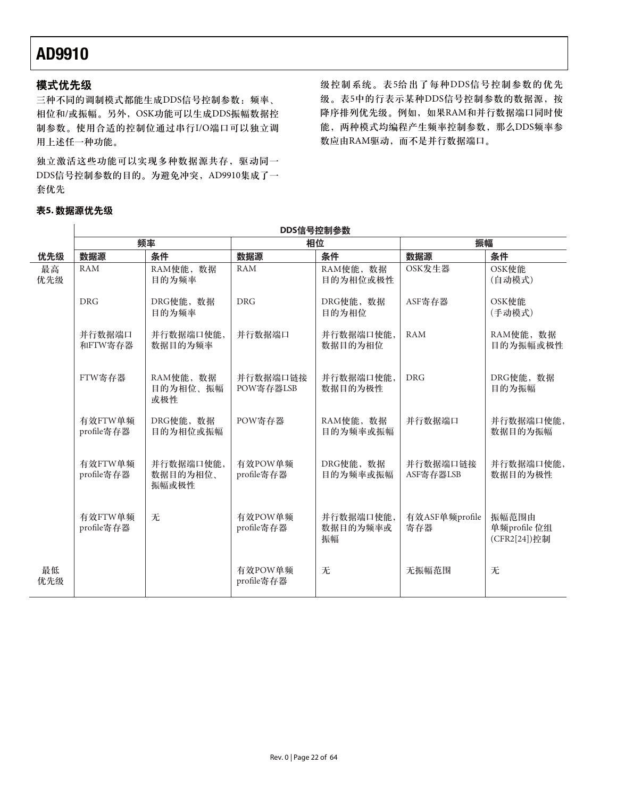### 模式优先级

三种不同的调制模式都能生成DDS信号控制参数:频率、 相位和/或振幅。另外, OSK功能可以生成DDS振幅数据控 制参数。使用合适的控制位通过串行I/O端口可以独立调 用上述任一种功能。

独立激活这些功能可以实现多种数据源共存,驱动同一 DDS信号控制参数的目的。为避免冲突, AD9910集成了一 套优先

表5. 数据源优先级  $\overline{1}$ 

级控制系统。表5给出了每种DDS信号控制参数的优先 级。表5中的行表示某种DDS信号控制参数的数据源, 按 降序排列优先级。例如, 如果RAM和并行数据端口同时使 能, 两种模式均编程产生频率控制参数, 那么DDS频率参 数应由RAM驱动,而不是并行数据端口。

|           | DDS信号控制参数             |                                |                       |                             |                       |                                       |
|-----------|-----------------------|--------------------------------|-----------------------|-----------------------------|-----------------------|---------------------------------------|
|           | 频率                    |                                | 相位                    |                             | 振幅                    |                                       |
| 优先级       | 数据源                   | 条件                             | 数据源                   | 条件                          | 数据源                   | 条件                                    |
| 最高<br>优先级 | <b>RAM</b>            | RAM使能, 数据<br>目的为频率             | <b>RAM</b>            | RAM使能, 数据<br>目的为相位或极性       | OSK发生器                | OSK使能<br>(自动模式)                       |
|           | <b>DRG</b>            | DRG使能, 数据<br>目的为频率             | <b>DRG</b>            | DRG使能, 数据<br>目的为相位          | ASF寄存器                | OSK使能<br>(手动模式)                       |
|           | 并行数据端口<br>和FTW寄存器     | 并行数据端口使能,<br>数据目的为频率           | 并行数据端口                | 并行数据端口使能,<br>数据目的为相位        | <b>RAM</b>            | RAM使能, 数据<br>目的为振幅或极性                 |
|           | FTW寄存器                | RAM使能, 数据<br>目的为相位、振幅<br>或极性   | 并行数据端口链接<br>POW寄存器LSB | 并行数据端口使能,<br>数据目的为极性        | <b>DRG</b>            | DRG使能, 数据<br>目的为振幅                    |
|           | 有效FTW单频<br>profile寄存器 | DRG使能, 数据<br>目的为相位或振幅          | POW寄存器                | RAM使能, 数据<br>目的为频率或振幅       | 并行数据端口                | 并行数据端口使能,<br>数据目的为振幅                  |
|           | 有效FTW单频<br>profile寄存器 | 并行数据端口使能,<br>数据目的为相位、<br>振幅或极性 | 有效POW单频<br>profile寄存器 | DRG使能, 数据<br>目的为频率或振幅       | 并行数据端口链接<br>ASF寄存器LSB | 并行数据端口使能,<br>数据目的为极性                  |
|           | 有效FTW单频<br>profile寄存器 | 无                              | 有效POW单频<br>profile寄存器 | 并行数据端口使能,<br>数据目的为频率或<br>振幅 | 有效ASF单频profile<br>寄存器 | 振幅范围由<br>单频profile 位组<br>(CFR2[24])控制 |
| 最低<br>优先级 |                       |                                | 有效POW单频<br>profile寄存器 | 无                           | 无振幅范围                 | 无                                     |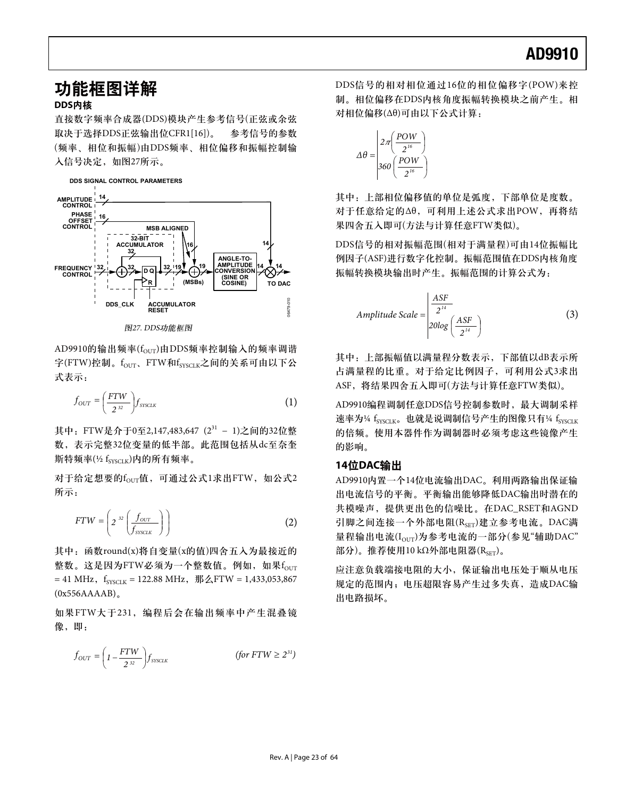### 功能框图详解 ࢃా**DDS**

直接数字频率合成器(DDS)模块产生参考信号(正弦或余弦 取决于选择DDS正弦输出位CFR1[16])。 参考信号的参数 (频率、相位和振幅)由DDS频率、相位偏移和振幅控制输 入信号决定, 如图27所示。



图27. DDS功能框图

AD9910的输出频率(four)由DDS频率控制输入的频率调谐 字(FTW)控制。f<sub>OUT</sub>、FTW和f<sub>SYSCLK</sub>之间的关系可由以下公 式表示:

$$
f_{OUT} = \left(\frac{FTW}{2^{32}}\right) f_{\text{SISCLR}} \tag{1}
$$

其中: FTW是介于0至2,147,483,647  $(2^{31} - 1)$ 之间的32位整 数, 表示完整32位变量的低半部。此范围包括从dc至奈奎 斯特频率(½ $f_{\text{SYSCLK}}$ )内的所有频率。

对于给定想要的four值,可通过公式1求出FTW, 如公式2 所示:

$$
FTW = \left(2^{-32} \left(\frac{f_{\text{OUT}}}{f_{\text{SVSCLK}}}\right)\right) \tag{2}
$$

其中: 函数round(x)将自变量(x的值)四舍五入为最接近的 整数。这是因为FTW必须为一个整数值。例如, 如果four  $= 41$  MHz,  $f_{\text{cycr}} = 122.88$  MHz,  $\frac{\text{m}}{2}$ FTW = 1,433,053,867  $(0x556AAAAB)$ <sub>o</sub>

如果FTW大于231, 编程后会在输出频率中产生混叠镜 像,即:

$$
f_{OUT} = \left(1 - \frac{FTW}{2^{32}}\right) f_{\text{SYSLK}} \qquad (for FTW \ge 2^{31})
$$

DDS信号的相对相位通过16位的相位偏移字(POW)来控 制。相位偏移在DDS内核角度振幅转换模块之前产生。相 对相位偏移(Δθ)可由以下公式计算:

$$
\Delta \theta = \begin{pmatrix} 2\pi \left( \frac{POW}{2^{16}} \right) \\ 360 \left( \frac{POW}{2^{16}} \right) \end{pmatrix}
$$

其中: 上部相位偏移值的单位是弧度, 下部单位是度数。 对于任意给定的Δθ, 可利用上述公式求出POW, 再将结 果四舍五入即可(方法与计算任意FTW类似)。

DDS信号的相对振幅范围(相对于满量程)可由14位振幅比 例因子(ASF)进行数字化控制。振幅范围值在DDS内核角度 振幅转换模块输出时产生。振幅范围的计算公式为:

Amplitude Scale = 
$$
\frac{ABF}{2^{14}}
$$

$$
20log\left(\frac{ASF}{2^{14}}\right)
$$
 (3)

其中: 上部振幅值以满量程分数表示, 下部值以dB表示所 占满量程的比重。对于给定比例因子,可利用公式3求出 ASF, 将结果四舍五入即可(方法与计算任意FTW类似)。

AD9910编程调制任意DDS信号控制参数时, 最大调制采样 速率为1/4 fsysclk。也就是说调制信号产生的图像只有1/4 fsysclk 的倍频。使用本器件作为调制器时必须考虑这些镜像产生 的影响。

#### 14位DAC输出

AD9910内置一个14位电流输出DAC。利用两路输出保证输 出电流信号的平衡。平衡输出能够降低DAC输出时潜在的 共模噪声, 提供更出色的信噪比。在DAC\_RSET和AGND 引脚之间连接一个外部电阻(RsET)建立参考电流。DAC满 量程输出电流(I<sub>OUT</sub>)为参考电流的一部分(参见"辅助DAC" 部分)。推荐使用10 kΩ外部电阻器(R $_{\text{SET}}$ )。

应注意负载端接电阻的大小, 保证输出电压处于顺从电压 规定的范围内; 电压超限容易产生过多失真, 造成DAC输 出电路损坏。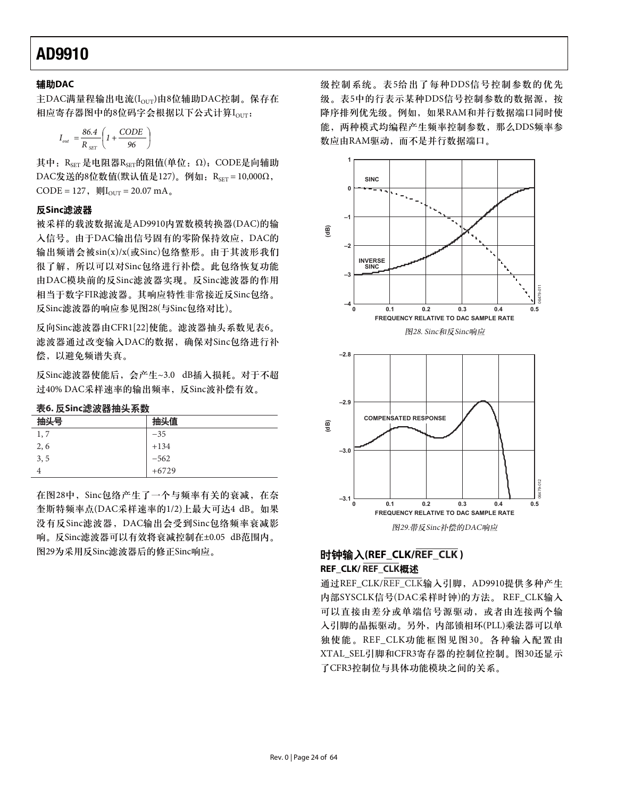### ዺ**DAC**ޤ

主DAC满量程输出电流 $(I_{\text{OUT}})$ 由8位辅助DAC控制。保存在 相应寄存器图中的8位码字会根据以下公式计算Iour:

$$
I_{_{out}} = \frac{86.4}{R_{_{SET}}} \left( 1 + \frac{CODE}{96} \right)
$$

其中: RsET 是电阻器RsET的阻值(单位: Ω); CODE是向辅助 DAC发送的8位数值(默认值是127)。例如: R<sub>SET</sub> = 10,000Ω, CODE = 127,  $\text{WI}_{\text{OUT}}$  = 20.07 mA<sub>a</sub>

### 反Sinc滤波器

被采样的载波数据流是AD9910内置数模转换器(DAC)的输 入信号。由于DAC输出信号固有的零阶保持效应, DAC的 输出频谱会被sin(x)/x(或Sinc)包络整形。由于其波形我们 很了解, 所以可以对Sinc包络进行补偿。此包络恢复功能 由DAC模块前的反Sinc滤波器实现。反Sinc滤波器的作用 相当于数字FIR滤波器。其响应特性非常接近反Sinc包络。 反Sinc滤波器的响应参见图28(与Sinc包络对比)。

反向Sinc滤波器由CFR1[22]使能。滤波器抽头系数见表6。 滤波器通过改变输入DAC的数据,确保对Sinc包络进行补 偿, 以避免频谱失真。

反Sinc滤波器使能后, 会产生~3.0 dB插入损耗。对于不超 过40% DAC采样速率的输出频率, 反Sinc波补偿有效。

| 抽头号  | 抽头值     |
|------|---------|
| 1, 7 | $-35$   |
| 2, 6 | $+134$  |
| 3, 5 | $-562$  |
|      | $+6729$ |

在图28中, Sinc包络产生了一个与频率有关的衰减, 在奈 奎斯特频率点(DAC采样速率的1/2)上最大可达4 dB。如果 没有反Sinc滤波器, DAC输出会受到Sinc包络频率衰减影 响。反Sinc滤波器可以有效将衰减控制在±0.05 dB范围内。 图29为采用反Sinc滤波器后的修正Sinc响应。

级控制系统。表5给出了每种DDS信号控制参数的优先 级。表5中的行表示某种DDS信号控制参数的数据源, 按 降序排列优先级。例如, 如果RAM和并行数据端口同时使 能, 两种模式均编程产生频率控制参数, 那么DDS频率参 数应由RAM驱动,而不是并行数据端口。



### ้ዓ**(REF\_CLK/REF\_CLK ) REF\_CLK/REF\_CLK概述**

通过REF\_CLK/REF\_CLK输入引脚, AD9910提供多种产生 内部SYSCLK信号(DAC采样时钟)的方法。REF\_CLK输入 可以直接由差分或单端信号源驱动, 或者由连接两个输 入引脚的晶振驱动。另外, 内部锁相环(PLL)乘法器可以单 独使能。REF\_CLK功能框图见图30。各种输入配置由 XTAL\_SEL引脚和CFR3寄存器的控制位控制。图30还显示 了CFR3控制位与具体功能模块之间的关系。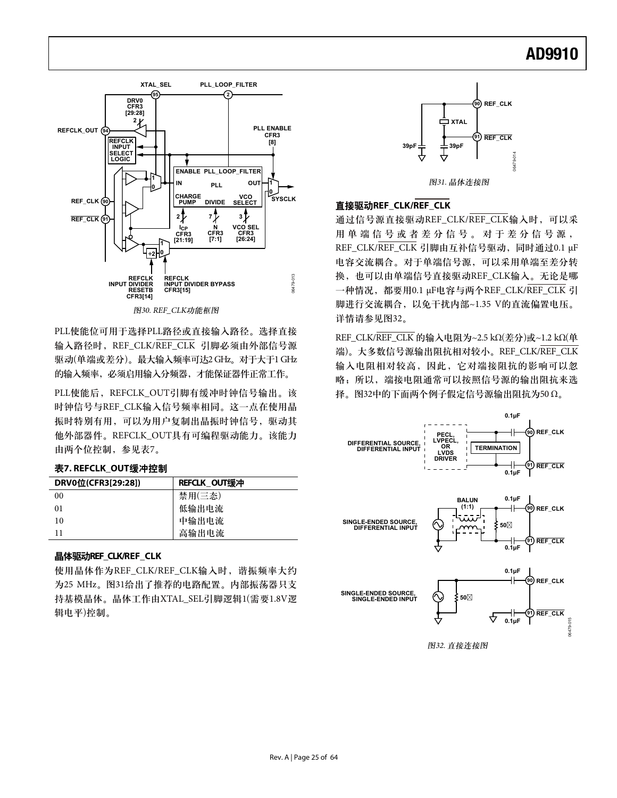

PLL使能位可用于选择PLL路径或直接输入路径。选择直接 输入路径时, REF CLK/REF CLK 引脚必须由外部信号源 驱动(单端或差分)。最大输入频率可达2 GHz。对于大于1 GHz 的输入频率,必须启用输入分频器,才能保证器件正常工作。

PLL使能后, REFCLK\_OUT引脚有缓冲时钟信号输出。该 时钟信号与REF\_CLK输入信号频率相同。这一点在使用晶 振时特别有用, 可以为用户复制出晶振时钟信号, 驱动其 他外部器件。REFCLK\_OUT具有可编程驱动能力。该能力 由两个位控制, 参见表7。

#### 表7. REFCLK OUT缓冲控制

| DRV0位(CFR3[29:28]) | REFCLK OUT缓冲 |
|--------------------|--------------|
| 00                 | 禁用(三杰)       |
| 01                 | 低输出电流        |
| 10                 | 中输出电流        |
| 11                 | 高输出电流        |

### **晶体驱动REF CLK/REF CLK**

使用晶体作为REF\_CLK/REF\_CLK输入时, 谐振频率大约 为25 MHz。图31给出了推荐的电路配置。内部振荡器只支 持基模晶体。晶体工作由XTAL SEL引脚逻辑1(需要1.8V逻 辑电平)控制。



### **直接驱动REF CLK/REF CLK**

通过信号源直接驱动REF\_CLK/REF\_CLK输入时, 可以采 用单端信号或者差分信号。对于差分信号源, REF\_CLK/REF\_CLK 引脚由互补信号驱动,同时通过0.1 μF 电容交流耦合。对于单端信号源,可以采用单端至差分转 换, 也可以由单端信号直接驱动REF\_CLK输入。无论是哪 一种情况, 都要用0.1 μF电容与两个REF\_CLK/REF\_CLK 引 脚进行交流耦合, 以免干扰内部~1.35 V的直流偏置电压。 详情请参见图32。

REF\_CLK/REF\_CLK 的输入电阻为~2.5 kΩ(差分)或~1.2 kΩ(单 端)。大多数信号源输出阻抗相对较小。REF CLK/REF CLK 输入电阻相对较高, 因此, 它对端接阻抗的影响可以忽 略; 所以, 端接电阻通常可以按照信号源的输出阻抗来选 择。图32中的下面两个例子假定信号源输出阻抗为50 Ω。



图32. 直接连接图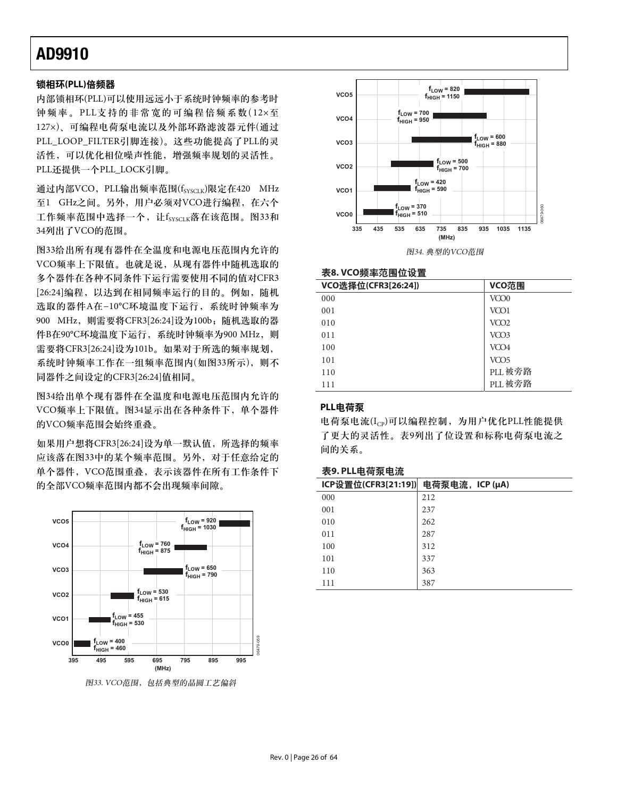### 锁相环(PLL)倍频器

内部锁相环(PLL)可以使用远远小于系统时钟频率的参考时 钟频率。PLL支持的非常宽的可编程倍频系数(12×至 127×)、可编程电荷泵电流以及外部环路滤波器元件(通过 PLL\_LOOP\_FILTER引脚连接)。这些功能提高了PLL的灵 活性,可以优化相位噪声性能,增强频率规划的灵活性。 PLL还提供一个PLL LOCK引脚。

通过内部VCO, PLL输出频率范围(fsyscLK)限定在420 MHz 至1 GHz之间。另外, 用户必须对VCO进行编程, 在六个 工作频率范围中选择一个, 让fsyscus落在该范围。图33和 34列出了VCO的范围。

图33给出所有现有器件在全温度和电源电压范围内允许的 VCO频率上下限值。也就是说, 从现有器件中随机选取的 多个器件在各种不同条件下运行需要使用不同的值对CFR3 [26:24] 编程, 以达到在相同频率运行的目的。例如, 随机 选取的器件A在-10℃环境温度下运行, 系统时钟频率为 900 MHz, 则需要将CFR3[26:24]设为100b; 随机选取的器 件B在90℃环境温度下运行,系统时钟频率为900 MHz, 则 需要将CFR3[26:24]设为101b。如果对干所选的频率规划, 系统时钟频率工作在一组频率范围内(如图33所示), 则不 同器件之间设定的CFR3[26:24]值相同。

图34给出单个现有器件在全温度和电源电压范围内允许的 VCO频率上下限值。图34显示出在各种条件下, 单个器件 的VCO频率范围会始终重叠。

如果用户想将CFR3[26:24]设为单一默认值, 所选择的频率 应该落在图33中的某个频率范围。另外, 对于任意给定的 单个器件, VCO范围重叠, 表示该器件在所有工作条件下 的全部VCO频率范围内都不会出现频率间隙。



图33. VCO范围,包括典型的晶圆工艺偏斜



#### 表8.VCO频率范围位设置

| VCO选择位(CFR3[26:24]) | VCO范围            |
|---------------------|------------------|
| 000                 | VCO <sub>0</sub> |
| 001                 | VCO1             |
| 010                 | VCO <sub>2</sub> |
| 011                 | VCO <sub>3</sub> |
| 100                 | VCO <sub>4</sub> |
| 101                 | VCO <sub>5</sub> |
| 110                 | PLL被旁路           |
| 111                 | PLL 被旁路          |

### **PLL电荷泵**

电荷泵电流 $(I_{CP})$ 可以编程控制, 为用户优化PLL性能提供 了更大的灵活性。表9列出了位设置和标称电荷泵电流之 间的关系。

#### $\overline{x}$ 9. PLL电荷泵电流

| ICP设置位(CFR3[21:19]) | 电荷泵电流, ICP (μA) |
|---------------------|-----------------|
| 000                 | 212             |
| 001                 | 237             |
| 010                 | 262             |
| 011                 | 287             |
| 100                 | 312             |
| 101                 | 337             |
| 110                 | 363             |
| 111                 | 387             |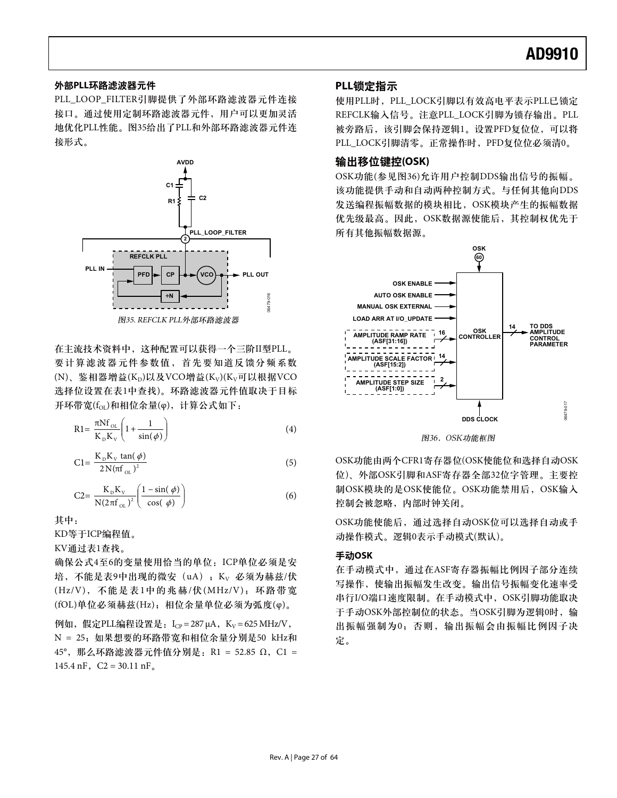### 外部PLL环路滤波器元件

PLL\_LOOP\_FILTER引脚提供了外部环路滤波器元件连接 接口。通过使用定制环路滤波器元件,用户可以更加灵活 地优化PLL性能。图35给出了PLL和外部环路滤波器元件连 接形式。



在主流技术资料中,这种配置可以获得一个三阶II型PLL。 要计算滤波器元件参数值,首先要知道反馈分频系数 (N)、鉴相器增益(K<sub>D</sub>)以及VCO增益(K<sub>V</sub>)(K<sub>V</sub>可以根据VCO 选择位设置在表1中杳找)。环路滤波器元件值取决于目标 开环带宽 $(f_{\text{OL}})$ 和相位余量(φ), 计算公式如下:

$$
R1 = \frac{\pi N f_{OL}}{K_D K_v} \left( 1 + \frac{1}{\sin(\phi)} \right)
$$
 (4)

$$
C1 = \frac{K_{\rm p} K_{\rm v} \tan(\phi)}{2N(\pi f_{\rm oL})^2}
$$
\n
$$
\tag{5}
$$

$$
C2 = \frac{K_{\rm p} K_{\rm v}}{N(2\pi f_{\rm oL})^2} \left(\frac{1-\sin(\phi)}{\cos(\phi)}\right)
$$
(6)

其中:

KD等于ICP编程值。

KV通过表1查找。

确保公式4至6的变量使用恰当的单位: ICP单位必须是安 培, 不能是表9中出现的微安 (uA) ; K<sub>v</sub> 必须为赫兹/伏  $(Hz/V)$ , 不能是表1中的兆赫/伏 $(MHz/V)$ ; 环路带宽 (fOL)单位必须赫兹(Hz); 相位余量单位必须为弧度(φ)。

 $\mathcal{D}$ 如,假定PLL编程设置是:  $L_{CP} = 287 \mu A$ ,  $K_V = 625 \text{ MHz/V}$ , N = 25; 如果想要的环路带宽和相位余量分别是50 kHz和  $45^\circ$ , 那么环路滤波器元件值分别是: R1 = 52.85 Ω, C1 = 145.4 nF,  $C2 = 30.11$  nF<sub>a</sub>

### PLL锁定指示

使用PLL时, PLL\_LOCK引脚以有效高电平表示PLL已锁定 REFCLK输入信号。注意PLL\_LOCK引脚为锁存输出。PLL 被旁路后,该引脚会保持逻辑1。设置PFD复位位,可以将 PLL\_LOCK引脚清零。正常操作时, PFD复位位必须清0。

### 输出移位键控(OSK)

OSK功能(参见图36)允许用户控制DDS输出信号的振幅。 该功能提供手动和自动两种控制方式。与任何其他向DDS 发送编程振幅数据的模块相比, OSK模块产生的振幅数据 优先级最高。因此, OSK数据源使能后, 其控制权优先于 所有其他振幅数据源。



图36. OSK功能框图

OSK功能由两个CFR1寄存器位(OSK使能位和选择自动OSK 位)、外部OSK引脚和ASF寄存器全部32位字管理。主要控 制OSK模块的是OSK使能位。OSK功能禁用后, OSK输入 控制会被忽略,内部时钟关闭。

OSK功能使能后, 通过选择自动OSK位可以选择自动或手 动操作模式。逻辑0表示手动模式(默认)。

#### 手动OSK

在手动模式中, 通过在ASF寄存器振幅比例因子部分连续 写操作, 使输出振幅发生改变。输出信号振幅变化速率受 串行I/O端口速度限制。在手动模式中, OSK引脚功能取决 于手动OSK外部控制位的状态。当OSK引脚为逻辑0时, 输 出振幅强制为0;否则,输出振幅会由振幅比例因子决 定。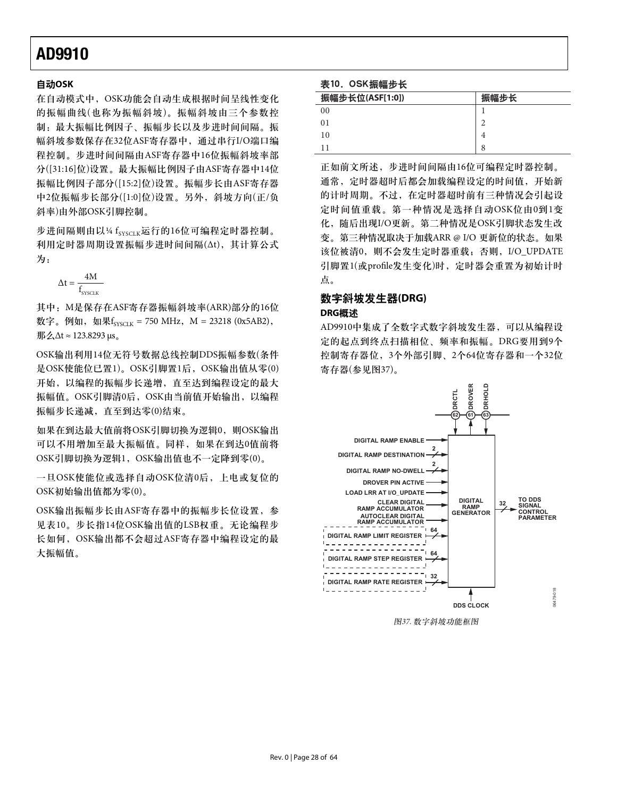### ጲۯ**OSK**

在自动模式中, OSK功能会自动生成根据时间呈线性变化 的振幅曲线(也称为振幅斜坡)。振幅斜坡由三个参数控 制: 最大振幅比例因子、振幅步长以及步进时间间隔。振 幅斜坡参数保存在32位ASF寄存器中, 通过串行I/O端口编 程控制。步进时间间隔由ASF寄存器中16位振幅斜坡率部 分([31:16]位)设置。最大振幅比例因子由ASF寄存器中14位 振幅比例因子部分([15:2]位)设置。振幅步长由ASF寄存器 中2位振幅步长部分([1:0]位)设置。另外, 斜坡方向(正/负 斜率)由外部OSK引脚控制。

步进间隔则由以¼ fsyscik运行的16位可编程定时器控制。 利用定时器周期设置振幅步进时间间隔(Δt), 其计算公式 为:

 $\Delta t = \frac{1}{f_{\text{sysCLK}}}$ 4M

其中: M是保存在ASF寄存器振幅斜坡率(ARR)部分的16位 数字。例如, 如果 $f_{\text{SVSCIK}} = 750 \text{ MHz}$ , M = 23218 (0x5AB2),  $\frac{1}{2}$  3D  $\frac{\Delta \Delta t}{2}$  ≈ 123.8293 μs<sub>α</sub>

OSK输出利用14位无符号数据总线控制DDS振幅参数(条件 是OSK使能位已置1)。OSK引脚置1后,OSK输出值从零(0) 开始, 以编程的振幅步长递增, 直至达到编程设定的最大 振幅值。OSK引脚清0后, OSK由当前值开始输出, 以编程 振幅步长递减, 直至到达零(0)结束。

如果在到达最大值前将OSK引脚切换为逻辑0, 则OSK输出 可以不用增加至最大振幅值。同样, 如果在到达0值前将 OSK引脚切换为逻辑1, OSK输出值也不一定降到零(0)。

一旦OSK使能位或选择自动OSK位清0后, 上电或复位的 OSK初始输出值都为零(0)。

OSK输出振幅步长由ASF寄存器中的振幅步长位设置, 参 见表10。步长指14位OSK输出值的LSB权重。无论编程步 长如何, OSK输出都不会超过ASF寄存器中编程设定的最 大振幅值。

#### 表10. OSK振幅步长

| 振幅步长位(ASF[1:0]) | 振幅步长 |
|-----------------|------|
| 0 <sub>0</sub>  |      |
| 0 <sub>1</sub>  |      |
| 10              |      |
|                 | 8    |

正如前文所述,步进时间间隔由16位可编程定时器控制。 通常, 定时器超时后都会加载编程设定的时间值, 开始新 的计时周期。不过, 在定时器超时前有三种情况会引起设 定时间值重载。第一种情况是选择自动OSK位由0到1变 化, 随后出现I/O更新。第二种情况是OSK引脚状态发生改 变。第三种情况取决于加载ARR @ I/O 更新位的状态。如果 该位被清0, 则不会发生定时器重载; 否则, I/O\_UPDATE 引脚置1(或profile发生变化)时, 定时器会重置为初始计时 点。

### 数字斜坡发生器(DRG)

### **DRG概述**

AD9910中集成了全数字式数字斜坡发生器, 可以从编程设 定的起点到终点扫描相位、频率和振幅。DRG要用到9个 控制寄存器位, 3个外部引脚、2个64位寄存器和一个32位 寄存器(参见图37)。



图37. 数字斜坡功能框图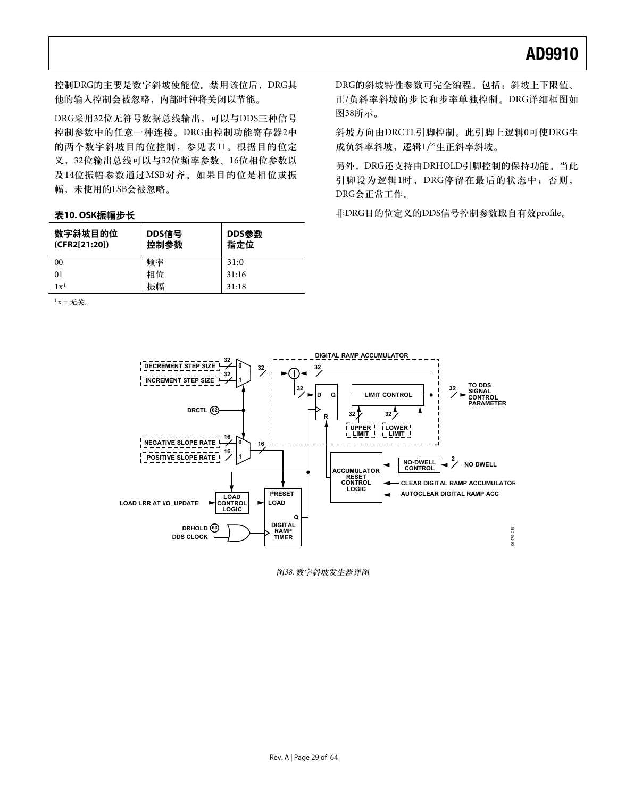控制DRG的主要是数字斜坡使能位。禁用该位后, DRG其 他的输入控制会被忽略,内部时钟将关闭以节能。

DRG采用32位无符号数据总线输出,可以与DDS三种信号 控制参数中的任意一种连接。DRG由控制功能寄存器2中 的两个数字斜坡目的位控制,参见表11。根据目的位定 义, 32位输出总线可以与32位频率参数、16位相位参数以 及14位振幅参数通过MSB对齐。如果目的位是相位或振 幅, 未使用的LSB会被忽略。

#### 表10.0SK振幅步长

| 数字斜坡目的位<br>(CFR2[21:20]) | DDS信号<br>控制参数 | DDS参数<br>指定位 |
|--------------------------|---------------|--------------|
| 0 <sub>0</sub>           | 频率            | 31:0         |
| 0 <sub>1</sub>           | 相位            | 31:16        |
| $1x^1$                   | 振幅            | 31:18        |

 $1 x = \pm \frac{1}{2}$ 

DRG的斜坡特性参数可完全编程。包括: 斜坡上下限值、 正/负斜率斜坡的步长和步率单独控制。DRG详细框图如 图38所示。

斜坡方向由DRCTL引脚控制。此引脚上逻辑0可使DRG生 成负斜率斜坡,逻辑1产生正斜率斜坡。

另外, DRG还支持由DRHOLD引脚控制的保持功能。当此 引脚设为逻辑1时, DRG停留在最后的状态中; 否则, DRG会正常工作。

非DRG目的位定义的DDS信号控制参数取自有效profile。



图38. 数字斜坡发生器详图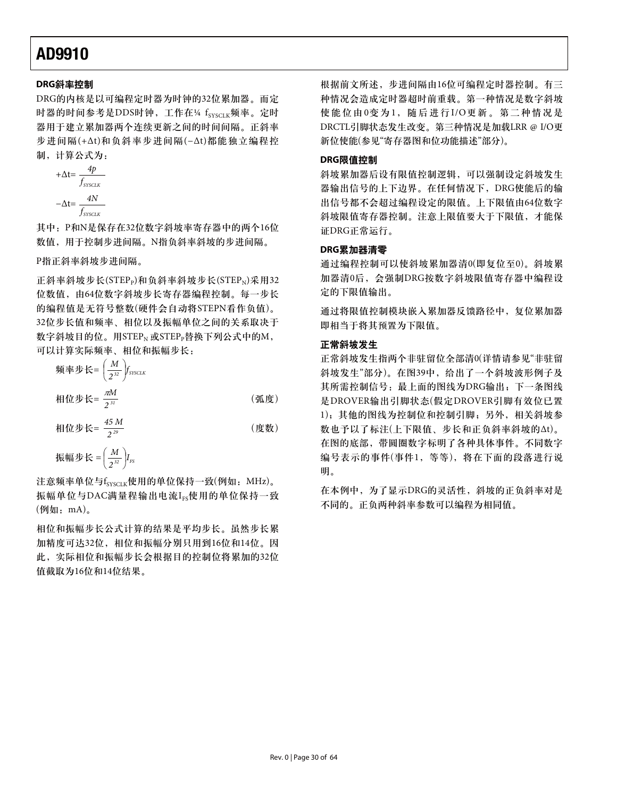### **DRG斜率控制**

DRG的内核是以可编程定时器为时钟的32位累加器。而定 时器的时间参考是DDS时钟, 工作在14 fsyscuk频率。定时 器用于建立累加器两个连续更新之间的时间间隔。正斜率 步进间隔(+Δt)和负斜率步进间隔(-Δt)都能独立编程控 制, 计算公式为:

$$
+\Delta t = \frac{4p}{f_{\text{SYSCLR}}}
$$

$$
-\Delta t = \frac{4N}{f_{\text{SYSCLR}}}
$$

其中: P和N是保存在32位数字斜坡率寄存器中的两个16位 数值, 用于控制步进间隔。N指负斜率斜坡的步进间隔。

P指正斜率斜坡步进间隔。

正斜率斜坡步长(STEP。)和负斜率斜坡步长(STEP、)采用32 位数值, 由64位数字斜坡步长寄存器编程控制。每一步长 的编程值是无符号整数(硬件会自动将STEPN看作负值)。 32位步长值和频率、相位以及振幅单位之间的关系取决于 数字斜坡目的位。用STEP<sub>N</sub> 或STEP<sub>P</sub>替换下列公式中的M, 可以计算实际频率、相位和振幅步长:

$$
h\overline{w} \times \overline{w} = \left(\frac{M}{2^{32}}\right) f_{\text{SYSCLR}}
$$
\n
$$
h\overline{w} \times \overline{w} = \frac{m}{2^{31}} \tag{m.10}
$$

$$
\text{相位 } \# \mathsf{K} = \frac{45 \, \text{M}}{2^{\, \text{29}}} \tag{度数}
$$

$$
m\overline{m} = \frac{M}{2^{32}} I_{FS}
$$

注意频率单位与fsysclk使用的单位保持一致(例如: MHz)。 振幅单位与DAC满量程输出电流IFs使用的单位保持一致  $(\varphi)$ 如: mA)。

相位和振幅步长公式计算的结果是平均步长。虽然步长累 加精度可达32位, 相位和振幅分别只用到16位和14位。因 此, 实际相位和振幅步长会根据目的控制位将累加的32位 值截取为16位和14位结果。

根据前文所述,步进间隔由16位可编程定时器控制。有三 种情况会造成定时器超时前重载。第一种情况是数字斜坡 使能位由0变为1, 随后进行I/O更新。第二种情况是 DRCTL引脚状态发生改变。第三种情况是加载LRR @ I/O更 新位使能(参见"寄存器图和位功能描述"部分)。

### **DRG限值控制**

斜坡累加器后设有限值控制逻辑,可以强制设定斜坡发生 器输出信号的上下边界。在任何情况下, DRG使能后的输 出信号都不会超过编程设定的限值。上下限值由64位数字 斜坡限值寄存器控制。注意上限值要大于下限值,才能保 证DRG正常运行。

### **DRG累加器清零**

通过编程控制可以使斜坡累加器清0(即复位至0)。斜坡累 加器清0后, 会强制DRG按数字斜坡限值寄存器中编程设 定的下限值输出。

通过将限值控制模块嵌入累加器反馈路径中,复位累加器 即相当于将其预置为下限值。

#### 正常斜坡发生

正常斜坡发生指两个非驻留位全部清0(详情请参见"非驻留 斜坡发生"部分)。在图39中, 给出了一个斜坡波形例子及 其所需控制信号: 最上面的图线为DRG输出; 下一条图线 是DROVER输出引脚状态(假定DROVER引脚有效位已置 1); 其他的图线为控制位和控制引脚;另外, 相关斜坡参 数也予以了标注(上下限值、步长和正负斜率斜坡的Δt)。 在图的底部, 带圆圈数字标明了各种具体事件。不同数字 编号表示的事件(事件1, 等等), 将在下面的段落进行说 明。

在本例中, 为了显示DRG的灵活性, 斜坡的正负斜率对是 不同的。正负两种斜率参数可以编程为相同值。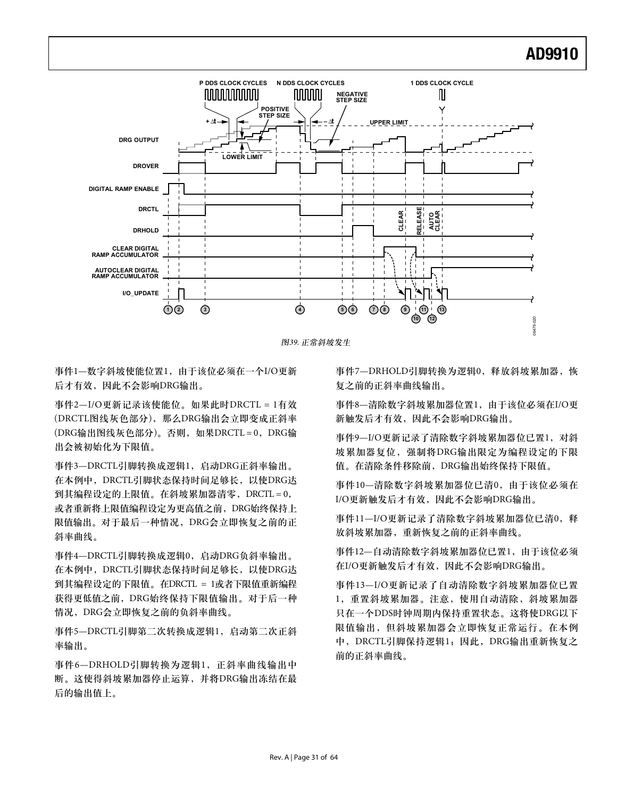

图39. 正常斜坡发生

事件1-数字斜坡使能位置1, 由于该位必须在一个I/O更新 后才有效,因此不会影响DRG输出。

事件2—I/O更新记录该使能位。如果此时DRCTL = 1有效 (DRCTL图线灰色部分), 那么DRG输出会立即变成正斜率 (DRG输出图线灰色部分)。否则, 如果DRCTL = 0, DRG输 出会被初始化为下限值。

事件3-DRCTL引脚转换成逻辑1, 启动DRG正斜率输出。 在本例中, DRCTL引脚状态保持时间足够长, 以使DRG达 到其编程设定的上限值。在斜坡累加器清零, DRCTL = 0, 或者重新将上限值编程设定为更高值之前, DRG始终保持上 限值输出。对于最后一种情况, DRG会立即恢复之前的正 斜率曲线。

事件4—DRCTL引脚转换成逻辑0, 启动DRG负斜率输出。 在本例中, DRCTL引脚状态保持时间足够长, 以使DRG达 到其编程设定的下限值。在DRCTL = 1或者下限值重新编程 获得更低值之前, DRG始终保持下限值输出。对于后一种 情况, DRG会立即恢复之前的负斜率曲线。

事件5-DRCTL引脚第二次转换成逻辑1, 启动第二次正斜 率输出。

事件6-DRHOLD引脚转换为逻辑1, 正斜率曲线输出中 断。这使得斜坡累加器停止运算, 并将DRG输出冻结在最 后的输出值上。

事件7-DRHOLD引脚转换为逻辑0, 释放斜坡累加器, 恢 复之前的正斜率曲线输出。

事件8—清除数字斜坡累加器位置1, 由于该位必须在I/O更 新触发后才有效, 因此不会影响DRG输出。

事件9-I/O更新记录了清除数字斜坡累加器位已置1, 对斜 坡累加器复位, 强制将DRG输出限定为编程设定的下限 值。在清除条件移除前, DRG输出始终保持下限值。

事件10—清除数字斜坡累加器位已清0, 由于该位必须在 I/O更新触发后才有效,因此不会影响DRG输出。

事件11—I/O更新记录了清除数字斜坡累加器位已清0, 释 放斜坡累加器, 重新恢复之前的正斜率曲线。

事件12—自动清除数字斜坡累加器位已置1,由于该位必须 在I/O更新触发后才有效,因此不会影响DRG输出。

事件13—I/O更新记录了自动清除数字斜坡累加器位已置 1, 重置斜坡累加器。注意, 使用自动清除, 斜坡累加器 只在一个DDS时钟周期内保持重置状态。这将使DRG以下 限值输出,但斜坡累加器会立即恢复正常运行。在本例 中, DRCTL引脚保持逻辑1; 因此, DRG输出重新恢复之 前的正斜率曲线。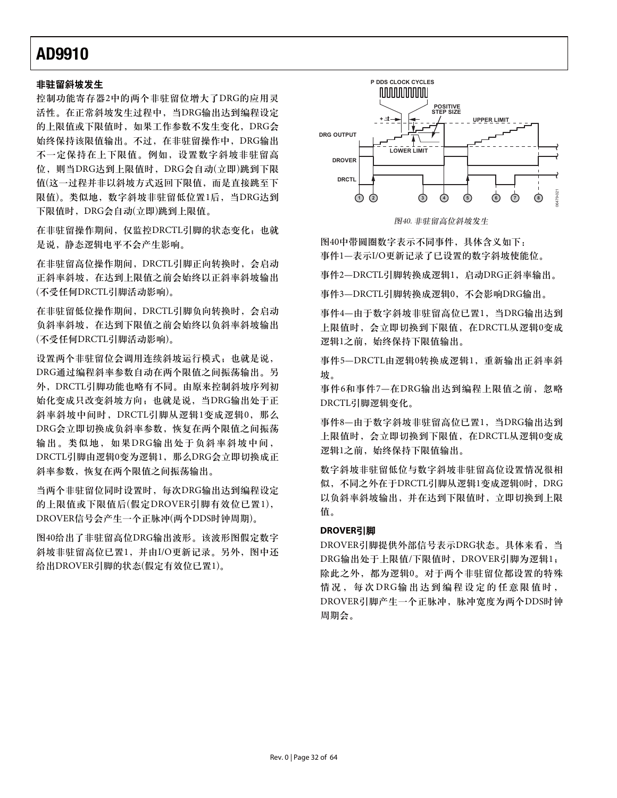### 非驻留斜坡发生

控制功能寄存器2中的两个非驻留位增大了DRG的应用灵 活性。在正常斜坡发生过程中, 当DRG输出达到编程设定 的上限值或下限值时, 如果工作参数不发生变化, DRG会 始终保持该限值输出。不过, 在非驻留操作中, DRG输出 不一定保持在上下限值。例如, 设置数字斜坡非驻留高 位, 则当DRG达到上限值时, DRG会自动(立即)跳到下限 值(这一过程并非以斜坡方式返回下限值,而是直接跳至下 限值)。类似地, 数字斜坡非驻留低位置1后, 当DRG达到 下限值时, DRG会自动(立即)跳到上限值。

在非驻留操作期间, 仅监控DRCTL引脚的状态变化; 也就 是说,静态逻辑电平不会产生影响。

在非驻留高位操作期间, DRCTL引脚正向转换时, 会启动 正斜率斜坡, 在达到上限值之前会始终以正斜率斜坡输出 (不受任何DRCTL引脚活动影响)。

在非驻留低位操作期间, DRCTL引脚负向转换时, 会启动 负斜率斜坡, 在达到下限值之前会始终以负斜率斜坡输出 (不受任何DRCTL引脚活动影响)。

设置两个非驻留位会调用连续斜坡运行模式; 也就是说, DRG通过编程斜率参数自动在两个限值之间振荡输出。另 外, DRCTL引脚功能也略有不同。由原来控制斜坡序列初 始化变成只改变斜坡方向: 也就是说, 当DRG输出处于正 斜率斜坡中间时, DRCTL引脚从逻辑1变成逻辑0, 那么 DRG会立即切换成负斜率参数,恢复在两个限值之间振荡 输出。类似地,如果DRG输出处于负斜率斜坡中间, DRCTL引脚由逻辑0变为逻辑1, 那么DRG会立即切换成正 斜率参数,恢复在两个限值之间振荡输出。

当两个非驻留位同时设置时, 每次DRG输出达到编程设定 的上限值或下限值后(假定DROVER引脚有效位已置1), DROVER信号会产生一个正脉冲(两个DDS时钟周期)。

图40给出了非驻留高位DRG输出波形。该波形图假定数字 斜坡非驻留高位已置1, 并由I/O更新记录。另外, 图中还 给出DROVER引脚的状态(假定有效位已置1)。



图40. 非驻留高位斜坡发生

图40中带圆圈数字表示不同事件, 具体含义如下: 事件1—表示I/O更新记录了已设置的数字斜坡使能位。

事件2—DRCTL引脚转换成逻辑1,启动DRG正斜率输出。

事件3-DRCTL引脚转换成逻辑0, 不会影响DRG输出。

事件4—由于数字斜坡非驻留高位已置1,当DRG输出达到 上限值时, 会立即切换到下限值, 在DRCTL从逻辑0变成 逻辑1之前, 始终保持下限值输出。

事件5-DRCTL由逻辑0转换成逻辑1, 重新输出正斜率斜 坊。

事件6和事件7-在DRG输出达到编程上限值之前, 忽略 DRCTL引脚逻辑变化。

事件8—由于数字斜坡非驻留高位已置1, 当DRG输出达到 上限值时, 会立即切换到下限值, 在DRCTL从逻辑0变成 逻辑1之前, 始终保持下限值输出。

数字斜坡非驻留高位设置情况很相 似,不同之外在于DRCTL引脚从逻辑1变成逻辑0时, DRG 以负斜率斜坡输出,并在达到下限值时,立即切换到上限 值。

### **DROVER引脚**

DROVER引脚提供外部信号表示DRG状态。具体来看, 当 DRG输出处于上限值/下限值时, DROVER引脚为逻辑1; 除此之外, 都为逻辑0。对于两个非驻留位都设置的特殊 情况, 每次DRG输出达到编程设定的任意限值时, DROVER引脚产生一个正脉冲, 脉冲宽度为两个DDS时钟 周期会。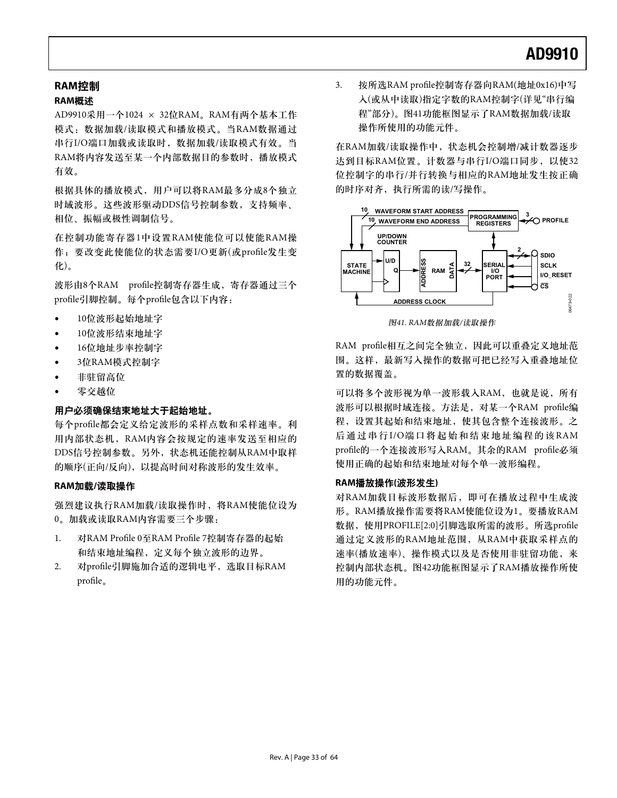### **RAM控制**

### RAM概**述**

AD9910采用一个1024 × 32位RAM。RAM有两个基本工作 模式: 数据加载/读取模式和播放模式。当RAM数据通过 串行I/O端口加载或读取时, 数据加载/读取模式有效。当 RAM将内容发送至某一个内部数据目的参数时, 播放模式 有效。

根据具体的播放模式, 用户可以将RAM最多分成8个独立 时域波形。这些波形驱动DDS信号控制参数,支持频率、 相位、振幅或极性调制信号。

在控制功能寄存器1中设置RAM使能位可以使能RAM操 作; 要改变此使能位的状态需要I/O更新(或profile发生变 化)。

波形由8个RAM profile控制寄存器生成, 寄存器通过三个 profile引脚控制。每个profile包含以下内容:

- 10位波形起始地址字
- 10位波形结束地址字
- 16位地址步率控制字
- 3位RAM模式控制字
- 非驻留高位
- 零交越位

### 用户必须确保结束地址大于起始地址。

每个profile都会定义给定波形的采样点数和采样速率。利 用内部状态机, RAM内容会按规定的速率发送至相应的 DDS信号控制参数。另外, 状态机还能控制从RAM中取样 的顺序(正向/反向),以提高时间对称波形的发生效率。

### **RAM加载/读取操作**

强烈建议执行RAM加载/读取操作时, 将RAM使能位设为 0。加载或读取RAM内容需要三个步骤:

- 1. 对RAM Profile 0至RAM Profile 7控制寄存器的起始 和结束地址编程, 定义每个独立波形的边界。
- 2. 对profile引脚施加合适的逻辑电平, 选取目标RAM profile<sub>o</sub>

3. 按所选RAM profile控制寄存器向RAM(地址0x16)中写 入(或从中读取)指定字数的RAM控制字(详见"串行编 程"部分)。图41功能框图显示了RAM数据加载/读取 操作所使用的功能元件。

在RAM加载/读取操作中, 状态机会控制增/减计数器逐步 达到目标RAM位置。计数器与串行I/O端口同步, 以使32 位控制字的串行/并行转换与相应的RAM地址发生按正确 的时序对齐, 执行所需的读/写操作。



图41. RAM数据加载/读取操作

RAM profile相互之间完全独立, 因此可以重叠定义地址范 围。这样, 最新写入操作的数据可把已经写入重叠地址位 置的数据覆盖。

可以将多个波形视为单一波形载入RAM, 也就是说, 所有 波形可以根据时域连接。方法是, 对某一个RAM profile编 程, 设置其起始和结束地址, 使其包含整个连接波形。之 后通过串行I/O端口将起始和结束地址编程的该RAM profile的一个连接波形写入RAM。其余的RAM profile必须 使用正确的起始和结束地址对每个单一波形编程。

### RAM播放操作(波形发生)

对RAM加载目标波形数据后, 即可在播放过程中生成波 形。RAM播放操作需要将RAM使能位设为1。要播放RAM 数据, 使用PROFILE[2:0]引脚选取所需的波形。所选profile 通过定义波形的RAM地址范围, 从RAM中获取采样点的 速率(播放速率)、操作模式以及是否使用非驻留功能,来 控制内部状态机。图42功能框图显示了RAM播放操作所使 用的功能元件。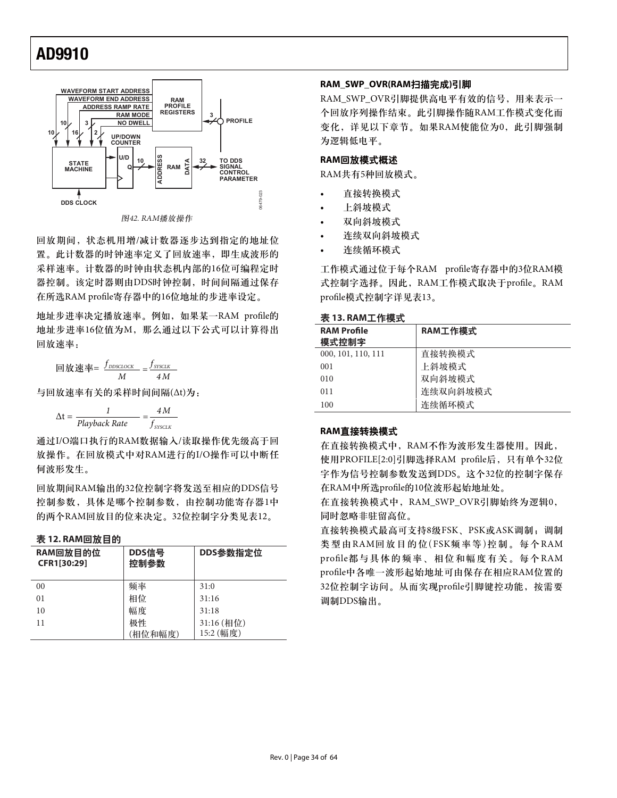

回放期间,状态机用增/减计数器逐步达到指定的地址位 置。此计数器的时钟速率定义了回放速率, 即生成波形的 采样速率。计数器的时钟由状态机内部的16位可编程定时 器控制。该定时器则由DDS时钟控制,时间间隔通过保存 在所选RAM profile寄存器中的16位地址的步进率设定。

地址步进率决定播放速率。例如, 如果某一RAM profile的 地址步进率16位值为M, 那么通过以下公式可以计算得出 回放速率:

回放速率=  $\frac{f_{\text{DDSCLOCK}}}{M} = \frac{f_{\text{SYSCLK}}}{4M}$ M M

与回放速率有关的采样时间间隔(Δt)为:

$$
\Delta t = \frac{1}{Playback Rate} = \frac{4M}{f_{SYSCLK}}
$$

通过I/O端口执行的RAM数据输入/读取操作优先级高干回 放操作。在回放模式中对RAM进行的I/O操作可以中断任 何波形发生。

回放期间RAM输出的32位控制字将发送至相应的DDS信号 控制参数, 具体是哪个控制参数, 由控制功能寄存器1中 的两个RAM回放目的位来决定。32位控制字分类见表12。

#### 表 12. RAM回放日的

| RAM回放目的位<br>CFR1[30:29] | DDS信号<br>控制参数 | DDS参数指定位                |
|-------------------------|---------------|-------------------------|
| 00                      | 频率            | 31:0                    |
| 01                      | 相位            | 31:16                   |
| 10                      | 幅度            | 31:18                   |
| 11                      | 极性<br>(相位和幅度) | 31:16 (相位)<br>15:2 (幅度) |

#### **RAM\_SWP\_OVR(RAM扫描完成)引脚**

RAM\_SWP\_OVR引脚提供高电平有效的信号, 用来表示一 个回放序列操作结束。此引脚操作随RAM工作模式变化而 变化,详见以下章节。如果RAM使能位为0,此引脚强制 为逻辑低电平。

### RAM回放模式概述

RAM共有5种回放模式。

- 直接转换模式
- 上斜坡模式
- 双向斜坡模式
- 连续双向斜坡模式
- 连续循环模式

工作模式通过位于每个RAM profile寄存器中的3位RAM模 式控制字选择。因此, RAM工作模式取决于profile。RAM profile模式控制字详见表13。

### 表 13. RAM工作模式

| <b>RAM Profile</b><br>模式控制字 | RAM工作模式  |
|-----------------------------|----------|
| 000, 101, 110, 111          | 直接转换模式   |
| 001                         | 上斜坡模式    |
| 010                         | 双向斜坡模式   |
| 011                         | 连续双向斜坡模式 |
| 100                         | 连续循环模式   |

#### **RAM直接转换模式**

在直接转换模式中, RAM不作为波形发生器使用。因此, 使用PROFILE[2:0]引脚选择RAM profile后, 只有单个32位 字作为信号控制参数发送到DDS。这个32位的控制字保存 在RAM中所选profile的10位波形起始地址处。

在直接转换模式中, RAM\_SWP\_OVR引脚始终为逻辑0, 同时忽略非驻留高位。

直接转换模式最高可支持8级FSK、PSK或ASK调制; 调制 类型由RAM回放目的位(FSK频率等)控制。每个RAM profile都与具体的频率、相位和幅度有关。每个RAM profile中各唯一波形起始地址可由保存在相应RAM位置的 32位控制字访问。从而实现profile引脚键控功能, 按需要 调制DDS输出。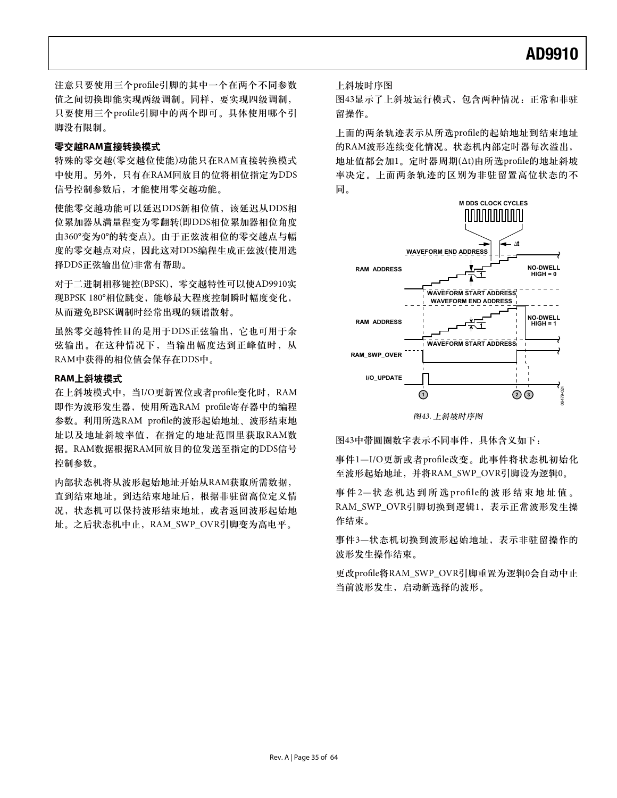注意只要使用三个profile引脚的其中一个在两个不同参数 值之间切换即能实现两级调制。同样,要实现四级调制, 只要使用三个profile引脚中的两个即可。具体使用哪个引 脚没有限制。

### 零交越RAM直接转换模式

特殊的零交越(零交越位使能)功能只在RAM直接转换模式 中使用。另外,只有在RAM回放目的位将相位指定为DDS 信号控制参数后,才能使用零交越功能。

使能零交越功能可以延迟DDS新相位值, 该延迟从DDS相 位累加器从满量程变为零翻转(即DDS相位累加器相位角度 由360°变为0°的转变点)。由于正弦波相位的零交越点与幅 度的零交越点对应,因此这对DDS编程生成正弦波(使用选 择DDS正弦输出位)非常有帮助。

对于二进制相移键控(BPSK), 零交越特性可以使AD9910实 现BPSK 180°相位跳变,能够最大程度控制瞬时幅度变化, 从而避免BPSK调制时经常出现的频谱散射。

虽然零交越特性目的是用于DDS正弦输出, 它也可用于余 弦输出。在这种情况下, 当输出幅度达到正峰值时, 从 RAM中获得的相位值会保存在DDS中。

#### **RAM上斜坡模式**

在上斜坡模式中, 当I/O更新置位或者profile变化时, RAM 即作为波形发生器, 使用所选RAM profile寄存器中的编程 参数。利用所选RAM profile的波形起始地址、波形结束地 址以及地址斜坡率值, 在指定的地址范围里获取RAM数 据。RAM数据根据RAM回放目的位发送至指定的DDS信号 控制参数。

内部状态机将从波形起始地址开始从RAM获取所需数据, 直到结束地址。到达结束地址后, 根据非驻留高位定义情 况, 状态机可以保持波形结束地址, 或者返回波形起始地 址。之后状态机中止, RAM\_SWP\_OVR引脚变为高电平。

上斜坡时序图

图43显示了上斜坡运行模式,包含两种情况:正常和非驻 留操作。

上面的两条轨迹表示从所选profile的起始地址到结束地址 的RAM波形连续变化情况。状态机内部定时器每次溢出, 地址值都会加1。定时器周期(Δt)由所选profile的地址斜坡 率决定。上面两条轨迹的区别为非驻留置高位状态的不 ཞă



图43. 上斜坡时序图

图43中带圆圈数字表示不同事件, 具体含义如下:

事件1-I/O更新或者profile改变。此事件将状态机初始化 至波形起始地址,并将RAM\_SWP\_OVR引脚设为逻辑0。

事件2-状态机达到所选profile的波形结束地址值。 RAM\_SWP\_OVR引脚切换到逻辑1, 表示正常波形发生操 作结束。

事件3—状态机切换到波形起始地址,表示非驻留操作的 波形发生操作结束。

更改profile将RAM\_SWP\_OVR引脚重置为逻辑0会自动中止 当前波形发生,启动新选择的波形。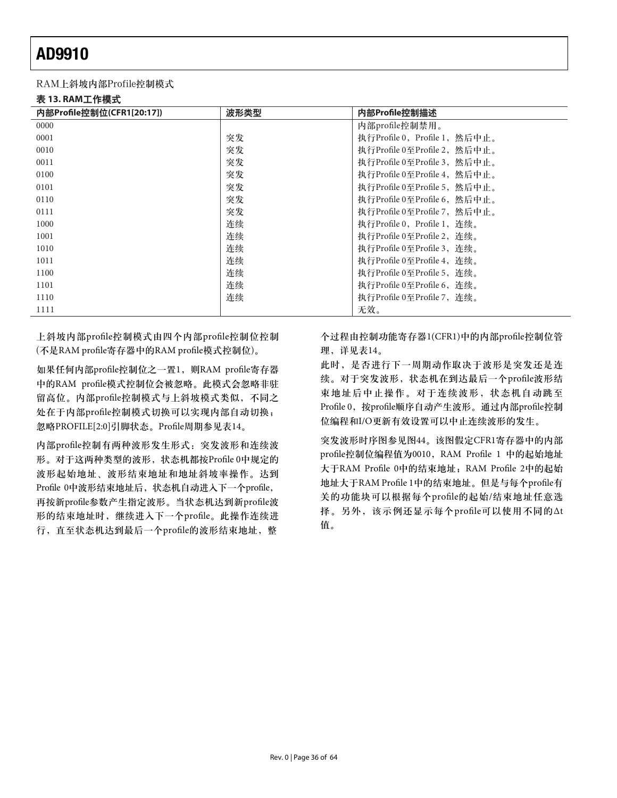### RAM上斜坡内部Profile控制模式

表 13. RAM工作模式

| 内部Profile控制位(CFR1[20:17]) | 波形类型 | 内部Profile控制描述                 |
|---------------------------|------|-------------------------------|
| 0000                      |      | 内部profile控制禁用。                |
| 0001                      | 突发   | 执行Profile 0, Profile 1, 然后中止。 |
| 0010                      | 突发   | 执行Profile 0至Profile 2, 然后中止。  |
| 0011                      | 突发   | 执行Profile 0至Profile 3, 然后中止。  |
| 0100                      | 突发   | 执行Profile 0至Profile 4, 然后中止。  |
| 0101                      | 突发   | 执行Profile 0至Profile 5, 然后中止。  |
| 0110                      | 突发   | 执行Profile 0至Profile 6, 然后中止。  |
| 0111                      | 突发   | 执行Profile 0至Profile 7, 然后中止。  |
| 1000                      | 连续   | 执行Profile 0, Profile 1, 连续。   |
| 1001                      | 连续   | 执行Profile 0至Profile 2, 连续。    |
| 1010                      | 连续   | 执行Profile 0至Profile 3, 连续。    |
| 1011                      | 连续   | 执行Profile 0至Profile 4, 连续。    |
| 1100                      | 连续   | 执行Profile 0至Profile 5, 连续。    |
| 1101                      | 连续   | 执行Profile 0至Profile 6, 连续。    |
| 1110                      | 连续   | 执行Profile 0至Profile 7, 连续。    |
| 1111                      |      | 无效。                           |

上斜坡内部profile控制模式由四个内部profile控制位控制 (不是RAM profile寄存器中的RAM profile模式控制位)。

如果任何内部profile控制位之一置1, 则RAM profile寄存器 中的RAM profile模式控制位会被忽略。此模式会忽略非驻 留高位。内部profile控制模式与上斜坡模式类似,不同之 处在于内部profile控制模式切换可以实现内部自动切换; 忽略PROFILE[2:0]引脚状态。Profile周期参见表14。

内部profile控制有两种波形发生形式: 突发波形和连续波 形。对于这两种类型的波形, 状态机都按Profile 0中规定的 波形起始地址、波形结束地址和地址斜坡率操作。达到 Profile 0中波形结束地址后, 状态机自动进入下一个profile, 再按新profile参数产生指定波形。当状态机达到新profile波 形的结束地址时,继续进入下一个profile。此操作连续进 行, 直至状态机达到最后一个profile的波形结束地址, 整

个过程由控制功能寄存器1(CFR1)中的内部profile控制位管 理,详见表14。

此时, 是否进行下一周期动作取决于波形是突发还是连 续。对于突发波形, 状态机在到达最后一个profile波形结 束地址后中止操作。对于连续波形,状态机自动跳至 Profile 0, 按profile顺序自动产生波形。通过内部profile控制 位编程和I/O更新有效设置可以中止连续波形的发生。

突发波形时序图参见图44。该图假定CFR1寄存器中的内部 profile控制位编程值为0010, RAM Profile 1 中的起始地址 大于RAM Profile 0中的结束地址; RAM Profile 2中的起始 地址大于RAM Profile 1中的结束地址。但是与每个profile有 关的功能块可以根据每个profile的起始/结束地址任意选 择。另外,该示例还显示每个profile可以使用不同的△t 值。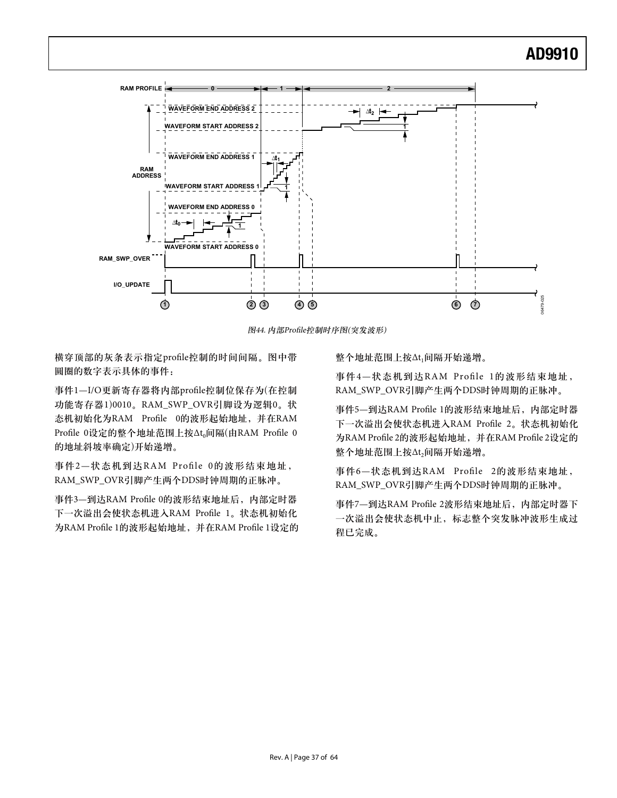

图44. 内部Profile控制时序图(突发波形)

横穿顶部的灰条表示指定profile控制的时间间隔。图中带 圆圈的数字表示具体的事件:

事件1-I/O更新寄存器将内部profile控制位保存为(在控制 功能寄存器1)0010。RAM\_SWP\_OVR引脚设为逻辑0。状 态机初始化为RAM Profile 0的波形起始地址, 并在RAM Profile 0设定的整个地址范围上按△t<sub>0</sub>间隔(由RAM Profile 0 的地址斜坡率确定)开始递增。

事件2—状态机到达RAM Profile 0的波形结束地址, RAM\_SWP\_OVR引脚产生两个DDS时钟周期的正脉冲。

事件3—到达RAM Profile 0的波形结束地址后, 内部定时器 下一次溢出会使状态机进入RAM Profile 1。状态机初始化 为RAM Profile 1的波形起始地址,并在RAM Profile 1设定的 整个地址范围上按△t1间隔开始递增。

事件4-状态机到达RAM Profile 1的波形结束地址, RAM\_SWP\_OVR引脚产生两个DDS时钟周期的正脉冲。

事件5—到达RAM Profile 1的波形结束地址后, 内部定时器 下一次溢出会使状态机进入RAM Profile 2。状态机初始化 为RAM Profile 2的波形起始地址,并在RAM Profile 2设定的 整个地址范围上按△t,间隔开始递增。

事件6—状态机到达RAM Profile 2的波形结束地址, RAM\_SWP\_OVR引脚产生两个DDS时钟周期的正脉冲。

事件7—到达RAM Profile 2波形结束地址后, 内部定时器下 一次溢出会使状态机中止, 标志整个突发脉冲波形生成过 程已完成。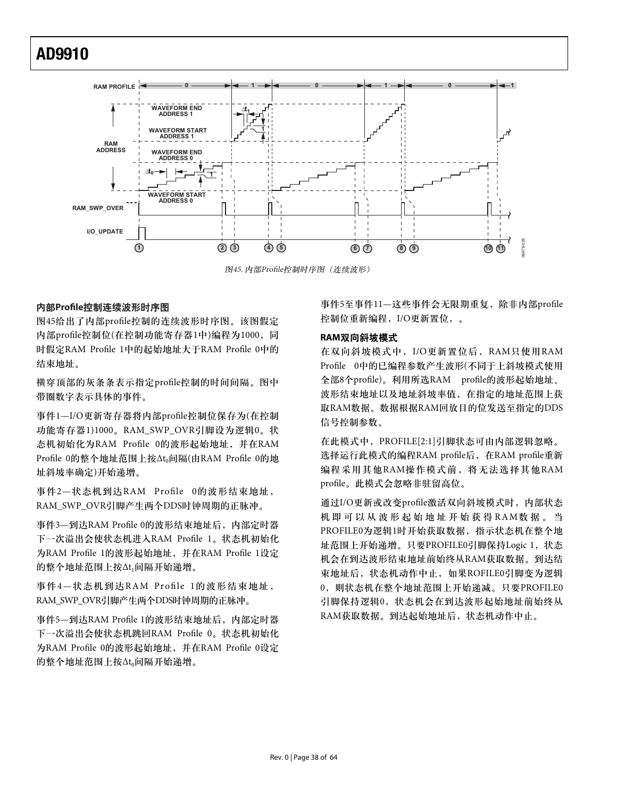

图45. 内部Profile控制时序图 (连续波形)

### 内部Profile控制连续波形时序图

图45给出了内部profile控制的连续波形时序图。该图假定 内部profile控制位(在控制功能寄存器1中)编程为1000,同 时假定RAM Profile 1中的起始地址大于RAM Profile 0中的 结束地址。

横穿顶部的灰条条表示指定profile控制的时间间隔。图中 带圈数字表示具体的事件。

事件1-I/O更新寄存器将内部profile控制位保存为(在控制 功能寄存器1)1000。RAM\_SWP\_OVR引脚设为逻辑0。状 态机初始化为RAM Profile 0的波形起始地址, 并在RAM Profile 0的整个地址范围上按At<sub>0</sub>间隔(由RAM Profile 0的地 址斜坡率确定)开始递增。

事件2—状态机到达RAM Profile 0的波形结束地址, RAM\_SWP\_OVR引脚产生两个DDS时钟周期的正脉冲。

事件3—到达RAM Profile 0的波形结束地址后, 内部定时器 下一次溢出会使状态机进入RAM Profile 1。状态机初始化 为RAM Profile 1的波形起始地址, 并在RAM Profile 1设定 的整个地址范围上按At<sub>1</sub>间隔开始递增。

事件4-状态机到达RAM Profile 1的波形结束地址, RAM\_SWP\_OVR引脚产生两个DDS时钟周期的正脉冲。

事件5—到达RAM Profile 1的波形结束地址后,内部定时器 下一次溢出会使状态机跳回RAM Profile 0。状态机初始化 为RAM Profile 0的波形起始地址, 并在RAM Profile 0设定 的整个地址范围上按Δt。问隔开始递增。

事件5至事件11—这些事件会无限期重复, 除非内部profile 控制位重新编程, I/O更新置位, 。

### **RAM** 双向斜坡模式

在双向斜坡模式中, I/O更新置位后, RAM只使用RAM Profile 0中的已编程参数产生波形(不同于上斜坡模式使用 全部8个profile)。利用所选RAM profile的波形起始地址、 波形结束地址以及地址斜坡率值, 在指定的地址范围上获 取RAM数据。数据根据RAM回放目的位发送至指定的DDS 信号控制参数。

在此模式中, PROFILE[2:1]引脚状态可由内部逻辑忽略。 选择运行此模式的编程RAM profile后, 在RAM profile重新 编程采用其他RAM操作模式前, 将无法选择其他RAM profile。此模式会忽略非驻留高位。

通过I/O更新或改变profile激活双向斜坡模式时, 内部状态 机即可以从波形起始地址开始获得RAM数据。当 PROFILE0为逻辑1时开始获取数据, 指示状态机在整个地 址范围上开始递增。只要PROFILE0引脚保持Logic 1, 状态 机会在到达波形结束地址前始终从RAM获取数据。到达结 束地址后, 状态机动作中止, 如果ROFILE0引脚变为逻辑 0, 则状态机在整个地址范围上开始递减。只要PROFILE0 引脚保持逻辑0, 状态机会在到达波形起始地址前始终从 RAM获取数据。到达起始地址后, 状态机动作中止。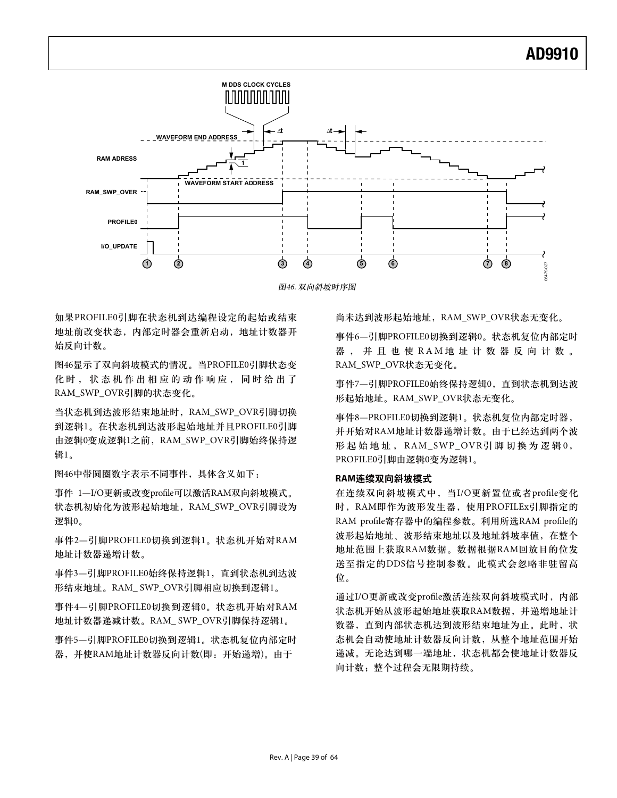

图46. 双向斜坡时序图

如果PROFILE0引脚在状态机到达编程设定的起始或结束 地址前改变状态, 内部定时器会重新启动, 地址计数器开 始反向计数。

图46显示了双向斜坡模式的情况。当PROFILE0引脚状态变 化时, 状态机作出相应的动作响应, 同时给出了 RAM\_SWP\_OVR引脚的状态变化。

当状态机到达波形结束地址时, RAM\_SWP\_OVR引脚切换 到逻辑1。在状态机到达波形起始地址并且PROFILE0引脚 由逻辑0变成逻辑1之前, RAM\_SWP\_OVR引脚始终保持逻 辑1。

图46中带圆圈数字表示不同事件, 具体含义如下:

事件 1-I/O更新或改变profile可以激活RAM双向斜坡模式。 状态机初始化为波形起始地址, RAM\_SWP\_OVR引脚设为 逻辑0。

事件2—引脚PROFILE0切换到逻辑1。状态机开始对RAM 地址计数器递增计数。

事件3-引脚PROFILE0始终保持逻辑1, 直到状态机到达波 形结束地址。RAM\_SWP\_OVR引脚相应切换到逻辑1。

事件4—引脚PROFILE0切换到逻辑0。状态机开始对RAM 地址计数器递减计数。RAM\_SWP\_OVR引脚保持逻辑1。

事件5—引脚PROFILE0切换到逻辑1。状态机复位内部定时 器,并使RAM地址计数器反向计数(即: 开始递增)。由于

尚未达到波形起始地址, RAM\_SWP\_OVR状态无变化。

事件6—引脚PROFILE0切换到逻辑0。状态机复位内部定时 器,并且也使RAM地址计数器反向计数。 RAM\_SWP\_OVR状态无变化。

事件7—引脚PROFILE0始终保持逻辑0, 直到状态机到达波 形起始地址。RAM\_SWP\_OVR状态无变化。

事件8-PROFILE0切换到逻辑1。状态机复位内部定时器, 并开始对RAM地址计数器递增计数。由于已经达到两个波 形起始地址, RAM\_SWP\_OVR引脚切换为逻辑0, PROFILE0引脚由逻辑0变为逻辑1。

### RAM连续双向斜坡模式

在连续双向斜坡模式中, 当I/O更新置位或者profile变化 时, RAM即作为波形发生器, 使用PROFILEx引脚指定的 RAM profile寄存器中的编程参数。利用所选RAM profile的 波形起始地址、波形结束地址以及地址斜坡率值, 在整个 地址范围上获取RAM数据。数据根据RAM回放目的位发 送至指定的DDS信号控制参数。此模式会忽略非驻留高 ࿋ă

通过I/O更新或改变profile激活连续双向斜坡模式时, 内部 状态机开始从波形起始地址获取RAM数据,并递增地址计 数器, 直到内部状态机达到波形结束地址为止。此时, 状 态机会自动使地址计数器反向计数,从整个地址范围开始 递减。无论达到哪一端地址,状态机都会使地址计数器反 向计数; 整个过程会无限期持续。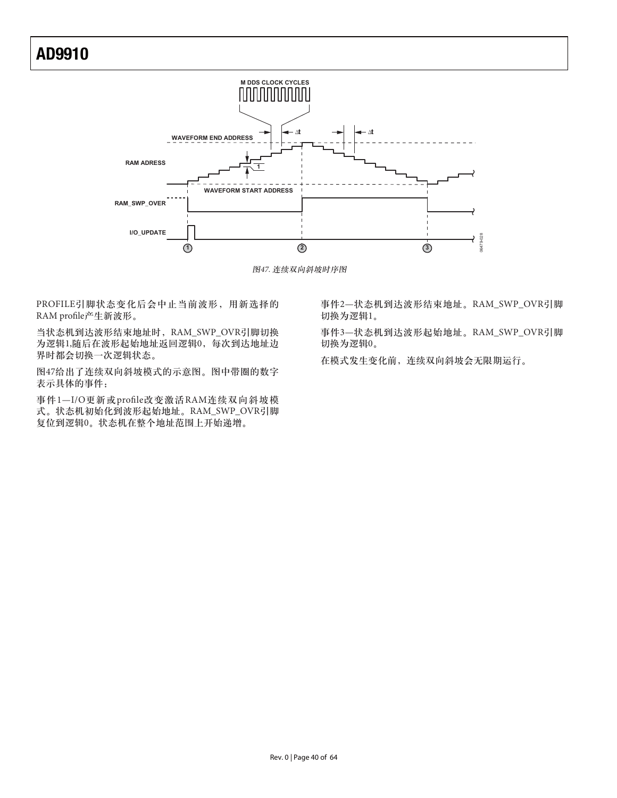

图47. 连续双向斜坡时序图

PROFILE引脚状态变化后会中止当前波形, 用新选择的 RAM profile产生新波形。

当状态机到达波形结束地址时, RAM\_SWP\_OVR引脚切换 为逻辑1,随后在波形起始地址返回逻辑0, 每次到达地址边 界时都会切换一次逻辑状态。

图47给出了连续双向斜坡模式的示意图。图中带圈的数字 表示具体的事件:

事件1-I/O更新或profile改变激活RAM连续双向斜坡模 式。状态机初始化到波形起始地址。RAM\_SWP\_OVR引脚 复位到逻辑0。状态机在整个地址范围上开始递增。

事件2—状态机到达波形结束地址。RAM\_SWP\_OVR引脚 切换为逻辑1。

事件3—状态机到达波形起始地址。RAM\_SWP\_OVR引脚 切换为逻辑0。

在模式发生变化前, 连续双向斜坡会无限期运行。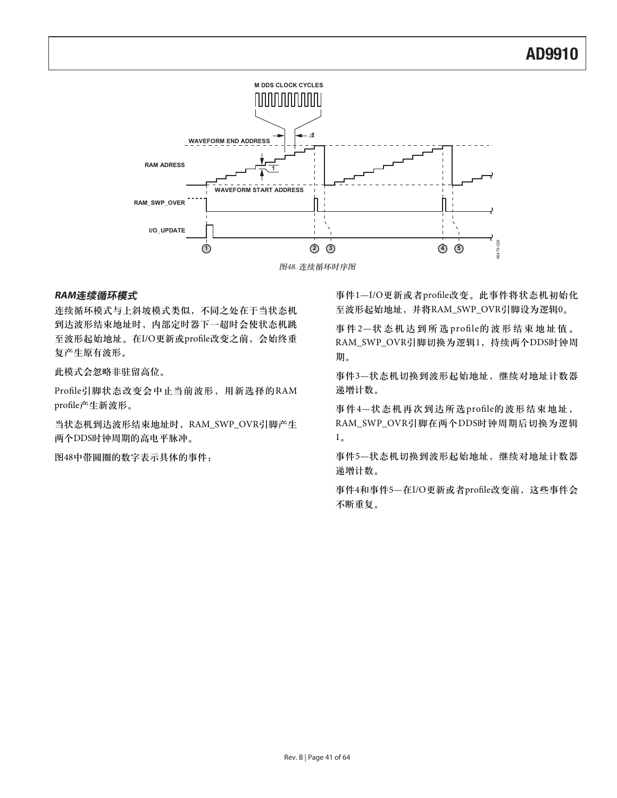

图48. 连续循环时序图

### **RAM连续循环模式**

连续循环模式与上斜坡模式类似,不同之处在于当状态机 到达波形结束地址时, 内部定时器下一超时会使状态机跳 至波形起始地址。在I/O更新或profile改变之前, 会始终重 复产生原有波形。

此模式会忽略非驻留高位。

Profile引脚状态改变会中止当前波形, 用新选择的RAM profile产生新波形。

当状态机到达波形结束地址时, RAM\_SWP\_OVR引脚产生 两个DDS时钟周期的高电平脉冲。

图48中带圆圈的数字表示具体的事件:

事件1-I/O更新或者profile改变。此事件将状态机初始化 至波形起始地址,并将RAM\_SWP\_OVR引脚设为逻辑0。

事件2-状态机达到所选profile的波形结束地址值。 RAM\_SWP\_OVR引脚切换为逻辑1, 持续两个DDS时钟周 期。

事件3-状态机切换到波形起始地址,继续对地址计数器 递增计数。

事件4-状态机再次到达所选profile的波形结束地址, RAM\_SWP\_OVR引脚在两个DDS时钟周期后切换为逻辑  $1<sub>o</sub>$ 

事件5-状态机切换到波形起始地址,继续对地址计数器 递增计数。

事件4和事件5-在I/O更新或者profile改变前, 这些事件会 不断重复。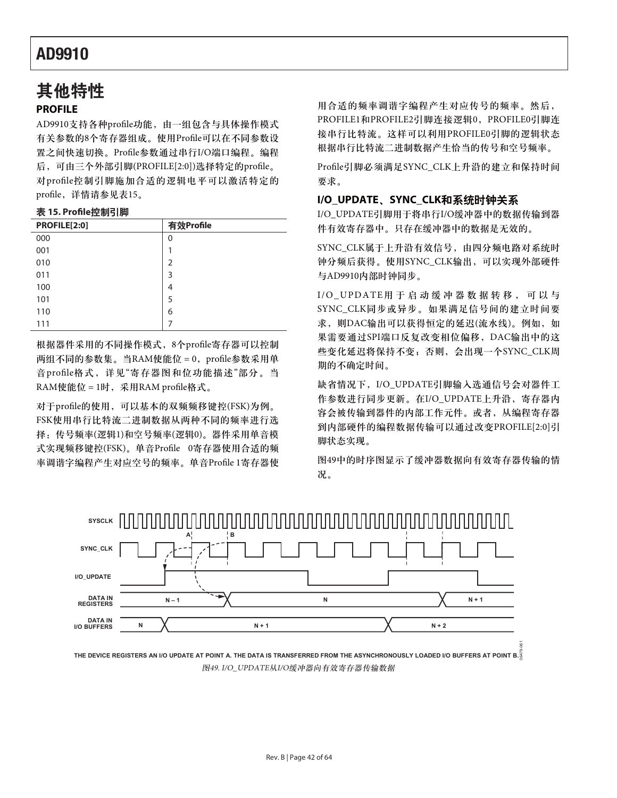# 其他特性

### **PROFILE**

AD9910支持各种profile功能, 由一组包含与具体操作模式 有关参数的8个寄存器组成。使用Profile可以在不同参数设 置之间快速切换。Profile参数通过串行I/O端口编程。编程 后, 可由三个外部引脚(PROFILE[2:0])选择特定的profile。 对profile控制引脚施加合适的逻辑电平可以激活特定的 profile, 详情请参见表15。

### 表 15. Profile控制引脚

| PROFILE[2:0] | 有效Profile      |
|--------------|----------------|
| 000          | 0              |
| 001          | 1              |
| 010          | $\overline{2}$ |
| 011          | 3              |
| 100          | 4              |
| 101          | 5              |
| 110          | 6              |
| 111          |                |

根据器件采用的不同操作模式, 8个profile寄存器可以控制 两组不同的参数集。当RAM使能位 = 0, profile参数采用单 音profile格式, 详见"寄存器图和位功能描述"部分。当 RAM使能位 = 1时, 采用RAM profile格式。

对于profile的使用,可以基本的双频频移键控(FSK)为例。 FSK使用串行比特流二进制数据从两种不同的频率进行选 择: 传号频率(逻辑1)和空号频率(逻辑0)。器件采用单音模 式实现频移键控(FSK)。单音Profile 0寄存器使用合适的频 率调谐字编程产生对应空号的频率。单音Profile 1寄存器使

用合适的频率调谐字编程产生对应传号的频率。然后, PROFILE1和PROFILE2引脚连接逻辑0, PROFILE0引脚连 接串行比特流。这样可以利用PROFILE0引脚的逻辑状态 根据串行比特流二进制数据产生恰当的传号和空号频率。

Profile引脚必须满足SYNC\_CLK上升沿的建立和保持时间 要求。

### **I/O\_UPDATE、SYNC\_CLK和系统时钟关系**

I/O\_UPDATE引脚用于将串行I/O缓冲器中的数据传输到器 件有效寄存器中。只存在缓冲器中的数据是无效的。

SYNC\_CLK属于上升沿有效信号, 由四分频电路对系统时 钟分频后获得。使用SYNC\_CLK输出, 可以实现外部硬件 与AD9910内部时钟同步。

 $I/O$ \_UPDATE用于启动缓冲器数据转移,可以与 SYNC\_CLK同步或异步。如果满足信号间的建立时间要 求, 则DAC输出可以获得恒定的延迟(流水线)。例如, 如 果需要通过SPI端口反复改变相位偏移, DAC输出中的这 些变化延迟将保持不变; 否则, 会出现一个SYNC\_CLK周 期的不确定时间。

缺省情况下, I/O\_UPDATE引脚输入选通信号会对器件工 作参数进行同步更新。在I/O\_UPDATE上升沿, 寄存器内 容会被传输到器件的内部工作元件。或者, 从编程寄存器 到内部硬件的编程数据传输可以通过改变PROFILE[2:0]引 脚状态实现。

图49中的时序图显示了缓冲器数据向有效寄存器传输的情 况。



**THE DEVICE REGISTERS AN I/O UPDATE AT POINT A. THE DATA IS TRANSFERRED FROM THE ASYNCHRONOUSLY LOADED I/O BUFFERS AT POINT B.** 06479-061 图49. I/O\_UPDATE从I/O缓冲器向有效寄存器传输数据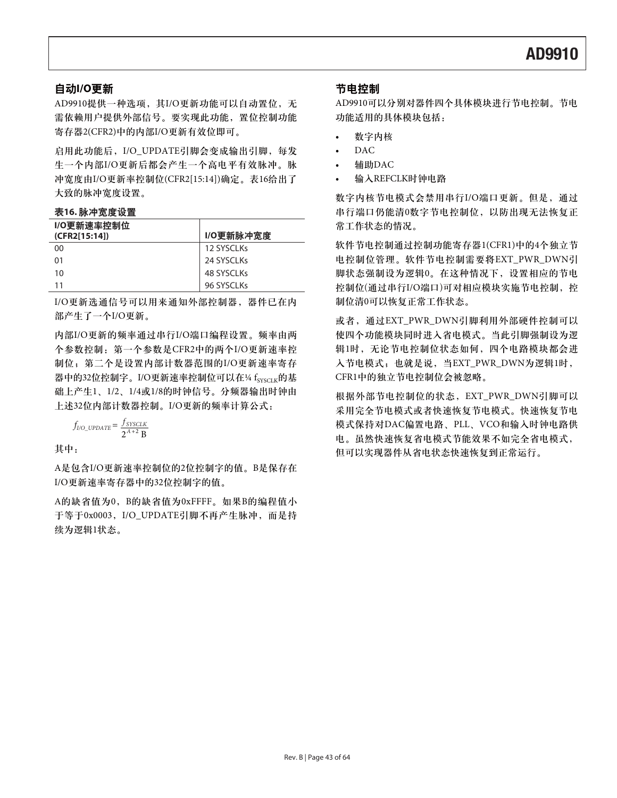### 自动I/O更新

AD9910提供一种选项, 其I/O更新功能可以自动置位, 无 需依赖用户提供外部信号。要实现此功能, 置位控制功能 寄存器2(CFR2)中的内部I/O更新有效位即可。

启用此功能后, I/O\_UPDATE引脚会变成输出引脚, 每发 生一个内部I/O更新后都会产生一个高电平有效脉冲。脉 冲宽度由I/O更新率控制位(CFR2[15:14])确定。表16给出了 大致的脉冲宽度设置。

#### 表16. 脉冲宽度设置

| I/O更新速率控制位<br>(CFR2[15:14]) | I/O更新脉冲宽度  |
|-----------------------------|------------|
| 00                          | 12 SYSCLKs |
| 01                          | 24 SYSCLKs |
| 10                          | 48 SYSCLKs |
| 11                          | 96 SYSCLKs |

I/O更新选通信号可以用来通知外部控制器, 器件已在内 部产生了一个I/O更新。

内部I/O更新的频率通过串行I/O端口编程设置。频率由两 个参数控制: 第一个参数是CFR2中的两个I/O更新速率控 制位; 第二个是设置内部计数器范围的I/O更新速率寄存 器中的32位控制字。I/O更新速率控制位可以在14 fsyscrk的基 础上产生1、1/2、1/4或1/8的时钟信号。分频器输出时钟由 上述32位内部计数器控制。I/O更新的频率计算公式:

$$
f_{I/O\_UPDATE} = \frac{f_{SYSCLK}}{2^{A+2} B}
$$

其中:

A是包含I/O更新速率控制位的2位控制字的值。B是保存在 I/O更新速率寄存器中的32位控制字的值。

A的缺省值为0, B的缺省值为0xFFFF。如果B的编程值小 于等于0x0003, I/O\_UPDATE引脚不再产生脉冲, 而是持 续为逻辑1状态。

### 节电控制

AD9910可以分别对器件四个具体模块进行节电控制。节电 功能适用的具体模块包括:

- 数字内核
- $DAC$
- t ޤዺDAC
- 输入REFCLK时钟电路

数字内核节电模式会禁用串行I/O端口更新。但是, 通过 串行端口仍能清0数字节电控制位, 以防出现无法恢复正 常工作状态的情况。

软件节电控制通过控制功能寄存器1(CFR1)中的4个独立节 电控制位管理。软件节电控制需要将EXT\_PWR\_DWN引 脚状态强制设为逻辑0。在这种情况下, 设置相应的节电 控制位(通过串行I/O端口)可对相应模块实施节电控制, 控 制位清0可以恢复正常工作状态。

或者, 通过EXT\_PWR\_DWN引脚利用外部硬件控制可以 使四个功能模块同时进入省电模式。当此引脚强制设为逻 辑1时,无论节电控制位状态如何,四个电路模块都会进 入节电模式;也就是说,当EXT\_PWR\_DWN为逻辑1时, CFR1中的独立节电控制位会被忽略。

根据外部节电控制位的状态, EXT\_PWR\_DWN引脚可以 采用完全节电模式被者快速恢复节电转式。快速恢复节电 模式保持对DAC偏置电路、PLL、VCO和输入时钟电路供 电。虽然快速恢复省电模式节能效果不如完全省电模式, 但可以实现器件从省电状态快速恢复到正常运行。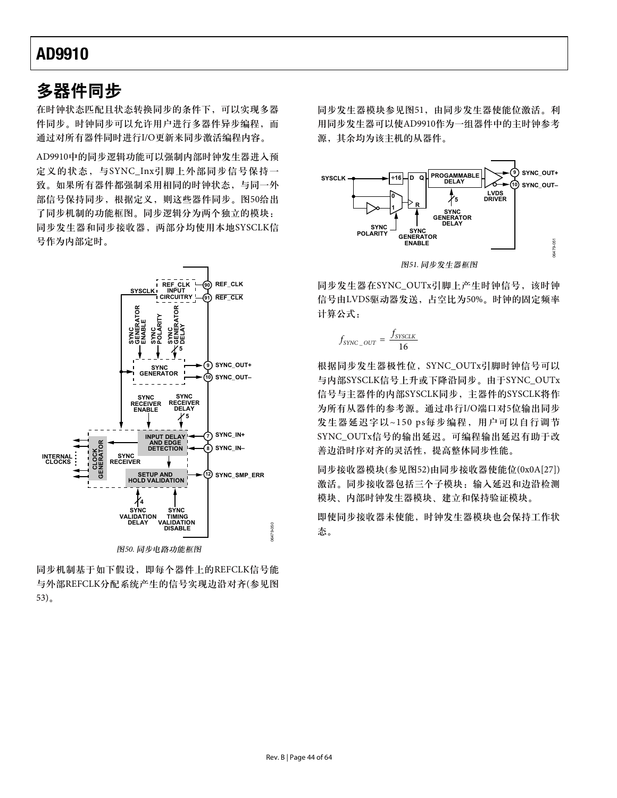### 多器件同步

在时钟状态匹配且状态转换同步的条件下,可以实现多器 件同步。时钟同步可以允许用户进行多器件异步编程,而 通过对所有器件同时进行I/O更新来同步激活编程内容。

AD9910中的同步逻辑功能可以强制内部时钟发生器进入预 定义的状态,与SYNC\_Inx引脚上外部同步信号保持一 致。如果所有器件都强制采用相同的时钟状态,与同一外 部信号保持同步, 根据定义, 则这些器件同步。图50给出 了同步机制的功能框图。同步逻辑分为两个独立的模块: 同步发生器和同步接收器, 两部分均使用本地SYSCLK信 号作为内部定时。



同步机制基于如下假设, 即每个器件上的REFCLK信号能 与外部REFCLK分配系统产生的信号实现边沿对齐(参见图  $53)$ <sub> $\alpha$ </sub>

同步发生器模块参见图51,由同步发生器使能位激活。利 用同步发生器可以使AD9910作为一组器件中的主时钟参考 源, 其余均为该主机的从器件。



同步发生器在SYNC\_OUTx引脚上产生时钟信号,该时钟 信号由LVDS驱动器发送,占空比为50%。时钟的固定频率 计算公式:

$$
f_{\text{SYNC\_OUT}} = \frac{f_{\text{SYSCLK}}}{16}
$$

根据同步发生器极性位, SYNC\_OUTx引脚时钟信号可以 与内部SYSCLK信号上升或下降沿同步。由于SYNC\_OUTx 信号与主器件的内部SYSCLK同步, 主器件的SYSCLK将作 为所有从器件的参考源。通过串行I/O端口对5位输出同步 发生器延迟字以~150 ps每步编程, 用户可以自行调节 SYNC\_OUTx信号的输出延迟。可编程输出延迟有助于改 善边沿时序对齐的灵活性, 提高整体同步性能。

同步接收器模块(参见图52)由同步接收器使能位(0x0A[27]) 激活。同步接收器包括三个子模块: 输入延迟和边沿检测 模块、内部时钟发生器模块、建立和保持验证模块。

即使同步接收器未使能, 时钟发生器模块也会保持工作状 态。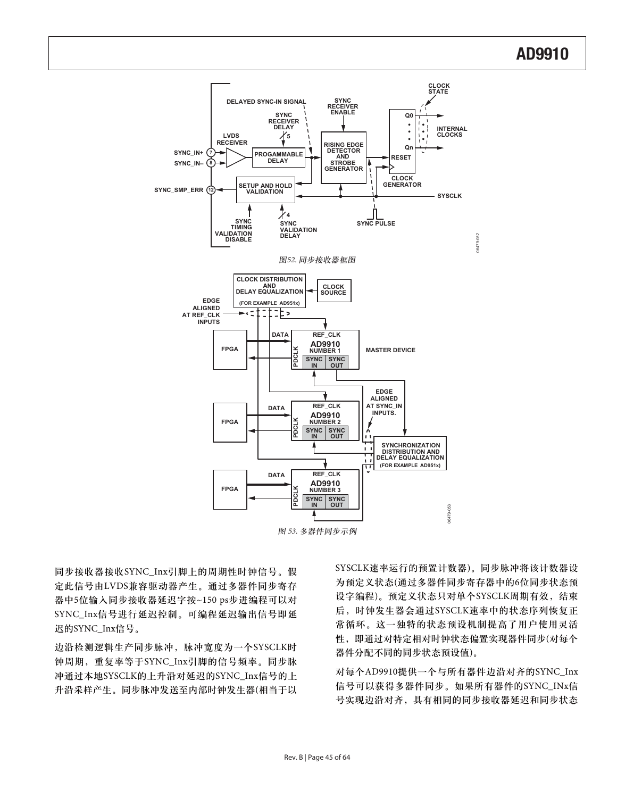

同步接收器接收SYNC\_Inx引脚上的周期性时钟信号。假 定此信号由LVDS兼容驱动器产生。通过多器件同步寄存 器中5位输入同步接收器延迟字按~150 ps步进编程可以对 SYNC\_Inx信号进行延迟控制。可编程延迟输出信号即延 迟的SYNC\_Inx信号。

边沿检测逻辑生产同步脉冲, 脉冲宽度为一个SYSCLK时 钟周期,重复率等于SYNC\_Inx引脚的信号频率。同步脉 冲通过本地SYSCLK的上升沿对延迟的SYNC Inx信号的上 升沿采样产生。同步脉冲发送至内部时钟发生器(相当于以 SYSCLK速率运行的预置计数器)。同步脉冲将该计数器设 为预定义状态(通过多器件同步寄存器中的6位同步状态预 设字编程)。预定义状态只对单个SYSCLK周期有效,结束 后, 时钟发生器会通过SYSCLK速率中的状态序列恢复正 常循环。这一独特的状态预设机制提高了用户使用灵活 性, 即通过对特定相对时钟状态偏置实现器件同步(对每个 器件分配不同的同步状态预设值)。

对每个AD9910提供一个与所有器件边沿对齐的SYNC\_Inx 信号可以获得多器件同步。如果所有器件的SYNC\_INx信 号实现边沿对齐,具有相同的同步接收器延迟和同步状态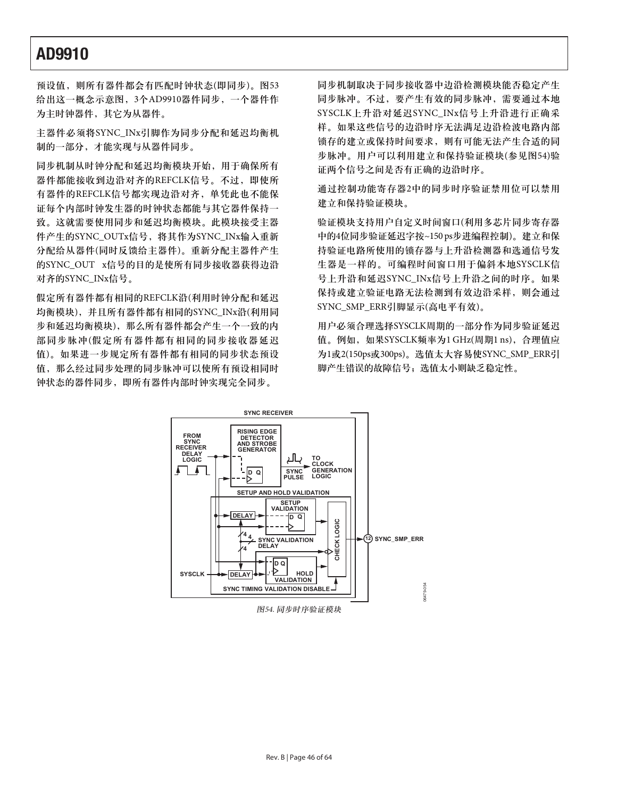预设值, 则所有器件都会有匹配时钟状态(即同步)。图53 给出这一概念示意图, 3个AD9910器件同步, 一个器件作 为主时钟器件, 其它为从器件。

主器件必须将SYNC\_INx引脚作为同步分配和延迟均衡机 制的一部分, 才能实现与从器件同步。

同步机制从时钟分配和延迟均衡模块开始, 用于确保所有 器件都能接收到边沿对齐的REFCLK信号。不过, 即使所 有器件的REFCLK信号都实现边沿对齐, 单凭此也不能保 证每个内部时钟发生器的时钟状态都能与其它器件保持一 致。这就需要使用同步和延迟均衡模块。此模块接受主器 件产生的SYNC\_OUTx信号, 将其作为SYNC\_INx输入重新 分配给从器件(同时反馈给主器件)。重新分配主器件产生 的SYNC\_OUT x信号的目的是使所有同步接收器获得边沿 对齐的SYNC\_INx信号。

假定所有器件都有相同的REFCLK沿(利用时钟分配和延迟 均衡模块),并且所有器件都有相同的SYNC\_INx沿(利用同 步和延迟均衡模块), 那么所有器件都会产生一个一致的内 部同步脉冲(假定所有器件都有相同的同步接收器延迟 值)。如果进一步规定所有器件都有相同的同步状态预设 值,那么经过同步处理的同步脉冲可以使所有预设相同时 钟状态的器件同步, 即所有器件内部时钟实现完全同步。

同步机制取决于同步接收器中边沿检测模块能否稳定产生 同步脉冲。不过, 要产生有效的同步脉冲, 需要通过本地 SYSCLK上升沿对延迟SYNC\_INx信号上升沿进行正确采 样。如果这些信号的边沿时序无法满足边沿检波电路内部 锁存的建立成保持时间要求, 则有可能无法产生合适的同 步脉冲。用户可以利用建立和保持验证模块(参见图54)验 证两个信号之间是否有正确的边沿时序。

通过控制功能寄存器2中的同步时序验证禁用位可以禁用 建立和保持验证模块。

验证模块支持用户自定义时间窗口(利用多芯片同步寄存器 中的4位同步验证延迟字按~150 ps步进编程控制)。建立和保 持验证电路所使用的锁存器与上升沿检测器和选通信号发 生器是一样的。可编程时间窗口用于偏斜本地SYSCLK信 号上升沿和延迟SYNC\_INx信号上升沿之间的时序。如果 保持或建立症电路无法检测到有效边沿采样,则会通过 SYNC\_SMP\_ERR引脚显示(高电平有效)。

用户必须合理选择SYSCLK周期的一部分作为同步验证延迟 值。例如,如果SYSCLK频率为1 GHz(周期1 ns),合理值应 为1或2(150ps或300ps)。选值太大容易使SYNC\_SMP\_ERR引 脚产生错误的故障信号; 选值太小则缺乏稳定性。

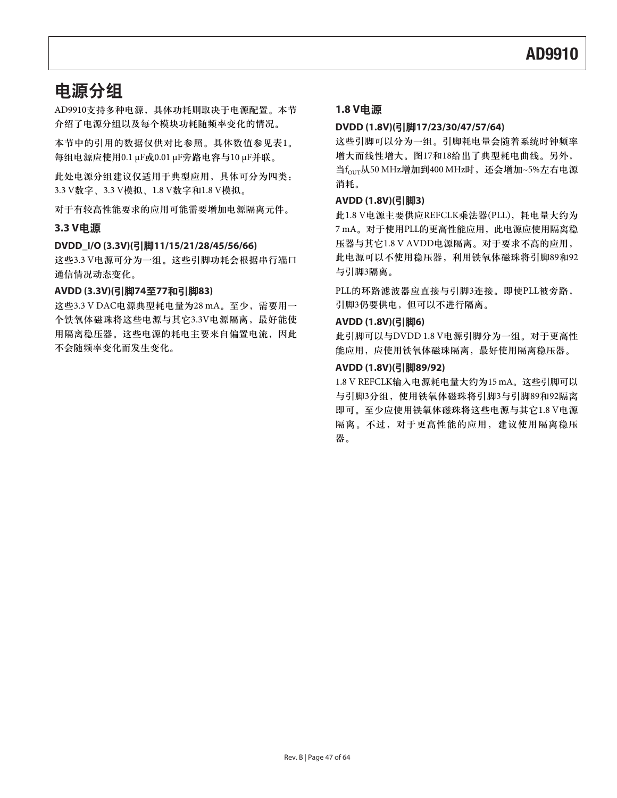# 电源分组

AD9910支持多种电源, 具体功耗则取决于电源配置。本节 介绍了电源分组以及每个模块功耗随频率变化的情况。

本节中的引用的数据仅供对比参照。具体数值参见表1。 每组电源应使用0.1 μF或0.01 μF旁路电容与10 μF并联。

此处电源分组建议仅适用于典型应用, 具体可分为四类: 3.3 V数字、3.3 V模拟、1.8 V数字和1.8 V模拟。

对于有较高性能要求的应用可能需要增加电源隔离元件。

### **3.3 V电源**

### DVDD\_I/O (3.3V)(引脚11/15/21/28/45/56/66)

这些3.3 V电源可分为一组。这些引脚功耗会根据串行端口 通信情况动态变化。

### **AVDD (3.3V)(**ᆅগ**7477**ࢅᆅগ**83)**

这些3.3 V DAC电源典型耗电量为28 mA。至少, 需要用一 个铁氧体磁珠将这些电源与其它3.3V电源隔离, 最好能使 用隔离稳压器。这些电源的耗电主要来自偏置电流,因此 不会随频率变化而发生变化。

### 1.8 V电源

### **DVDD (1.8V)(**ᆅগ**17/23/30/47/57/64)**

这些引脚可以分为一组。引脚耗电量会随着系统时钟频率 增大而线性增大。图17和18给出了典型耗电曲线。另外,  $\frac{d}{dt}f_{\text{OUT}}$ 从50 MHz增加到400 MHz时, 还会增加~5%左右电源 消耗。

### AVDD (1.8V)(引脚3)

此1.8 V电源主要供应REFCLK乘法器(PLL), 耗电量大约为 7 mA。对于使用PLL的更高性能应用, 此电源应使用隔离稳 压器与其它1.8 V AVDD电源隔离。对于要求不高的应用, 此电源可以不使用稳压器, 利用铁氧体磁珠将引脚89和92 与引脚3隔离。

PLL的环路滤波器应直接与引脚3连接。即使PLL被旁路, 引脚3仍要供电,但可以不进行隔离。

### $AVDD(1.8V)(7|$  $脚(6)$

此引脚可以与DVDD 1.8 V电源引脚分为一组。对于更高性 能应用, 应使用铁氧体磁珠隔离, 最好使用隔离稳压器。

### AVDD (1.8V)(引脚89/92)

1.8 V REFCLK输入电源耗电量大约为15 mA。这些引脚可以 与引脚3分组, 使用铁氧体磁珠将引脚3与引脚89和92隔离 即可。至少应使用铁氧体磁珠将这些电源与其它1.8 V电源 隔离。不过, 对于更高性能的应用, 建议使用隔离稳压 器。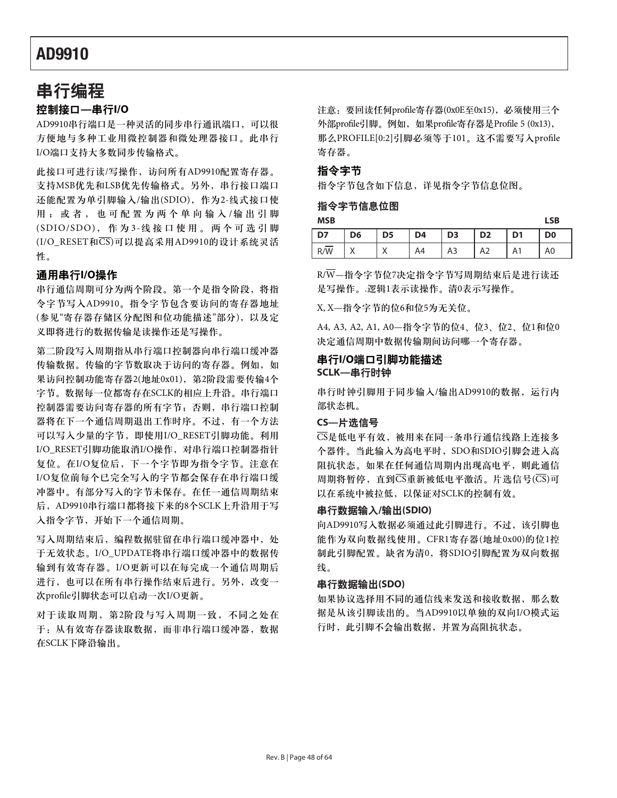### 串行编程

### 控制接口—串行I/O

AD9910串行端口是一种灵活的同步串行通讯端口, 可以很 方便地与多种工业用微控制器和微处理器接口。此串行 I/O端口支持大多数同步传输格式。

此接口可进行读/写操作, 访问所有AD9910配置寄存器。 支持MSB优先和LSB优先传输格式。另外, 串行接口端口 还能配置为单引脚输入/输出(SDIO), 作为2-线式接口使 用; 或者, 也可配置为两个单向输入/输出引脚 (SDIO/SDO), 作为3-线接口使用。两个可选引脚 (I/O\_RESET和 $\overline{\text{CS}}$ )可以提高采用AD9910的设计系统灵活 性。

### 通用串行I/O操作

串行通信周期可分为两个阶段。第一个是指令阶段,将指 令字节写入AD9910。指令字节包含要访问的寄存器地址 (参见"寄存器存储区分配图和位功能描述"部分), 以及定 义即将进行的数据传输是读操作还是写操作。

第二阶段写入周期指从串行端口体向串行端口缓冲器 传输数据。传输的字节数取决于访问的寄存器。例如,如 果访问控制功能寄存器2(地址0x01), 第2阶段需要传输4个 字节。数据每一位都寄存在SCLK的相应上升沿。串行端口 控制器需要访问寄存器的所有字节; 否则, 串行端口控制 器将在下一个通信周期退出工作时序。不过, 有一个方法 可以写入少量的字节, 即使用I/O\_RESET引脚功能。利用 I/O\_RESET引脚功能取消I/O操作, 对串行端口控制器指针 复位。在I/O复位后, 下一个字节即为指令字节。注意在 I/O复位前每个已完全写入的字节都会保存在串行端口缓 冲器中。有部分写入的字节未保存。在任一通信周期结束 后, AD9910串行端口都将接下来的8个SCLK上升沿用于写 入指令字节, 开始下一个通信周期。

写入周期结束后, 编程数据驻留在串行端口缓冲器中, 处 于无效状态。I/O\_UPDATE将串行端口缓冲器中的数据传 输到有效寄存器。I/O更新可以在每完成一个通信周期后 进行, 也可以在所有串行操作结束后进行。另外, 改变一 次profile引脚状态可以启动一次I/O更新。

对于读取周期, 第2阶段与写入周期一致, 不同之处在 干: 从有效寄存器读取数据, 而非串行端口缓冲器, 数据 在SCLK下降沿输出。

注意: 要回读任何profile寄存器(0x0E至0x15), 必须使用三个 外部profile引脚。例如, 如果profile寄存器是Profile 5 (0x13), 那么PROFILE[0:2]引脚必须等于101。这不需要写入profile 寄存器。

### 指令字节

指令字节包含如下信息,详见指令字节信息位图。

### 指令字节信息位图

**MSB LSB D7 D6 D5 D4 D3 D2 D1 D0**  R/W | X | X | A4 | A3 | A2 | A1 | A0

 $R/\overline{W}$ —指令字节位7决定指令字节写周期结束后是进行读还 是写操作。逻辑1表示读操作。清0表示写操作。

X, X-指令字节的位6和位5为无关位。

A4, A3, A2, A1, A0-指令字节的位4、位3、位2、位1和位0 决定通信周期中数据传输期间访问哪一个寄存器。

### 串行I/O端口引脚功能描述 **SCLK—串行时钟**

串行时钟引脚用于同步输入/输出AD9910的数据, 运行内 部状态机。

### **CS**—片洗信号

 $\overline{\text{CS}}$ 是低电平有效, 被用来在同一条串行通信线路上连接多 个器件。当此输入为高电平时, SDO和SDIO引脚会进入高 阻抗状态。如果在任何通信周期内出现高电平,则此通信 周期将暂停, 直到 $\overline{\text{CS}}$ 重新被低电平激活。片选信号( $\overline{\text{CS}}$ )可 以在系统中被拉低,以保证对SCLK的控制有效。

### **串行数据输入/输出(SDIO)**

向AD9910写入数据必须通过此引脚进行。不过,该引脚也 能作为双向数据线使用。CFR1寄存器(地址0x00)的位1控 制此引脚配置。缺省为清0, 将SDIO引脚配置为双向数据 线。

#### **串行数据输出(SDO)**

如果协议选择用不同的通信线来发送和接收数据,那么数 据是从该引脚读出的。当AD9910以单独的双向I/O模式运 行时, 此引脚不会输出数据, 并置为高阻抗状态。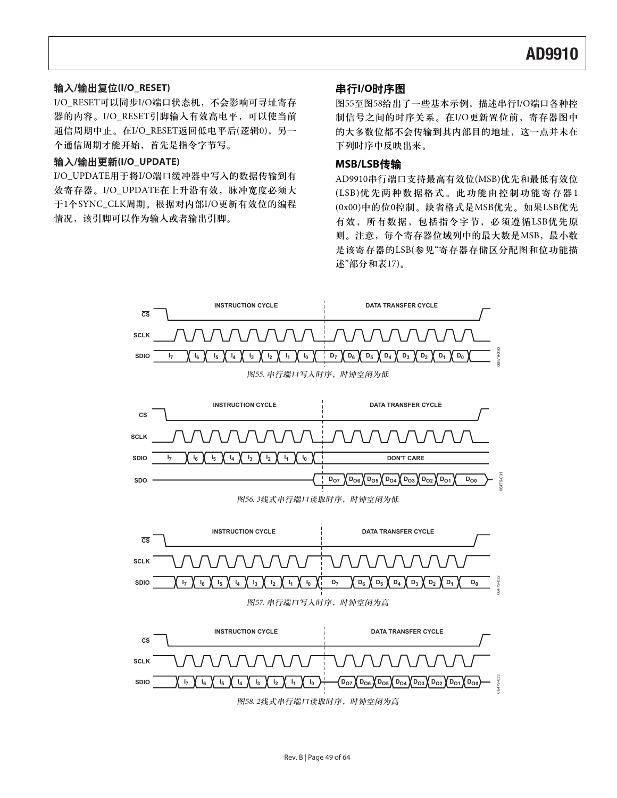### **/**ް࿋**(I/O\_RESET)**

I/O\_RESET可以同步I/O端口状态机, 不会影响可寻址寄存 器的内容。I/O\_RESET引脚输入有效高电平,可以使当前 通信周期中止。在I/O\_RESET返回低电平后(逻辑0),另一 个通信周期才能开始, 首先是指令字节写。

### **/**߸ႎ**(I/O\_UPDATE)**

I/O\_UPDATE用于将I/O端口缓冲器中写入的数据传输到有 效寄存器。I/O\_UPDATE在上升沿有效, 脉冲宽度必须大 于1个SYNC\_CLK周期。根据对内部I/O更新有效位的编程 情况,该引脚可以作为输入或者输出引脚。

### 出行I/O时序图

图55至图58给出了一些基本示例, 描述串行I/O端口各种控 制信号之间的时序关系。在I/O更新置位前, 寄存器图中 的大多数位都不会传输到其内部目的地址,这一点并未在 下列时序中反映出来。

### **MSB/LSB**د

AD9910串行端口支持最高有效位(MSB)优先和最低有效位 (LSB)优先两种数据格式。此功能由控制功能寄存器1 (0x00)中的位0控制。缺省格式是MSB优先。如果LSB优先 有效,所有数据,包括指令字节,必须遵循LSB优先原 则。注意,每个寄存器位域列中的最大数是MSB,最小数 是该寄存器的LSB(参见"寄存器存储区分配图和位功能描 述"部分和表17)。

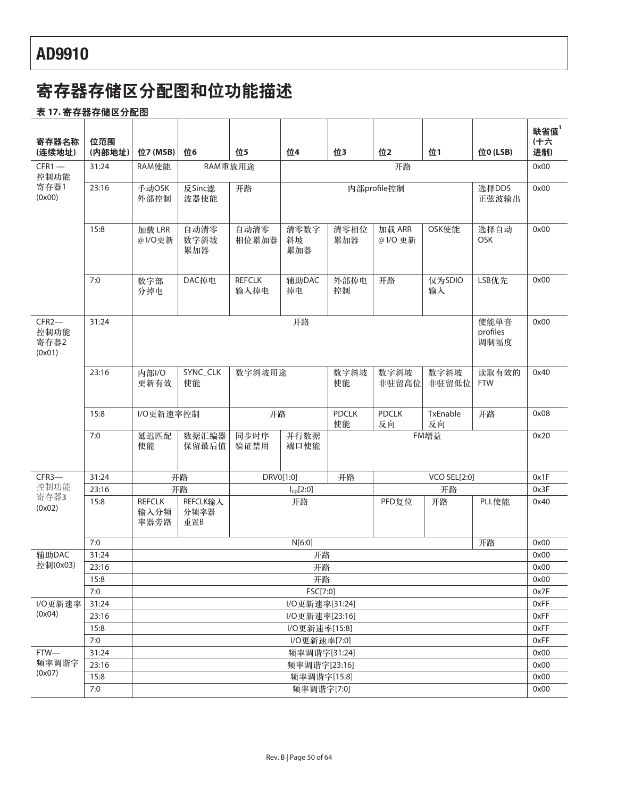# 寄存器存储区分配图和位功能描述

### <u>表 17. 寄存器存储区分配图</u>

| 寄存器名称                             | 位范围          |                               |                         |                       |                              |                    |                    |                          |                     | 缺省值<br>(十六   |
|-----------------------------------|--------------|-------------------------------|-------------------------|-----------------------|------------------------------|--------------------|--------------------|--------------------------|---------------------|--------------|
| (连续地址)                            | (内部地址)       | 位7 (MSB)                      | 位6                      | 位5                    | 位4                           | 位3                 | 位2                 | 位1                       | 位0 (LSB)            | 进制)          |
| $CFR1 -$<br>控制功能                  | 31:24        | RAM使能                         | RAM重放用途                 |                       |                              |                    | 开路                 |                          |                     | 0x00         |
| 寄存器1<br>(0x00)                    | 23:16        | 手动OSK<br>外部控制                 | 反Sinc滤<br>波器使能          | 开路                    |                              |                    | 内部profile控制        |                          | 选择DDS<br>正弦波输出      | 0x00         |
|                                   | 15:8         | 加载 LRR<br>@  /O更新             | 自动清零<br>数字斜坡<br>累加器     | 自动清零<br>相位累加器         | 清零数字<br>斜坡<br>累加器            | 清零相位<br>累加器        | 加载 ARR<br>@ I/O 更新 | OSK使能                    | 选择自动<br><b>OSK</b>  | 0x00         |
|                                   | 7:0          | 数字部<br>分掉电                    | DAC掉电                   | <b>REFCLK</b><br>输入掉电 | 辅助DAC<br>掉电                  | 外部掉电<br>控制         | 开路                 | 仅为SDIO<br>输入             | LSB优先               | 0x00         |
| $CFR2-$<br>控制功能<br>寄存器2<br>(0x01) | 31:24        |                               | 开路                      |                       |                              |                    |                    | 使能单音<br>profiles<br>调制幅度 | 0x00                |              |
|                                   | 23:16        | 内部I/O<br>更新有效                 | SYNC_CLK<br>使能          | 数字斜坡用途                |                              | 数字斜坡<br>使能         | 数字斜坡<br>非驻留高位      | 数字斜坡<br>非驻留低位            | 读取有效的<br><b>FTW</b> | 0x40         |
|                                   | 15:8         | I/O更新速率控制                     |                         | 开路                    |                              | <b>PDCLK</b><br>使能 | <b>PDCLK</b><br>反向 | TxEnable<br>反向           | 开路                  | 0x08         |
|                                   | 7:0          | 延迟匹配<br>使能                    | 数据汇编器<br>保留最后值          | 同步时序<br>验证禁用          | 并行数据<br>端口使能                 |                    |                    | FM增益                     |                     | 0x20         |
| CFR3-                             | 31:24        |                               | 开路                      | DRV0[1:0]             |                              | 开路                 |                    | <b>VCO SEL[2:0]</b>      |                     | 0x1F         |
| 控制功能                              | 23:16        |                               | 开路                      |                       | $I_{cp}[2:0]$                |                    |                    | 开路                       |                     | 0x3F         |
| 寄存器3<br>(0x02)                    | 15:8         | <b>REFCLK</b><br>输入分频<br>率器旁路 | REFCLK输入<br>分频率器<br>重置B |                       | 开路                           |                    | PFD复位              | 开路                       | PLL使能               | 0x40         |
|                                   | 7:0          |                               |                         |                       | N[6:0]                       |                    |                    |                          | 开路                  | 0x00         |
| 辅助DAC                             | 31:24        |                               |                         |                       | 开路                           |                    |                    |                          |                     | 0x00         |
| 控制(0x03)                          | 23:16        |                               |                         |                       | 开路                           |                    |                    |                          |                     | 0x00         |
|                                   | 15:8         |                               |                         |                       | 开路                           |                    |                    |                          |                     | 0x00         |
|                                   | 7:0          |                               |                         |                       | FSC[7:0]                     |                    |                    |                          |                     | 0x7F         |
| I/O更新速率                           | 31:24        |                               |                         |                       | I/O更新速率[31:24]               |                    |                    |                          |                     | 0xFF         |
| (0x04)                            | 23:16        |                               |                         |                       | I/O更新速率[23:16]               |                    |                    |                          |                     | 0xFF         |
|                                   | 15:8         |                               |                         |                       | I/O更新速率[15:8]                |                    |                    |                          |                     | 0xFF         |
| FTW-                              | 7:0<br>31:24 |                               |                         |                       | I/O更新速率[7:0]<br>频率调谐字[31:24] |                    |                    |                          |                     | 0xFF<br>0x00 |
| 频率调谐字                             | 23:16        |                               |                         |                       | 频率调谐字[23:16]                 |                    |                    |                          |                     | 0x00         |
| (0x07)                            | 15:8         |                               |                         |                       | 频率调谐字[15:8]                  |                    |                    |                          |                     | 0x00         |
|                                   | 7:0          |                               |                         |                       | 频率调谐字[7:0]                   |                    |                    |                          |                     | 0x00         |
|                                   |              |                               |                         |                       |                              |                    |                    |                          |                     |              |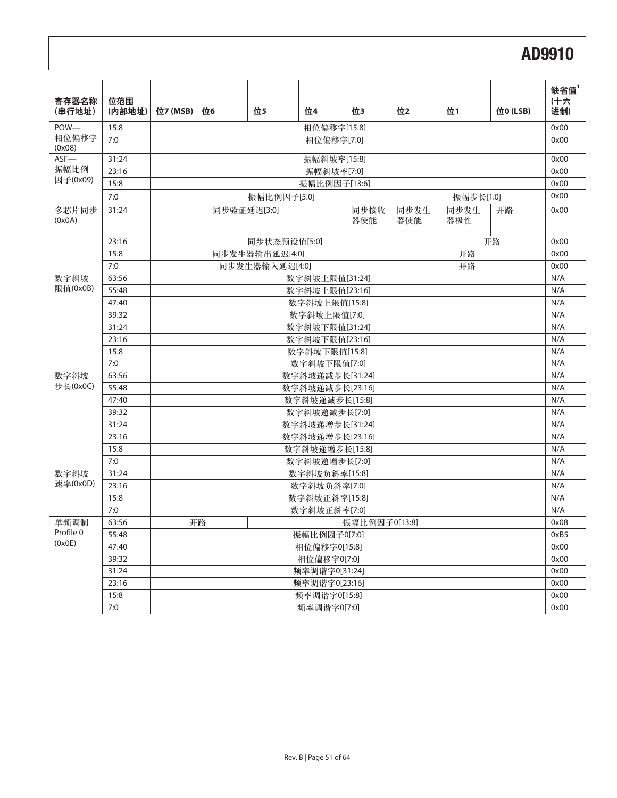| 寄存器名称<br>(串行地址)   | 位范围<br>(内部地址)  | 位7 (MSB) | 位6                                                             | 位5             | 位4                          | 位3            | 位2 | 位1        | 位0 (LSB) | 缺省值 $1$<br>(十六<br>进制) |
|-------------------|----------------|----------|----------------------------------------------------------------|----------------|-----------------------------|---------------|----|-----------|----------|-----------------------|
| POW-              | 15:8           |          |                                                                |                | 相位偏移字[15:8]                 |               |    |           |          | 0x00                  |
| 相位偏移字<br>(0x08)   | 7:0            |          |                                                                |                | 相位偏移字[7:0]                  |               |    |           |          | 0x00                  |
| $ASF$ —           | 31:24          |          |                                                                |                | 振幅斜坡率[15:8]                 |               |    |           |          | 0x00                  |
| 振幅比例              | 23:16          |          | 振幅斜坡率[7:0]                                                     |                |                             |               |    |           |          | 0x00                  |
| 因子(0x09)          | 15:8           |          |                                                                |                | 振幅比例因子[13:6]                |               |    |           |          | 0x00                  |
|                   | 7:0            |          |                                                                | 振幅比例因子[5:0]    |                             |               |    | 振幅步长[1:0] |          | 0x00                  |
| 多芯片同步<br>(0x0A)   | 31:24          |          | 同步接收<br>同步发生<br>开路<br>同步验证延迟[3:0]<br>同步发生<br>器使能<br>器使能<br>器极性 |                |                             |               |    |           |          | 0x00                  |
|                   | 23:16          |          |                                                                | 同步状态预设值[5:0]   |                             |               |    |           | 开路       | 0x00                  |
|                   | 15:8           |          |                                                                | 同步发生器输出延迟[4:0] |                             |               |    | 开路        |          | 0x00                  |
|                   | 7:0            |          |                                                                | 同步发生器输入延迟[4:0] |                             |               |    | 开路        |          | 0x00                  |
| 数字斜坡              | 63:56          |          |                                                                |                | 数字斜坡上限值[31:24]              |               |    |           |          | N/A                   |
| 限值(0x0B)          | 55:48          |          |                                                                |                | 数字斜坡上限值[23:16]              |               |    |           |          | N/A                   |
|                   | 47:40          |          |                                                                |                | 数字斜坡上限值[15:8]               |               |    |           |          | N/A                   |
|                   | 39:32          |          |                                                                |                | 数字斜坡上限值[7:0]                |               |    |           |          | N/A                   |
|                   | 31:24          |          |                                                                |                | 数字斜坡下限值[31:24]              |               |    |           |          | N/A                   |
|                   | 23:16          |          |                                                                |                | 数字斜坡下限值[23:16]              |               |    |           |          | N/A                   |
|                   | 15:8           |          |                                                                |                | 数字斜坡下限值[15:8]               |               |    |           |          | N/A                   |
|                   | 7:0            |          |                                                                |                | 数字斜坡下限值[7:0]                |               |    |           |          | N/A                   |
| 数字斜坡              | 63:56          |          |                                                                |                | 数字斜坡递减步长[31:24]             |               |    |           |          | N/A                   |
| 步长(0x0C)          | 55:48          |          |                                                                |                | 数字斜坡递减步长[23:16]             |               |    |           |          | N/A                   |
|                   | 47:40          |          |                                                                |                | 数字斜坡递减步长[15:8]              |               |    |           |          | N/A                   |
|                   | 39:32          |          |                                                                |                | 数字斜坡递减步长[7:0]               |               |    |           |          | N/A                   |
|                   | 31:24          |          |                                                                |                | 数字斜坡递增步长[31:24]             |               |    |           |          | N/A                   |
|                   | 23:16          |          |                                                                |                | 数字斜坡递增步长[23:16]             |               |    |           |          | N/A                   |
|                   | 15:8           |          |                                                                |                | 数字斜坡递增步长[15:8]              |               |    |           |          | N/A                   |
|                   | 7:0            |          |                                                                |                | 数字斜坡递增步长[7:0]               |               |    |           |          | N/A                   |
| 数字斜坡<br>速率(0x0D)  | 31:24          |          |                                                                |                | 数字斜坡负斜率[15:8]               |               |    |           |          | N/A                   |
|                   | 23:16<br>15:8  |          |                                                                |                | 数字斜坡负斜率[7:0]                |               |    |           |          | N/A                   |
|                   |                |          |                                                                |                | 数字斜坡正斜率[15:8]               |               |    |           |          | N/A                   |
|                   | 7:0            |          |                                                                |                | 数字斜坡正斜率[7:0]                |               |    |           |          | N/A<br>0x08           |
| 单频调制<br>Profile 0 | 63:56<br>55:48 |          | 开路                                                             |                |                             | 振幅比例因子0[13:8] |    |           |          | 0xB5                  |
| (0x0E)            | 47:40          |          |                                                                |                | 振幅比例因子0[7:0]                |               |    |           |          | 0x00                  |
|                   | 39:32          |          |                                                                |                | 相位偏移字0[15:8]<br>相位偏移字0[7:0] |               |    |           |          | 0x00                  |
|                   | 31:24          |          |                                                                |                | 频率调谐字0[31:24]               |               |    |           |          | 0x00                  |
|                   | 23:16          |          |                                                                |                | 频率调谐字0[23:16]               |               |    |           |          | 0x00                  |
|                   | 15:8           |          |                                                                |                | 频率调谐字0[15:8]                |               |    |           |          | 0x00                  |
|                   | 7:0            |          |                                                                |                | 频率调谐字0[7:0]                 |               |    |           |          | 0x00                  |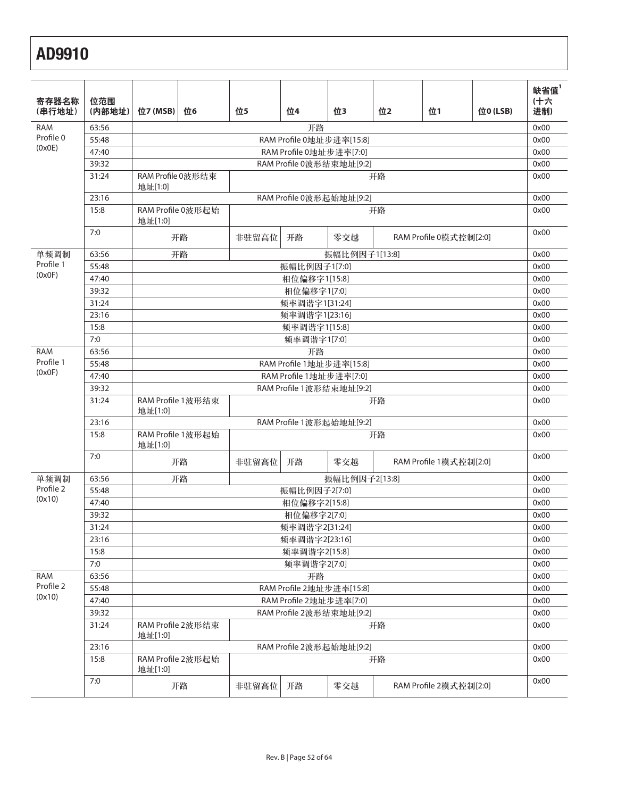| 寄存器名称<br>(串行地址) | 位范围<br>(内部地址) | 位7 (MSB)                     | 位6                       | 位5    | 位4                       | 位3            | 位2                     | 位1                     | 位0 (LSB) | 缺省值 $1$<br>(十六<br>进制) |  |
|-----------------|---------------|------------------------------|--------------------------|-------|--------------------------|---------------|------------------------|------------------------|----------|-----------------------|--|
| <b>RAM</b>      | 63:56         |                              |                          |       | 开路                       |               |                        |                        |          | 0x00                  |  |
| Profile 0       | 55:48         |                              |                          |       | RAM Profile 0地址步进率[15:8] |               |                        |                        |          | 0x00                  |  |
| (0x0E)          | 47:40         |                              |                          |       | RAM Profile 0地址步进率[7:0]  |               |                        |                        |          | 0x00                  |  |
|                 | 39:32         |                              |                          |       | RAM Profile 0波形结束地址[9:2] |               |                        |                        |          | 0x00                  |  |
|                 | 31:24         | RAM Profile 0波形结束<br>地址[1:0] |                          |       | 开路                       |               |                        |                        |          |                       |  |
|                 | 23:16         |                              | RAM Profile 0波形起始地址[9:2] |       |                          |               |                        |                        |          | 0x00                  |  |
|                 | 15:8          | 地址[1:0]                      | RAM Profile 0波形起始        |       |                          |               | 开路                     |                        |          | 0x00                  |  |
|                 | 7:0           |                              | 开路                       | 非驻留高位 | 开路                       | 零交越           | RAM Profile 0模式控制[2:0] |                        |          | 0x00                  |  |
| 单频调制            | 63:56         |                              | 开路                       |       |                          | 振幅比例因子1[13:8] |                        |                        |          | 0x00                  |  |
| Profile 1       | 55:48         |                              |                          |       | 振幅比例因子1[7:0]             |               |                        |                        |          | 0x00                  |  |
| (0x0F)          | 47:40         |                              |                          |       | 相位偏移字1[15:8]             |               |                        |                        |          | 0x00                  |  |
|                 | 39:32         |                              |                          |       | 相位偏移字1[7:0]              |               |                        |                        |          | 0x00                  |  |
|                 | 31:24         |                              |                          |       | 频率调谐字1[31:24]            |               |                        |                        |          | 0x00                  |  |
|                 | 23:16         |                              |                          |       | 频率调谐字1[23:16]            |               |                        |                        |          | 0x00                  |  |
|                 | 15:8          |                              |                          |       | 频率调谐字1[15:8]             |               |                        |                        |          | 0x00                  |  |
|                 | 7:0           |                              |                          |       | 频率调谐字1[7:0]              |               |                        |                        |          | 0x00                  |  |
| <b>RAM</b>      | 63:56         |                              |                          |       | 开路                       |               |                        |                        |          | 0x00                  |  |
| Profile 1       | 55:48         |                              |                          |       | RAM Profile 1地址步进率[15:8] |               |                        |                        |          | 0x00                  |  |
| (0x0F)          | 47:40         |                              |                          |       | RAM Profile 1地址步进率[7:0]  |               |                        |                        |          | 0x00                  |  |
|                 | 39:32         |                              |                          |       | RAM Profile 1波形结束地址[9:2] |               |                        |                        |          | 0x00                  |  |
|                 | 31:24         | 地址[1:0]                      | RAM Profile 1波形结束        |       |                          |               | 开路                     |                        |          | 0x00                  |  |
|                 | 23:16         |                              |                          |       | RAM Profile 1波形起始地址[9:2] |               |                        |                        |          | 0x00                  |  |
|                 | 15:8          | 地址[1:0]                      | RAM Profile 1波形起始        |       |                          |               | 开路                     |                        |          | 0x00                  |  |
|                 | 7:0           |                              | 开路                       | 非驻留高位 | 开路                       | 零交越           |                        | RAM Profile 1模式控制[2:0] |          | 0x00                  |  |
| 单频调制            | 63:56         |                              | 开路                       |       |                          | 振幅比例因子2[13:8] |                        |                        |          | 0x00                  |  |
| Profile 2       | 55:48         |                              |                          |       | 振幅比例因子2[7:0]             |               |                        |                        |          | 0x00                  |  |
| (0x10)          | 47:40         |                              |                          |       | 相位偏移字2[15:8]             |               |                        |                        |          | 0x00                  |  |
|                 | 39:32         |                              |                          |       | 相位偏移字2[7:0]              |               |                        |                        |          | 0x00                  |  |
|                 | 31:24         |                              |                          |       | 频率调谐字2[31:24]            |               |                        |                        |          | 0x00                  |  |
|                 | 23:16         |                              |                          |       | 频率调谐字2[23:16]            |               |                        |                        |          | 0x00                  |  |
|                 | 15:8          |                              |                          |       | 频率调谐字2[15:8]             |               |                        |                        |          | 0x00                  |  |
|                 | 7:0           |                              |                          |       | 频率调谐字2[7:0]              |               |                        |                        |          | 0x00                  |  |
| <b>RAM</b>      | 63:56         |                              |                          |       | 开路                       |               |                        |                        |          | 0x00                  |  |
| Profile 2       | 55:48         |                              |                          |       | RAM Profile 2地址步进率[15:8] |               |                        |                        |          | 0x00                  |  |
| (0x10)          | 47:40         |                              |                          |       | RAM Profile 2地址步进率[7:0]  |               |                        |                        |          | 0x00                  |  |
|                 | 39:32         |                              |                          |       | RAM Profile 2波形结束地址[9:2] |               |                        |                        |          | 0x00                  |  |
|                 | 31:24         | 地址[1:0]                      | RAM Profile 2波形结束        |       |                          |               | 开路                     |                        |          | 0x00                  |  |
|                 | 23:16         |                              |                          |       | RAM Profile 2波形起始地址[9:2] |               |                        |                        |          | 0x00                  |  |
|                 | 15:8          | 地址[1:0]                      | RAM Profile 2波形起始        |       |                          |               | 开路                     |                        |          | 0x00                  |  |
|                 | 7:0           |                              | 开路                       | 非驻留高位 | 开路                       | 零交越           |                        | RAM Profile 2模式控制[2:0] |          | 0x00                  |  |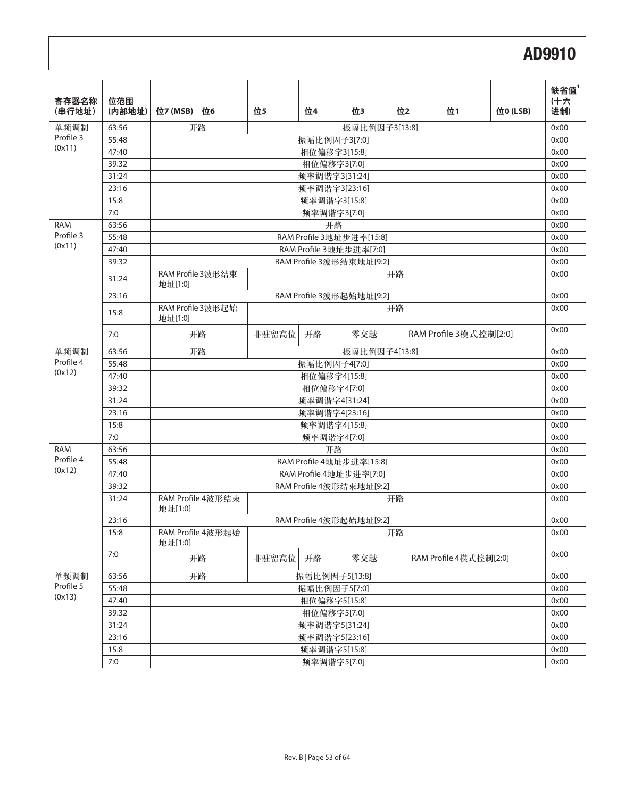| 寄存器名称<br>(串行地址)         | 位范围<br>(内部地址) | 位7 (MSB)     | 位6                | 位5            | 位4                       | 位3            | 位2 | 位1                     | 位0 (LSB) | 缺省值 $1$<br>(十六<br>进制) |
|-------------------------|---------------|--------------|-------------------|---------------|--------------------------|---------------|----|------------------------|----------|-----------------------|
| 单频调制<br>Profile 3       | 63:56         |              | 开路                |               |                          | 振幅比例因子3[13:8] |    |                        |          | 0x00                  |
| (0x11)                  | 55:48         |              |                   |               | 振幅比例因子3[7:0]             |               |    |                        |          | 0x00                  |
|                         | 47:40         |              | 相位偏移字3[15:8]      |               |                          |               |    |                        |          | 0x00                  |
|                         | 39:32         |              |                   |               | 相位偏移字3[7:0]              |               |    |                        |          | 0x00                  |
|                         | 31:24         |              |                   |               | 频率调谐字3[31:24]            |               |    |                        |          | 0x00                  |
|                         | 23:16         |              |                   |               | 频率调谐字3[23:16]            |               |    |                        |          | 0x00                  |
|                         | 15:8          |              |                   |               | 频率调谐字3[15:8]             |               |    |                        |          | 0x00                  |
|                         | 7:0           |              |                   |               | 频率调谐字3[7:0]              |               |    |                        |          | 0x00                  |
| <b>RAM</b><br>Profile 3 | 63:56         |              |                   |               | 开路                       |               |    |                        |          | 0x00                  |
| (0x11)                  | 55:48         |              |                   |               | RAM Profile 3地址步进率[15:8] |               |    |                        |          | 0x00                  |
|                         | 47:40         |              |                   |               | RAM Profile 3地址步进率[7:0]  |               |    |                        |          | 0x00                  |
|                         | 39:32         |              |                   |               | RAM Profile 3波形结束地址[9:2] |               |    |                        |          | 0x00                  |
|                         | 31:24         | 地址[1:0]      | RAM Profile 3波形结束 |               |                          |               | 开路 |                        |          | 0x00                  |
|                         | 23:16         |              |                   |               | RAM Profile 3波形起始地址[9:2] |               |    |                        |          | 0x00                  |
|                         | 15:8          | 地址[1:0]      | RAM Profile 3波形起始 |               |                          |               | 开路 |                        |          | 0x00                  |
|                         | 7:0           |              | 开路                |               | 非驻留高位<br>开路              | 零交越           |    | RAM Profile 3模式控制[2:0] |          | 0x00                  |
| 单频调制                    | 63:56         |              | 开路                | 振幅比例因子4[13:8] |                          |               |    |                        |          |                       |
| Profile 4               | 55:48         | 振幅比例因子4[7:0] |                   |               |                          |               |    |                        | 0x00     |                       |
| (0x12)                  | 47:40         |              |                   | 相位偏移字4[15:8]  |                          |               |    |                        |          | 0x00                  |
|                         | 39:32         |              |                   | 相位偏移字4[7:0]   |                          |               |    |                        |          |                       |
|                         | 31:24         |              |                   | 频率调谐字4[31:24] |                          |               |    |                        |          |                       |
|                         | 23:16         |              |                   | 频率调谐字4[23:16] |                          |               |    |                        |          |                       |
|                         | 15:8          |              |                   | 频率调谐字4[15:8]  |                          |               |    |                        |          |                       |
|                         | 7:0           |              |                   |               | 频率调谐字4[7:0]              |               |    |                        |          | 0x00                  |
| <b>RAM</b>              | 63:56         |              |                   |               | 开路                       |               |    |                        |          | 0x00                  |
| Profile 4               | 55:48         |              |                   |               | RAM Profile 4地址步进率[15:8] |               |    |                        |          | 0x00                  |
| (0x12)                  | 47:40         |              |                   |               | RAM Profile 4地址步进率[7:0]  |               |    |                        |          | 0x00                  |
|                         | 39:32         |              |                   |               | RAM Profile 4波形结束地址[9:2] |               |    |                        |          | 0x00                  |
|                         | 31:24         | 地址[1:0]      | RAM Profile 4波形结束 |               |                          |               | 开路 |                        |          | 0x00                  |
|                         | 23:16         |              |                   |               | RAM Profile 4波形起始地址[9:2] |               |    |                        |          | 0x00                  |
|                         | 15:8          | 地址[1:0]      | RAM Profile 4波形起始 |               |                          |               | 开路 |                        |          | 0x00                  |
|                         | 7:0           |              | 开路                | 非驻留高位         | 开路                       | 零交越           |    | RAM Profile 4模式控制[2:0] |          | 0x00                  |
| 单频调制                    | 63:56         |              | 开路                |               | 振幅比例因子5[13:8]            |               |    |                        |          | 0x00                  |
| Profile 5               | 55:48         |              |                   |               | 振幅比例因子5[7:0]             |               |    |                        |          | 0x00                  |
| (0x13)                  | 47:40         |              |                   |               | 相位偏移字5[15:8]             |               |    |                        |          | 0x00                  |
|                         | 39:32         |              |                   |               | 相位偏移字5[7:0]              |               |    |                        |          | 0x00                  |
|                         | 31:24         |              |                   |               | 频率调谐字5[31:24]            |               |    |                        |          | 0x00                  |
|                         | 23:16         |              |                   |               | 频率调谐字5[23:16]            |               |    |                        |          | 0x00                  |
|                         | 15:8          |              |                   |               | 频率调谐字5[15:8]             |               |    |                        |          | 0x00                  |
|                         | 7:0           |              | 频率调谐字5[7:0]       |               |                          |               |    |                        |          | 0x00                  |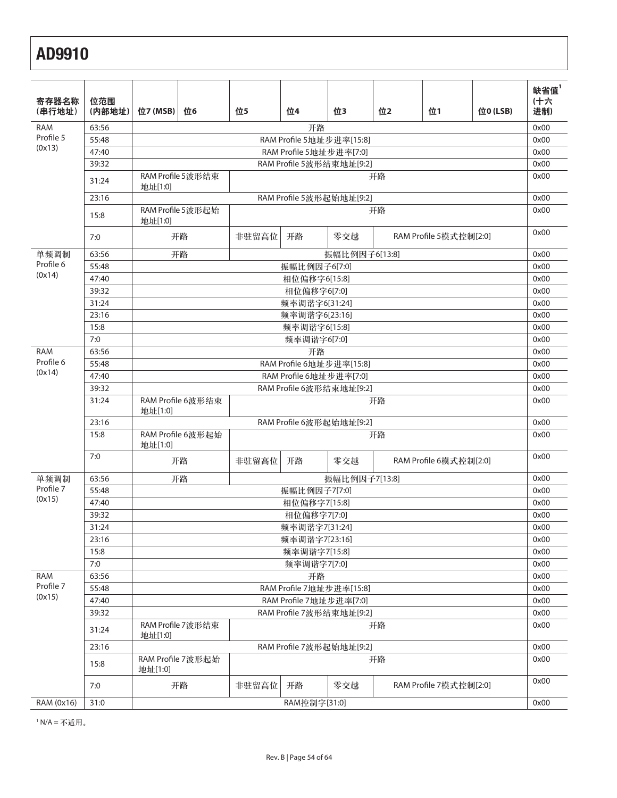| 寄存器名称                   | 位范围            |          |                         |       |                                                     |               |                        |                        |          | 缺省值 $1$<br>(十六 |
|-------------------------|----------------|----------|-------------------------|-------|-----------------------------------------------------|---------------|------------------------|------------------------|----------|----------------|
| (串行地址)                  | (内部地址)         | 位7 (MSB) | 位6                      | 位5    | 位4                                                  | 位3            | 位2                     | 位1                     | 位0 (LSB) | 进制)            |
| <b>RAM</b>              | 63:56          |          |                         |       | 开路                                                  |               |                        |                        |          | 0x00           |
| Profile 5               | 55:48          |          |                         |       | RAM Profile 5地址步进率[15:8]                            |               |                        |                        |          | 0x00           |
| (0x13)                  | 47:40          |          |                         |       | RAM Profile 5地址步进率[7:0]                             |               |                        |                        |          | 0x00           |
|                         | 39:32          |          |                         |       | RAM Profile 5波形结束地址[9:2]                            |               |                        |                        |          | 0x00           |
|                         | 31:24          | 地址[1:0]  | RAM Profile 5波形结束<br>开路 |       |                                                     |               |                        |                        |          | 0x00           |
|                         | 23:16          |          |                         |       | RAM Profile 5波形起始地址[9:2]                            |               |                        |                        |          | 0x00           |
|                         | 15:8           | 地址[1:0]  | RAM Profile 5波形起始       |       |                                                     |               | 开路                     |                        |          | 0x00           |
|                         | 7:0            |          | 开路                      | 非驻留高位 | 开路                                                  | 零交越           | RAM Profile 5模式控制[2:0] |                        |          | 0x00           |
| 单频调制                    | 63:56          |          | 开路                      |       |                                                     | 振幅比例因子6[13:8] |                        |                        |          | 0x00           |
| Profile 6               | 55:48          |          |                         |       | 振幅比例因子6[7:0]                                        |               |                        |                        |          | 0x00           |
| (0x14)                  | 47:40          |          |                         |       | 相位偏移字6[15:8]                                        |               |                        |                        |          | 0x00           |
|                         | 39:32          |          |                         |       | 相位偏移字6[7:0]                                         |               |                        |                        |          | 0x00           |
|                         | 31:24          |          |                         |       | 频率调谐字6[31:24]                                       |               |                        |                        |          | 0x00           |
|                         | 23:16          |          |                         |       | 频率调谐字6[23:16]                                       |               |                        |                        |          | 0x00           |
|                         | 15:8           |          |                         |       | 频率调谐字6[15:8]                                        |               |                        |                        |          | 0x00           |
|                         | 7:0            |          |                         |       | 频率调谐字6[7:0]                                         |               |                        |                        |          | 0x00           |
| <b>RAM</b><br>Profile 6 | 63:56<br>55:48 |          |                         |       | 开路<br>RAM Profile 6地址步进率[15:8]                      |               |                        |                        |          | 0x00           |
| (0x14)                  | 47:40          |          |                         |       |                                                     |               |                        |                        |          | 0x00<br>0x00   |
|                         | 39:32          |          |                         |       | RAM Profile 6地址步进率[7:0]<br>RAM Profile 6波形结束地址[9:2] |               |                        |                        |          | 0x00           |
|                         | 31:24          | 地址[1:0]  | RAM Profile 6波形结束       |       |                                                     |               | 开路                     |                        |          | 0x00           |
|                         | 23:16          |          |                         |       | RAM Profile 6波形起始地址[9:2]                            |               |                        |                        |          | 0x00           |
|                         | 15:8           | 地址[1:0]  | RAM Profile 6波形起始       |       |                                                     |               | 开路                     |                        |          | 0x00           |
|                         | 7:0            |          | 开路                      | 非驻留高位 | 开路                                                  | 零交越           |                        | RAM Profile 6模式控制[2:0] |          | 0x00           |
| 单频调制                    | 63:56          |          | 开路                      |       |                                                     | 振幅比例因子7[13:8] |                        |                        |          | 0x00           |
| Profile 7               | 55:48          |          |                         |       | 振幅比例因子7[7:0]                                        |               |                        |                        |          | 0x00           |
| (0x15)                  | 47:40          |          |                         |       | 相位偏移字7[15:8]                                        |               |                        |                        |          | 0x00           |
|                         | 39:32          |          |                         |       | 相位偏移字7[7:0]                                         |               |                        |                        |          | 0x00           |
|                         | 31:24          |          |                         |       | 频率调谐字7[31:24]                                       |               |                        |                        |          | 0x00           |
|                         | 23:16          |          |                         |       | 频率调谐字7[23:16]                                       |               |                        |                        |          | 0x00           |
|                         | 15:8           |          |                         |       | 频率调谐字7[15:8]                                        |               |                        |                        |          | 0x00           |
|                         | 7:0            |          |                         |       | 频率调谐字7[7:0]                                         |               |                        |                        |          | 0x00           |
| RAM<br>Profile 7        | 63:56          |          |                         |       | 开路                                                  |               |                        |                        |          | 0x00           |
| (0x15)                  | 55:48          |          |                         |       | RAM Profile 7地址步进率[15:8]                            |               |                        |                        |          | 0x00           |
|                         | 47:40          |          |                         |       | RAM Profile 7地址步进率[7:0]                             |               |                        |                        |          | 0x00           |
|                         | 39:32          |          |                         |       | RAM Profile 7波形结束地址[9:2]                            |               |                        |                        |          | 0x00           |
|                         | 31:24          | 地址[1:0]  | RAM Profile 7波形结束       |       |                                                     |               | 开路                     |                        |          | 0x00           |
|                         | 23:16          |          |                         |       | RAM Profile 7波形起始地址[9:2]                            |               |                        |                        |          | 0x00           |
|                         | 15:8           | 地址[1:0]  | RAM Profile 7波形起始       |       |                                                     |               | 开路                     |                        |          | 0x00           |
|                         | 7:0            |          | 开路                      | 非驻留高位 | 开路                                                  | 零交越           |                        | RAM Profile 7模式控制[2:0] |          | 0x00           |
| RAM (0x16)              | 31:0           |          |                         |       | RAM控制字[31:0]                                        |               |                        |                        |          | 0x00           |

1 N/A = 不适用。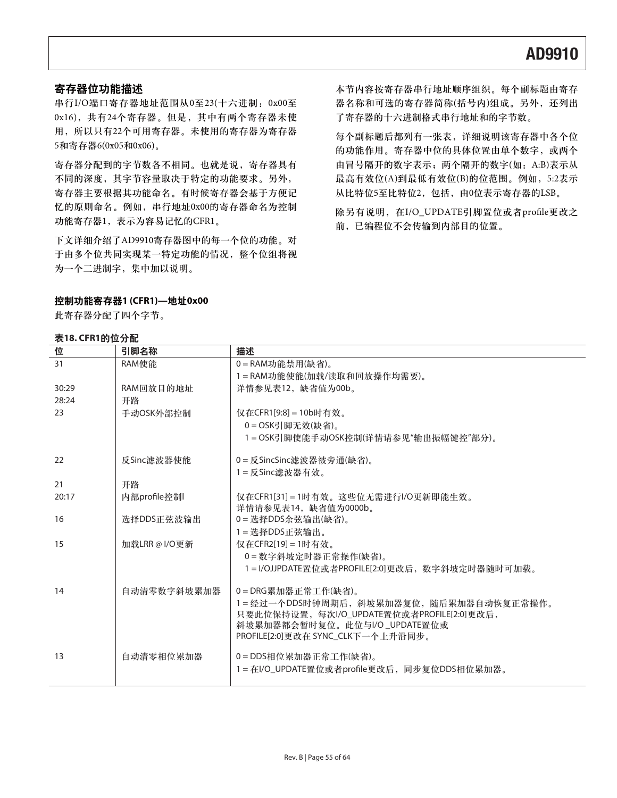### 寄存器位功能描述

串行I/O端口寄存器地址范围从0至23(十六进制: 0x00至 0x16), 共有24个寄存器。但是, 其中有两个寄存器未使 用, 所以只有22个可用寄存器。未使用的寄存器为寄存器 5和寄存器6(0x05和0x06)。

寄存器分配到的字节数各不相同。也就是说, 寄存器具有 不同的深度, 其字节容量取决于特定的功能要求。另外, 寄存器主要根据其功能命名。有时候寄存器会基于方便记 忆的原则命名。例如, 串行地址0x00的寄存器命名为控制 功能寄存器1,表示为容易记忆的CFR1。

下文详细介绍了AD9910寄存器图中的每一个位的功能。对 于由多个位共同实现某一特定功能的情况, 整个位组将视 为一个二进制字,集中加以说明。

### ੦ࠀీस٪ഗ**1 (CFR1)—**ں**0x00**

此寄存器分配了四个字节。

### 表18. CFR1的位分配

本节内容按寄存器串行地址顺序组织。每个副标题由寄存 器名称和可选的寄存器简称(括号内)组成。另外, 还列出 了寄存器的十六进制格式串行地址和的字节数。

每个副标题后都列有一张表,详细说明该寄存器中各个位 的功能作用。寄存器中位的具体位置由单个数字, 或两个 由冒号隔开的数字表示;两个隔开的数字(如: A:B)表示从 最高有效位(A)到最低有效位(B)的位范围。例如, 5:2表示 从比特位5至比特位2, 包括, 由0位表示寄存器的LSB。

除另有说明, 在I/O\_UPDATE引脚置位或者profile更改之 前,已编程位不会传输到内部目的位置。

| 位     | 引脚名称          | 描述                                            |
|-------|---------------|-----------------------------------------------|
| 31    | RAM使能         | 0=RAM功能禁用(缺省)。                                |
|       |               | 1=RAM功能使能(加载/读取和回放操作均需要)。                     |
| 30:29 | RAM回放目的地址     | 详情参见表12, 缺省值为00b。                             |
| 28:24 | 开路            |                                               |
| 23    | 手动OSK外部控制     | 仅在CFR1[9:8] = 10b时有效。                         |
|       |               | $0 = OSK$ 引脚无效 $($ 缺省)。                       |
|       |               | 1=OSK引脚使能手动OSK控制(详情请参见"输出振幅键控"部分)。            |
| 22    | 反Sinc滤波器使能    | 0 = 反SincSinc滤波器被旁通(缺省)。                      |
|       |               | $1 =$ 反 Sinc滤波器有效。                            |
| 21    | 开路            |                                               |
| 20:17 | 内部profile控制   | 仅在CFR1[31]=1时有效。这些位无需进行I/O更新即能生效。             |
|       |               | 详情请参见表14, 缺省值为0000b。                          |
| 16    | 选择DDS正弦波输出    | 0=选择DDS余弦输出(缺省)。                              |
|       |               | 1=选择DDS正弦输出。                                  |
| 15    | 加载LRR @ I/O更新 | 仅在CFR2[19] = 1时有效。                            |
|       |               | 0=数字斜坡定时器正常操作(缺省)。                            |
|       |               | 1=I/OJJPDATE置位或者PROFILE[2:0]更改后,数字斜坡定时器随时可加载。 |
| 14    | 自动清零数字斜坡累加器   | 0=DRG累加器正常工作(缺省)。                             |
|       |               | 1=经过一个DDS时钟周期后,斜坡累加器复位,随后累加器自动恢复正常操作。         |
|       |               | 只要此位保持设置, 每次I/O_UPDATE置位或者PROFILE[2:0]更改后,    |
|       |               | 斜坡累加器都会暂时复位。此位与I/O_UPDATE置位或                  |
|       |               | PROFILE[2:0]更改在 SYNC_CLK下一个上升沿同步。             |
| 13    | 自动清零相位累加器     | 0=DDS相位累加器正常工作(缺省)。                           |
|       |               | 1 = 在I/O_UPDATE置位或者profile更改后, 同步复位DDS相位累加器。  |
|       |               |                                               |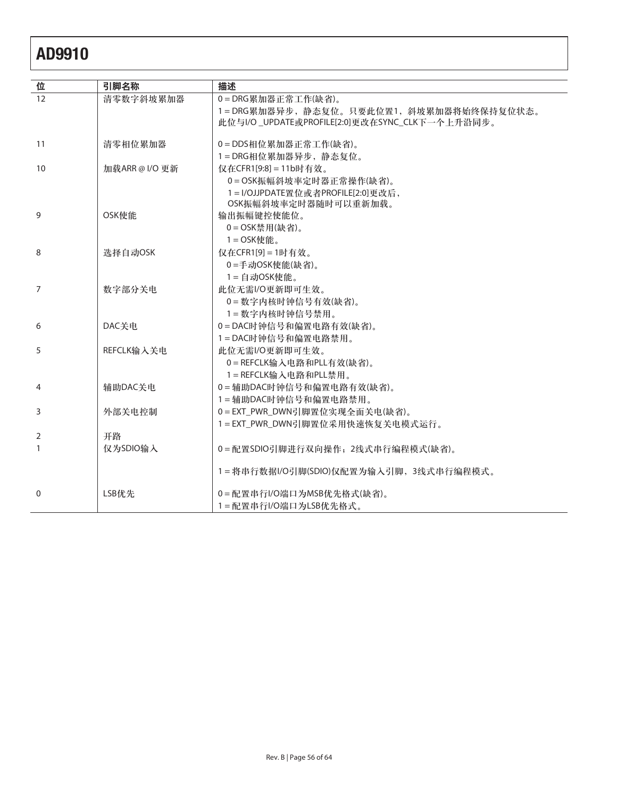| 位  | 引脚名称           | 描述                                             |
|----|----------------|------------------------------------------------|
| 12 | 清零数字斜坡累加器      | 0=DRG累加器正常工作(缺省)。                              |
|    |                | 1=DRG累加器异步, 静态复位。只要此位置1, 斜坡累加器将始终保持复位状态。       |
|    |                | 此位与I/O_UPDATE或PROFILE[2:0]更改在SYNC_CLK下一个上升沿同步。 |
| 11 | 清零相位累加器        | 0=DDS相位累加器正常工作(缺省)。                            |
|    |                | 1=DRG相位累加器异步,静态复位。                             |
| 10 | 加载ARR @ I/O 更新 | 仅在CFR1[9:8] = 11b时有效。                          |
|    |                | 0=OSK振幅斜坡率定时器正常操作(缺省)。                         |
|    |                | 1=I/OJJPDATE置位或者PROFILE[2:0]更改后,               |
|    |                | OSK振幅斜坡率定时器随时可以重新加载。                           |
| 9  | OSK使能          | 输出振幅键控使能位。                                     |
|    |                | $0 = OSK$ 禁用(缺省)。                              |
|    |                | 1=OSK使能。                                       |
| 8  | 选择自动OSK        | 仅在CFR1[9] = 1时有效。                              |
|    |                | 0=手动OSK使能(缺省)。                                 |
|    |                | $1 =$ 自动OSK使能。                                 |
| 7  | 数字部分关电         | 此位无需I/O更新即可生效。                                 |
|    |                | 0=数字内核时钟信号有效(缺省)。                              |
|    |                | 1=数字内核时钟信号禁用。                                  |
| 6  | DAC关电          | 0=DAC时钟信号和偏置电路有效(缺省)。                          |
|    |                | 1=DAC时钟信号和偏置电路禁用。                              |
| 5  | REFCLK输入关电     | 此位无需I/O更新即可生效。                                 |
|    |                | 0=REFCLK输入电路和PLL有效(缺省)。                        |
|    |                | 1=REFCLK输入电路和PLL禁用。                            |
| 4  | 辅助DAC关电        | 0=辅助DAC时钟信号和偏置电路有效(缺省)。                        |
|    |                | 1=辅助DAC时钟信号和偏置电路禁用。                            |
| 3  | 外部关电控制         | 0=EXT_PWR_DWN引脚置位实现全面关电(缺省)。                   |
|    |                | 1=EXT_PWR_DWN引脚置位采用快速恢复关电模式运行。                 |
| 2  | 开路             |                                                |
| 1  | 仅为SDIO输入       | 0=配置SDIO引脚进行双向操作; 2线式串行编程模式(缺省)。               |
|    |                |                                                |
|    |                | 1=将串行数据I/O引脚(SDIO)仅配置为输入引脚, 3线式串行编程模式。         |
| 0  | LSB优先          | 0=配置串行I/O端口为MSB优先格式(缺省)。                       |
|    |                | 1=配置串行I/O端口为LSB优先格式。                           |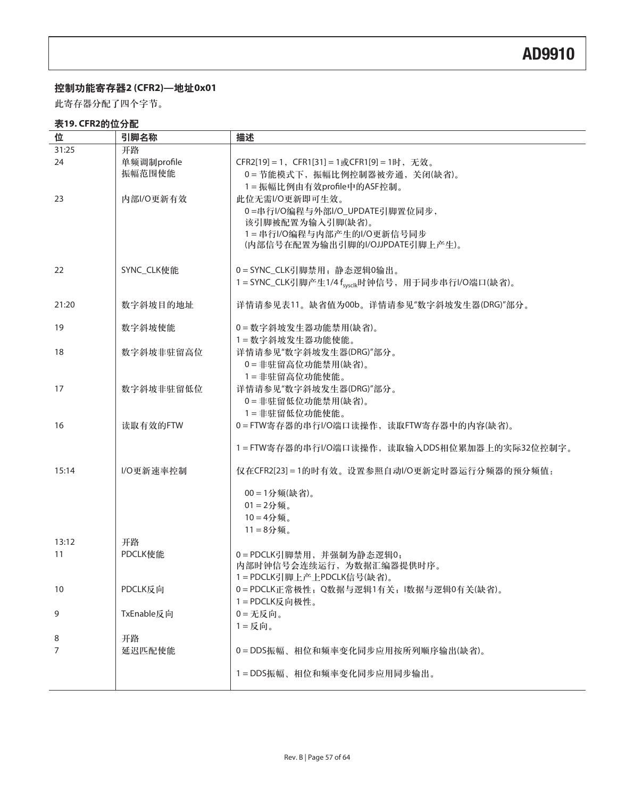### ੦ࠀీस٪ഗ**2 (CFR2)—**ں**0x01**

此寄存器分配了四个字节。

### 表19. CFR2的位分配

| 位     | 引脚名称        | 描述                                                           |
|-------|-------------|--------------------------------------------------------------|
| 31:25 | 开路          |                                                              |
| 24    | 单频调制profile | CFR2[19] = 1, CFR1[31] = 1或CFR1[9] = 1时, 无效。                 |
|       | 振幅范围使能      | 0=节能模式下, 振幅比例控制器被旁通, 关闭(缺省)。                                 |
|       |             |                                                              |
|       |             | 1=振幅比例由有效profile中的ASF控制。                                     |
| 23    | 内部I/O更新有效   | 此位无需I/O更新即可生效。                                               |
|       |             | 0=串行I/O编程与外部I/O_UPDATE引脚置位同步,                                |
|       |             | 该引脚被配置为输入引脚(缺省)。                                             |
|       |             | 1=串行I/O编程与内部产生的I/O更新信号同步                                     |
|       |             | (内部信号在配置为输出引脚的I/OJJPDATE引脚上产生)。                              |
| 22    | SYNC_CLK使能  | 0=SYNC_CLK引脚禁用;静态逻辑0输出。                                      |
|       |             | 1=SYNC_CLK引脚产生1/4 f <sub>sysclk</sub> 时钟信号, 用于同步串行I/O端口(缺省)。 |
|       |             |                                                              |
| 21:20 | 数字斜坡目的地址    | 详情请参见表11。缺省值为00b。详情请参见"数字斜坡发生器(DRG)"部分。                      |
| 19    | 数字斜坡使能      | 0=数字斜坡发生器功能禁用(缺省)。                                           |
|       |             | 1=数字斜坡发生器功能使能。                                               |
| 18    | 数字斜坡非驻留高位   | 详情请参见"数字斜坡发生器(DRG)"部分。                                       |
|       |             | 0=非驻留高位功能禁用(缺省)。                                             |
|       |             | 1=非驻留高位功能使能。                                                 |
| 17    | 数字斜坡非驻留低位   | 详情请参见"数字斜坡发生器(DRG)"部分。                                       |
|       |             | 0=非驻留低位功能禁用(缺省)。                                             |
|       |             | 1=非驻留低位功能使能。                                                 |
| 16    | 读取有效的FTW    | 0=FTW寄存器的串行I/O端口读操作,读取FTW寄存器中的内容(缺省)。                        |
|       |             | 1=FTW寄存器的串行I/O端口读操作,读取输入DDS相位累加器上的实际32位控制字。                  |
| 15:14 | I/O更新速率控制   |                                                              |
|       |             | 仅在CFR2[23] = 1的时有效。设置参照自动I/O更新定时器运行分频器的预分频值:                 |
|       |             | 00=1分频(缺省)。                                                  |
|       |             | $01 = 2$ 分频。                                                 |
|       |             | $10 = 4$ 分频。                                                 |
|       |             | $11 = 8$ 分频。                                                 |
| 13:12 | 开路          |                                                              |
| 11    | PDCLK使能     | 0=PDCLK引脚禁用, 并强制为静态逻辑0;                                      |
|       |             | 内部时钟信号会连续运行, 为数据汇编器提供时序。                                     |
|       |             | 1=PDCLK引脚上产上PDCLK信号(缺省)。                                     |
| 10    | PDCLK反向     | 0=PDCLK正常极性; Q数据与逻辑1有关; l数据与逻辑0有关(缺省)。                       |
|       |             | 1=PDCLK反向极性。                                                 |
| 9     | TxEnable反向  | $0 = \pm \sqrt{10}$ 。                                        |
|       |             | $1 = $ 反向。                                                   |
| 8     | 开路          |                                                              |
| 7     | 延迟匹配使能      | 0=DDS振幅、相位和频率变化同步应用按所列顺序输出(缺省)。                              |
|       |             | 1=DDS振幅、相位和频率变化同步应用同步输出。                                     |
|       |             |                                                              |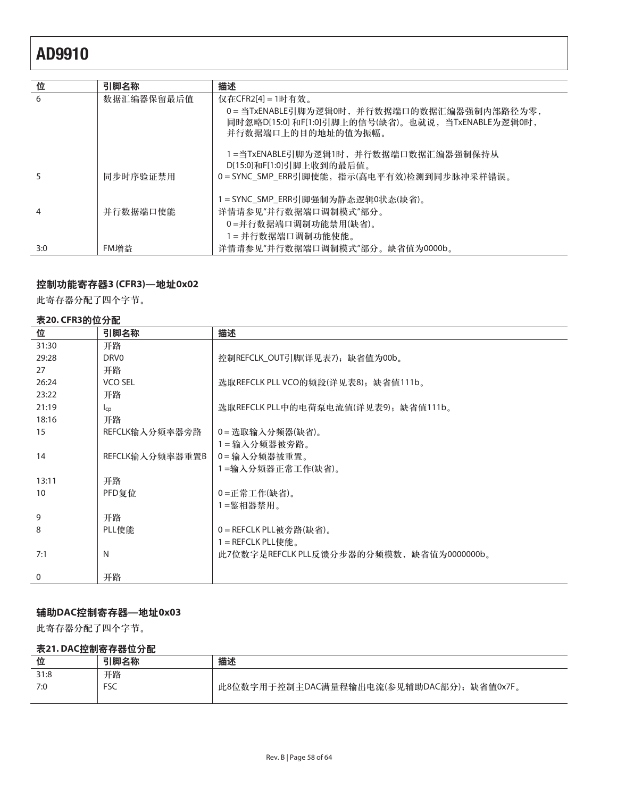| 位   | 引脚名称       | 描述                                                                                                                  |
|-----|------------|---------------------------------------------------------------------------------------------------------------------|
| 6   | 数据汇编器保留最后值 | 仅在CFR2[4] = 1时有效。                                                                                                   |
|     |            | 0=当TxENABLE引脚为逻辑0时,并行数据端口的数据汇编器强制内部路径为零,<br>同时忽略D[15:0] 和F[1:0]引脚上的信号(缺省)。也就说,当TxENABLE为逻辑0时,<br>并行数据端口上的目的地址的值为振幅。 |
|     |            | 1=当TxENABLE引脚为逻辑1时,并行数据端口数据汇编器强制保持从<br>D[15:0]和F[1:0]引脚上收到的最后值。                                                     |
|     | 同步时序验证禁用   | 0=SYNC_SMP_ERR引脚使能,指示(高电平有效)检测到同步脉冲采样错误。                                                                            |
|     |            | 1=SYNC_SMP_ERR引脚强制为静态逻辑0状态(缺省)。                                                                                     |
| 4   | 并行数据端口使能   | 详情请参见"并行数据端口调制模式"部分。                                                                                                |
|     |            | 0=并行数据端口调制功能禁用(缺省)。                                                                                                 |
|     |            | 1=并行数据端口调制功能使能。                                                                                                     |
| 3:0 | FM增益       | 详情请参见"并行数据端口调制模式"部分。缺省值为0000b。                                                                                      |

### ੦ࠀీस٪ഗ**3 (CFR3)—**ں**0x02**

此寄存器分配了四个字节。

### 表20. CFR3的位分配

| 位            | 引脚名称             | 描述                                       |
|--------------|------------------|------------------------------------------|
| 31:30        | 开路               |                                          |
| 29:28        | DRV <sub>0</sub> | 控制REFCLK_OUT引脚(详见表7),缺省值为00b。            |
| 27           | 开路               |                                          |
| 26:24        | VCO SEL          | 选取REFCLK PLL VCO的频段(详见表8),缺省值111b。       |
| 23:22        | 开路               |                                          |
| 21:19        | $I_{CD}$         | 选取REFCLK PLL中的电荷泵电流值(详见表9), 缺省值111b。     |
| 18:16        | 开路               |                                          |
| 15           | REFCLK输入分频率器旁路   | 0=选取输入分频器(缺省)。                           |
|              |                  | 1=输入分频器被旁路。                              |
| 14           | REFCLK输入分频率器重置B  | 0=输入分频器被重置。                              |
|              |                  | 1=输入分频器正常工作(缺省)。                         |
| 13:11        | 开路               |                                          |
| 10           | PFD复位            | 0=正常工作(缺省)。                              |
|              |                  | 1=鉴相器禁用。                                 |
| 9            | 开路               |                                          |
| 8            | PLL使能            | 0=REFCLK PLL被旁路(缺省)。                     |
|              |                  | 1 = REFCLK PLL使能。                        |
| 7:1          | N                | 此7位数字是REFCLK PLL反馈分步器的分频模数,缺省值为0000000b。 |
|              |                  |                                          |
| $\mathbf{0}$ | 开路               |                                          |

### ޤዺ**DAC**੦स٪ഗ**—**ں**0x03**

此寄存器分配了四个字节。

### 表21. DAC控制寄存器位分配

| 位    | 引脚名称       | 描述                                           |
|------|------------|----------------------------------------------|
| 31:8 | 开路         |                                              |
| 7:0  | <b>FSC</b> | 此8位数字用于控制主DAC满量程输出电流(参见辅助DAC部分);<br>缺省值0x7F。 |
|      |            |                                              |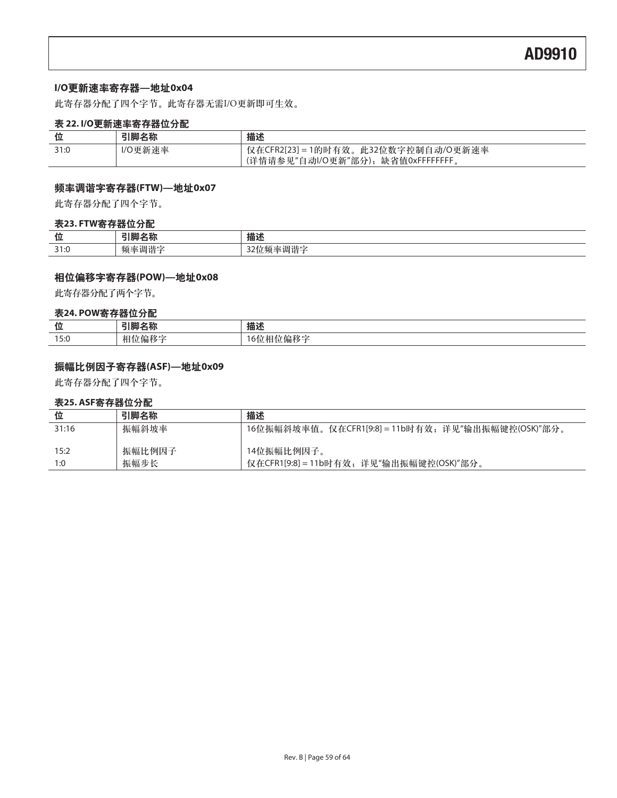### **I/O**߸ႎ୲स٪ഗ**—**ں**0x04**

此寄存器分配了四个字节。此寄存器无需I/O更新即可生效。

### 表 22. I/O更新速率寄存器位分配

| 位    | 引脚名称    | 描述                                        |
|------|---------|-------------------------------------------|
| 31:0 | I/O更新速率 | 仅在CFR2[23] = 1的时有效。<br>, 此32位数字控制自动/O更新速率 |
|      |         | (详情请参见"自动I/O更新"部分); 缺省值0xFFFFFFFF。        |

### ೕ୲ۙၿጴस٪ഗ**(FTW)—**ں**0x07**

此寄存器分配了四个字节。

#### 表23. FTW寄存器位分配

| 11.<br>$\overline{\phantom{a}}$ | יניים<br>- | ₩₩<br>畑ど   |
|---------------------------------|------------|------------|
| $\sim$ $\sim$<br>- - -          | ,,,,       | и<br>້<br> |

### ၎࿋ೋᅎጴस٪ഗ**(POW)—**ں**0x08**

此寄存器分配了两个字节。

### 表24. POW寄存器位分配

| 位    | $-1$ $-1$ $-1$<br>ᆷゕ | 描述            |
|------|----------------------|---------------|
| 15:0 | + .<br>1/用小夕         | ・1局か多二<br>YD. |

### 振幅比例因子寄存器(ASF)—地址0x09

此寄存器分配了四个字节。

### 表25. ASF寄存器位分配

| 位     | 引脚名称   | 描述                                                 |
|-------|--------|----------------------------------------------------|
| 31:16 | 振幅斜坡率  | 16位振幅斜坡率值。仅在CFR1[9:8] = 11b时有效, 详见"输出振幅键控(OSK)"部分。 |
| 15:2  | 振幅比例因子 | 14位振幅比例因子。                                         |
| 1:0   | 振幅步长   | 仅在CFR1[9:8] = 11b时有效; 详见"输出振幅键控(OSK)"部分。           |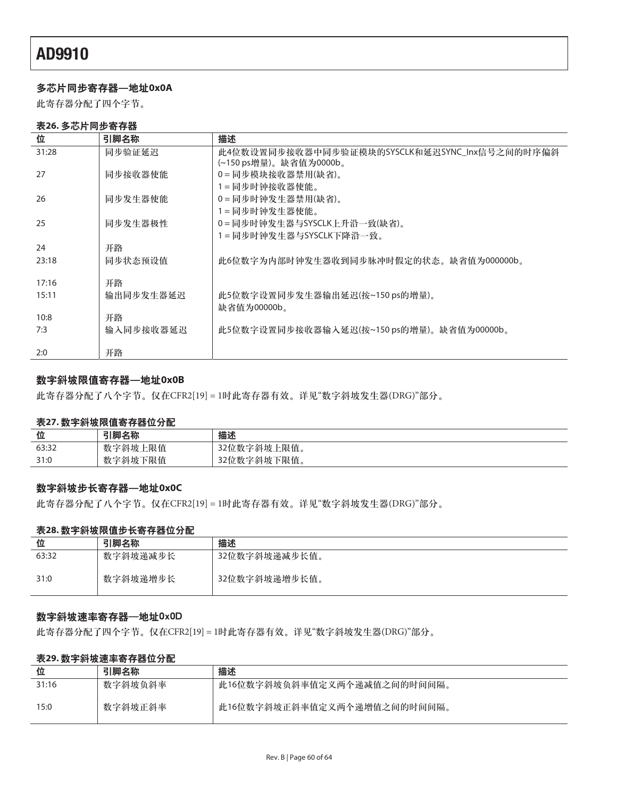### 多芯片同步寄存器—地址0x0A

此寄存器分配了四个字节。

### 表26. 多芯片同步寄存器

| 位     | 引脚名称      | 描述                                            |
|-------|-----------|-----------------------------------------------|
| 31:28 | 同步验证延迟    | 此4位数设置同步接收器中同步验证模块的SYSCLK和延迟SYNC_Inx信号之间的时序偏斜 |
|       |           | (~150 ps增量)。缺省值为0000b。                        |
| 27    | 同步接收器使能   | 0=同步模块接收器禁用(缺省)。                              |
|       |           | 1=同步时钟接收器使能。                                  |
| 26    | 同步发生器使能   | 0=同步时钟发生器禁用(缺省)。                              |
|       |           | 1=同步时钟发生器使能。                                  |
| 25    | 同步发生器极性   | 0=同步时钟发生器与SYSCLK上升沿一致(缺省)。                    |
|       |           | 1=同步时钟发生器与SYSCLK下降沿一致。                        |
| 24    | 开路        |                                               |
| 23:18 | 同步状态预设值   | 此6位数字为内部时钟发生器收到同步脉冲时假定的状态。缺省值为000000b。        |
|       |           |                                               |
| 17:16 | 开路        |                                               |
| 15:11 | 输出同步发生器延迟 | 此5位数字设置同步发生器输出延迟(按~150 ps的增量)。                |
|       |           | 缺省值为00000b。                                   |
| 10:8  | 开路        |                                               |
| 7:3   | 输入同步接收器延迟 | 此5位数字设置同步接收器输入延迟(按~150 ps的增量)。缺省值为00000b。     |
|       |           |                                               |
| 2:0   | 开路        |                                               |

### 数字斜坡限值寄存器一地址0x0B

此寄存器分配了八个字节。仅在CFR2[19] = 1时此寄存器有效。详见"数字斜坡发生器(DRG)"部分。

#### 表27. 数字斜坡限值寄存器位分配

| 位     | 引脚名称    | 描述          |
|-------|---------|-------------|
| 63:32 | 数字斜坡上限值 | 32位数字斜坡上限值。 |
| 31:0  | 数字斜坡下限值 | 32位数字斜坡下限值。 |

### 数字斜坡步长寄存器—地址0x0C

此寄存器分配了八个字节。仅在CFR2[19] = 1时此寄存器有效。详见"数字斜坡发生器(DRG)"部分。

### 表28. 数字斜坡限值步长寄存器位分配

| 位     | 引脚名称     | 描述            |
|-------|----------|---------------|
| 63:32 | 数字斜坡递减步长 | 32位数字斜坡递减步长值。 |
| 31:0  | 数字斜坡递增步长 | 32位数字斜坡递增步长值。 |

### 数字斜坡速率寄存器一地址0x0D

此寄存器分配了四个字节。仅在CFR2[19] = 1时此寄存器有效。详见"数字斜坡发生器(DRG)"部分。

### 表29. 数字斜坡速率寄存器位分配

| 位     | 引脚名称    | 描述                          |
|-------|---------|-----------------------------|
| 31:16 | 数字斜坡负斜率 | 此16位数字斜坡负斜率值定义两个递减值之间的时间间隔。 |
| 15:0  | 数字斜坡正斜率 | 此16位数字斜坡正斜率值定义两个递增值之间的时间间隔。 |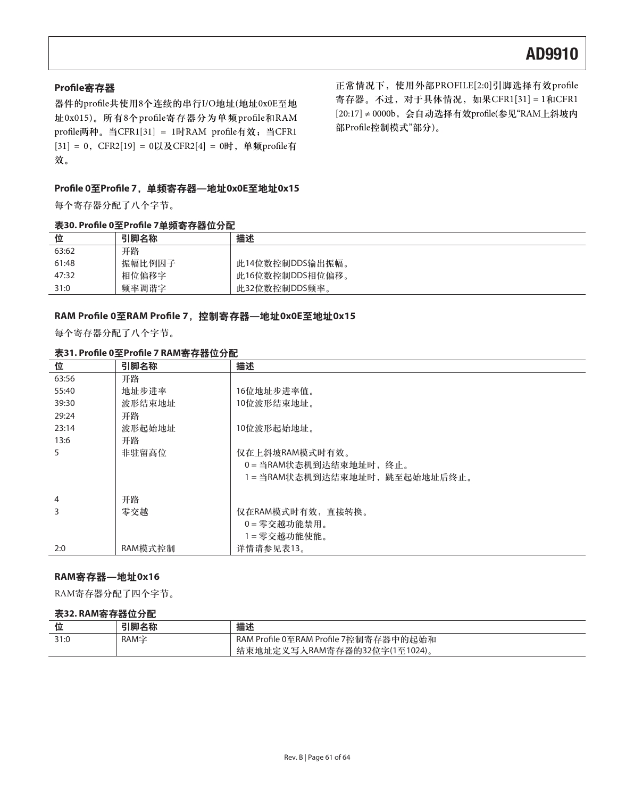### **Profile寄存器**

器件的profile共使用8个连续的串行I/O地址(地址0x0E至地 址0x015)。所有8个profile寄存器分为单频profile和RAM profile两种。当CFR1[31] = 1时RAM profile有效; 当CFR1  $[31] = 0$ , CFR2 $[19] = 0$ 以及CFR2 $[4] = 0$ 时, 单频profile有 效。

Profile 0至Profile 7, 单频寄存器—地址0x0E至地址0x15

每个寄存器分配了八个字节。

### 表30. Profile 0至Profile 7单频寄存器位分配

正常情况下, 使用外部PROFILE[2:0]引脚选择有效profile 寄存器。不过, 对于具体情况, 如果CFR1[31] = 1和CFR1  $[20:17] ≠ 0000$ b, 会自动选择有效profile(参见"RAM上斜坡内 部Profile控制模式"部分)。

| 位     | 引脚名称   | 描述              |
|-------|--------|-----------------|
| 63:62 | 开路     |                 |
| 61:48 | 振幅比例因子 | 此14位数控制DDS输出振幅。 |
| 47:32 | 相位偏移字  | 此16位数控制DDS相位偏移。 |
| 31:0  | 频率调谐字  | 此32位数控制DDS频率。   |

#### RAM Profile 0至RAM Profile 7, 控制寄存器—地址0x0E至地址0x15

每个寄存器分配了八个字节。

### **表31. Profile 0至Profile 7 RAM寄存器位分配**

| 位     | 引脚名称    | 描述                            |
|-------|---------|-------------------------------|
| 63:56 | 开路      |                               |
| 55:40 | 地址步进率   | 16位地址步进率值。                    |
| 39:30 | 波形结束地址  | 10位波形结束地址。                    |
| 29:24 | 开路      |                               |
| 23:14 | 波形起始地址  | 10位波形起始地址。                    |
| 13:6  | 开路      |                               |
| 5.    | 非驻留高位   | 仅在上斜坡RAM模式时有效。                |
|       |         | 0=当RAM状态机到达结束地址时,终止。          |
|       |         | 1 = 当RAM状态机到达结束地址时,跳至起始地址后终止。 |
|       |         |                               |
| 4     | 开路      |                               |
| 3     | 零交越     | 仅在RAM模式时有效,直接转换。              |
|       |         | 0=零交越功能禁用。                    |
|       |         | 1=零交越功能使能。                    |
| 2:0   | RAM模式控制 | 详情请参见表13。                     |

### **RAM寄存器—地址0x16**

RAM寄存器分配了四个字节。

#### 表32. RAM寄存器位分配

| 位             | 71肋 夕称<br>'石仦<br>I I 714 | 描述                                                                    |
|---------------|--------------------------|-----------------------------------------------------------------------|
| 21.0<br>ں ، ر | RAM字                     | RAM Profile 0至RAM Profile 7控制寄存器中的起始和<br>结束地址定义写入RAM寄存器的32位字(1至1024)。 |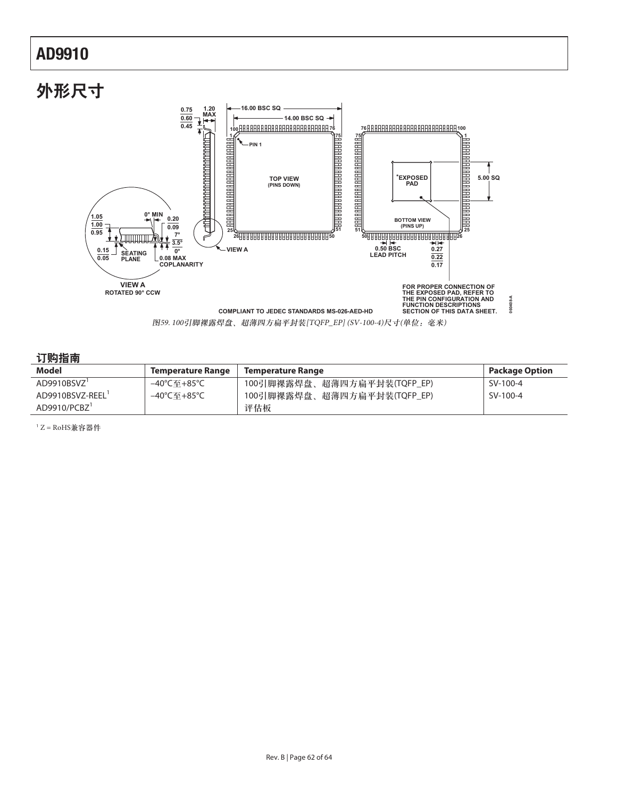

### 订购指南

| Model                   | Temperature Range | Temperature Range           | <b>Package Option</b> |
|-------------------------|-------------------|-----------------------------|-----------------------|
| AD9910BSVZ <sup>1</sup> | –40°C至+85°C       | 100引脚裸露焊盘、超薄四方扁平封装(TQFP_EP) | SV-100-4              |
| AD9910BSVZ-REEL         | –40℃至+85℃         | 100引脚裸露焊盘、超薄四方扁平封装(TQFP_EP) | SV-100-4              |
| AD9910/PCBZ             |                   | 评估板                         |                       |

1Z = RoHS兼容器件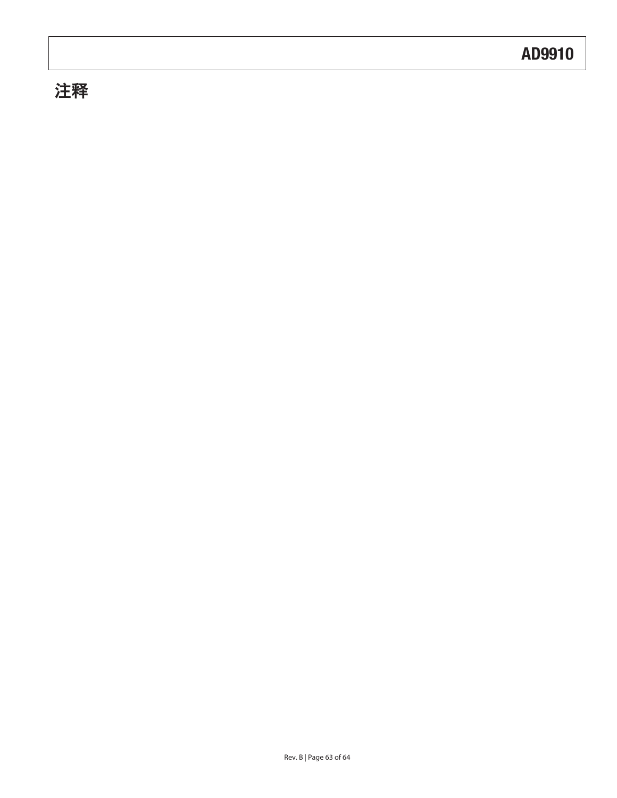# 注释